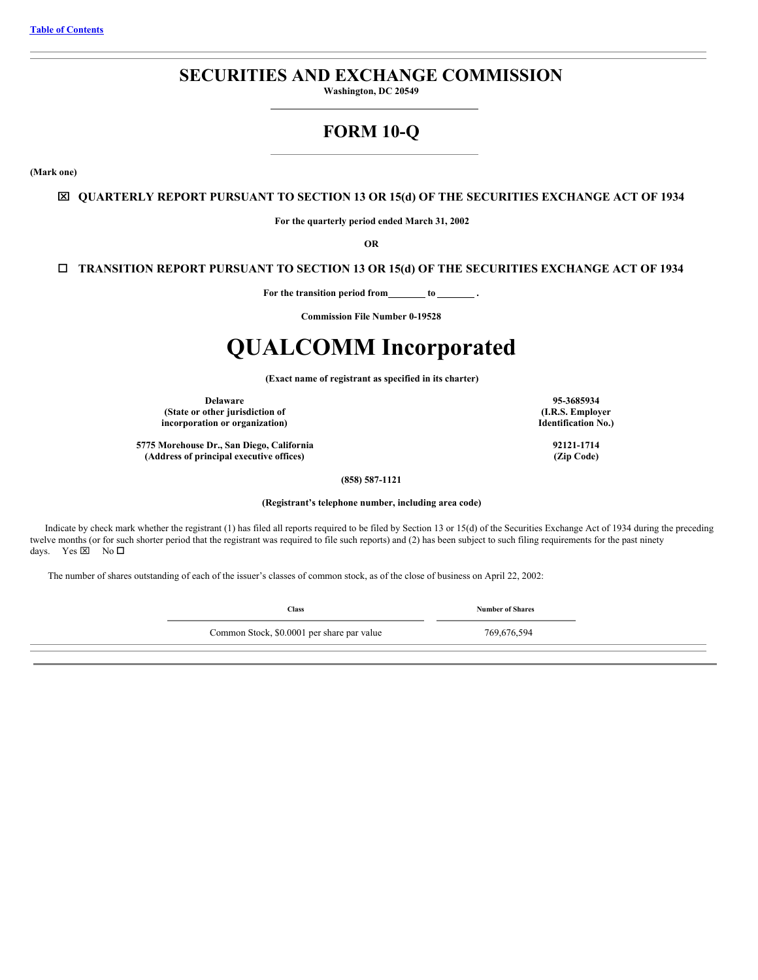# **SECURITIES AND EXCHANGE COMMISSION**

**Washington, DC 20549**

# **FORM 10-Q**

<span id="page-0-0"></span>**(Mark one)**

x **QUARTERLY REPORT PURSUANT TO SECTION 13 OR 15(d) OF THE SECURITIES EXCHANGE ACT OF 1934**

**For the quarterly period ended March 31, 2002**

**OR**

o **TRANSITION REPORT PURSUANT TO SECTION 13 OR 15(d) OF THE SECURITIES EXCHANGE ACT OF 1934**

For the transition period from \_\_\_\_\_\_\_\_ to \_\_\_\_\_\_\_\_\_.

**Commission File Number 0-19528**

# **QUALCOMM Incorporated**

**(Exact name of registrant as specified in its charter)**

**Delaware (State or other jurisdiction of incorporation or organization)**

**5775 Morehouse Dr., San Diego, California (Address of principal executive offices)**

**(858) 587-1121**

**(Registrant's telephone number, including area code)**

Indicate by check mark whether the registrant (1) has filed all reports required to be filed by Section 13 or 15(d) of the Securities Exchange Act of 1934 during the preceding twelve months (or for such shorter period that the registrant was required to file such reports) and (2) has been subject to such filing requirements for the past ninety days. Yes  $\times$  No  $\square$ 

The number of shares outstanding of each of the issuer's classes of common stock, as of the close of business on April 22, 2002:

**(I.R.S. Employer Identification No.)**

**95-3685934**

**92121-1714 (Zip Code)**

Common Stock, \$0.0001 per share par value 769,676,594

**Class Number of Shares**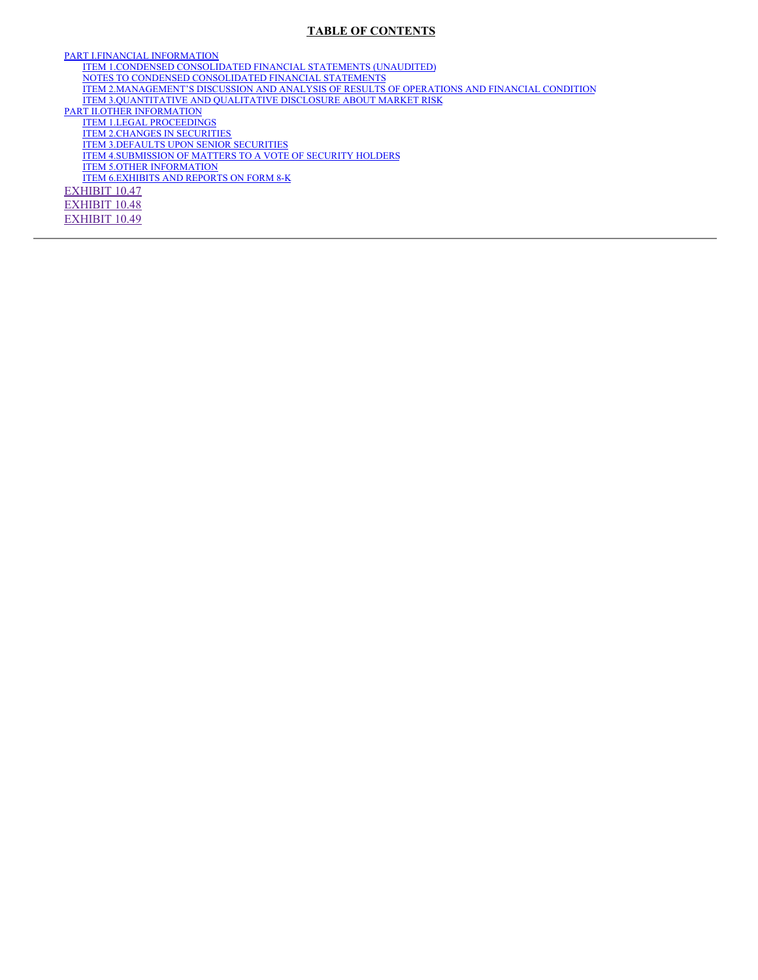# **TABLE OF CONTENTS**

PART I.FINANCIAL [INFORMATION](#page-3-0) ITEM 1.CONDENSED [CONSOLIDATED](#page-3-1) FINANCIAL STATEMENTS (UNAUDITED) NOTES TO CONDENSED [CONSOLIDATED](#page-6-0) FINANCIAL STATEMENTS ITEM [2.MANAGEMENT'S](#page-20-0) DISCUSSION AND ANALYSIS OF RESULTS OF OPERATIONS AND FINANCIAL CONDITION ITEM [3.QUANTITATIVE](#page-46-0) AND QUALITATIVE DISCLOSURE ABOUT MARKET RISK PART II.OTHER [INFORMATION](#page-48-0) ITEM 1.LEGAL [PROCEEDINGS](#page-48-1) ITEM 2.CHANGES IN [SECURITIES](#page-48-2) **ITEM [3.DEFAULTS](#page-48-3) UPON SENIOR SECURITIES** ITEM [4.SUBMISSION](#page-48-4) OF MATTERS TO A VOTE OF SECURITY HOLDERS ITEM 5.OTHER [INFORMATION](#page-48-5) ITEM [6.EXHIBITS](#page-48-6) AND REPORTS ON FORM 8-K [EXHIBIT](#page-51-0) 10.47 [EXHIBIT](#page-60-0) 10.48 [EXHIBIT](#page-72-0) 10.49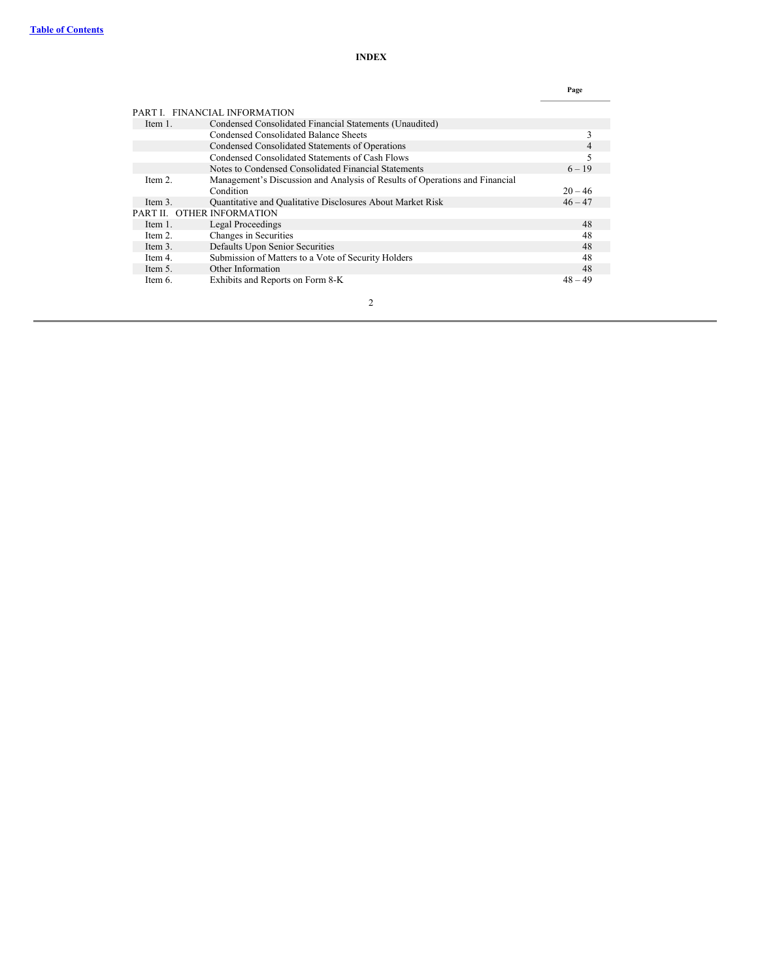# **INDEX**

|                            |                                                                             | Page      |
|----------------------------|-----------------------------------------------------------------------------|-----------|
|                            | PART I. FINANCIAL INFORMATION                                               |           |
| Item 1.                    | Condensed Consolidated Financial Statements (Unaudited)                     |           |
|                            | Condensed Consolidated Balance Sheets                                       | 3         |
|                            | Condensed Consolidated Statements of Operations                             | 4         |
|                            | Condensed Consolidated Statements of Cash Flows                             | 5         |
|                            | Notes to Condensed Consolidated Financial Statements                        | $6 - 19$  |
| Item 2.                    | Management's Discussion and Analysis of Results of Operations and Financial |           |
|                            | Condition                                                                   | $20 - 46$ |
| Item 3.                    | Quantitative and Qualitative Disclosures About Market Risk                  | $46 - 47$ |
| PART II. OTHER INFORMATION |                                                                             |           |
| Item 1.                    | <b>Legal Proceedings</b>                                                    | 48        |
| Item 2.                    | Changes in Securities                                                       | 48        |
| Item 3.                    | Defaults Upon Senior Securities                                             | 48        |
| Item 4.                    | Submission of Matters to a Vote of Security Holders                         | 48        |
| Item 5.                    | Other Information                                                           | 48        |
| Item 6.                    | Exhibits and Reports on Form 8-K                                            | $48 - 49$ |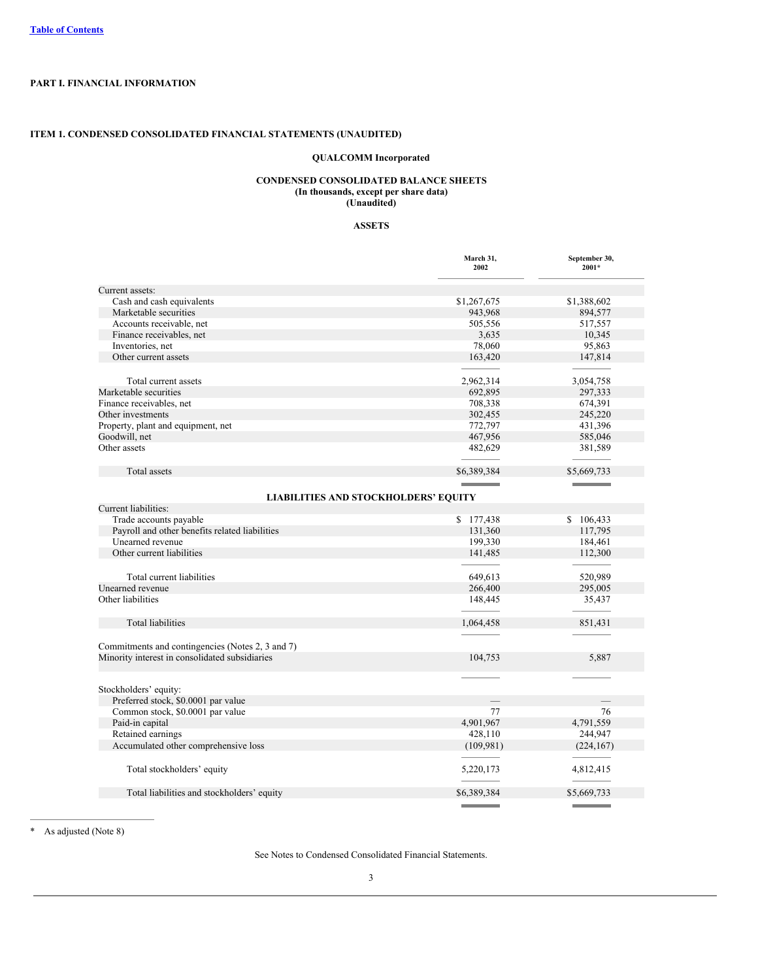# <span id="page-3-0"></span>**PART I. FINANCIAL INFORMATION**

# <span id="page-3-1"></span>**ITEM 1. CONDENSED CONSOLIDATED FINANCIAL STATEMENTS (UNAUDITED)**

# **QUALCOMM Incorporated**

# **CONDENSED CONSOLIDATED BALANCE SHEETS (In thousands, except per share data) (Unaudited)**

# **ASSETS**

|                                                  | March 31,<br>2002 | September 30,<br>$2001*$ |
|--------------------------------------------------|-------------------|--------------------------|
| Current assets:                                  |                   |                          |
| Cash and cash equivalents                        | \$1,267,675       | \$1,388,602              |
| Marketable securities                            | 943,968           | 894,577                  |
| Accounts receivable, net                         | 505,556           | 517,557                  |
| Finance receivables, net                         | 3,635             | 10,345                   |
| Inventories, net                                 | 78,060            | 95,863                   |
| Other current assets                             | 163,420           | 147,814                  |
| Total current assets                             | 2,962,314         | 3,054,758                |
| Marketable securities                            | 692,895           | 297,333                  |
| Finance receivables, net                         | 708,338           | 674,391                  |
| Other investments                                | 302,455           | 245,220                  |
| Property, plant and equipment, net               | 772,797           | 431,396                  |
| Goodwill, net                                    | 467,956           | 585,046                  |
| Other assets                                     | 482,629           | 381,589                  |
| Total assets                                     | \$6,389,384       | \$5,669,733              |
|                                                  |                   |                          |
| <b>LIABILITIES AND STOCKHOLDERS' EQUITY</b>      |                   |                          |
| Current liabilities:                             |                   |                          |
| Trade accounts payable                           | \$177,438         | \$106,433                |
| Payroll and other benefits related liabilities   | 131,360           | 117,795                  |
| Unearned revenue                                 | 199,330           | 184,461                  |
| Other current liabilities                        | 141,485           | 112,300                  |
|                                                  |                   |                          |
| Total current liabilities                        | 649,613           | 520,989                  |
| Unearned revenue                                 | 266,400           | 295,005                  |
| Other liabilities                                | 148,445           | 35,437                   |
|                                                  |                   |                          |
| <b>Total liabilities</b>                         | 1,064,458         | 851,431                  |
|                                                  |                   |                          |
| Commitments and contingencies (Notes 2, 3 and 7) |                   |                          |
| Minority interest in consolidated subsidiaries   | 104,753           | 5,887                    |
|                                                  |                   |                          |
| Stockholders' equity:                            |                   |                          |
| Preferred stock, \$0.0001 par value              |                   |                          |
| Common stock, \$0.0001 par value                 | 77                | 76                       |
| Paid-in capital                                  | 4,901,967         | 4,791,559                |
| Retained earnings                                | 428,110           | 244,947                  |
| Accumulated other comprehensive loss             | (109, 981)        | (224, 167)               |
| Total stockholders' equity                       | 5,220,173         | 4,812,415                |
|                                                  |                   |                          |
| Total liabilities and stockholders' equity       | \$6,389,384       | \$5,669,733              |

\* As adjusted (Note 8)

See Notes to Condensed Consolidated Financial Statements.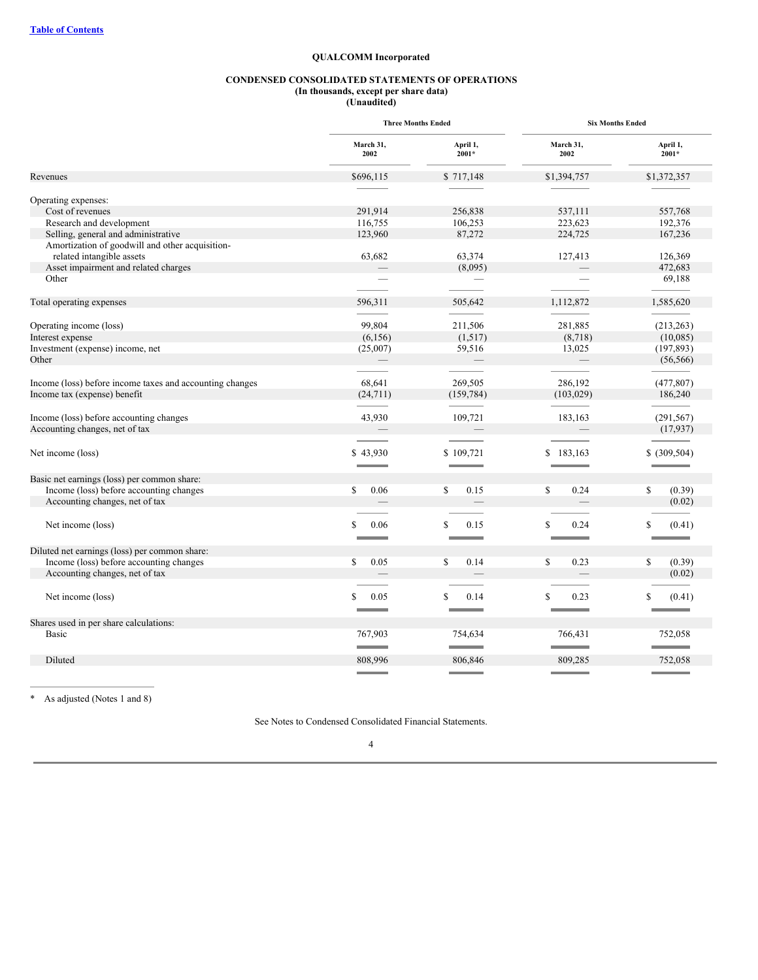# **QUALCOMM Incorporated**

#### **CONDENSED CONSOLIDATED STATEMENTS OF OPERATIONS (In thousands, except per share data) (Unaudited)**

|                                                          | <b>Three Months Ended</b> |                      | <b>Six Months Ended</b> |                     |  |
|----------------------------------------------------------|---------------------------|----------------------|-------------------------|---------------------|--|
|                                                          | March 31,<br>2002         | April 1,<br>$2001*$  | March 31,<br>2002       | April 1,<br>$2001*$ |  |
| Revenues                                                 | \$696,115                 | \$717,148            | \$1,394,757             | \$1,372,357         |  |
| Operating expenses:                                      |                           |                      |                         |                     |  |
| Cost of revenues                                         | 291,914                   | 256,838              | 537,111                 | 557,768             |  |
| Research and development                                 | 116,755                   | 106,253              | 223,623                 | 192,376             |  |
| Selling, general and administrative                      | 123,960                   | 87,272               | 224,725                 | 167,236             |  |
| Amortization of goodwill and other acquisition-          |                           |                      |                         |                     |  |
| related intangible assets                                | 63,682                    | 63,374               | 127,413                 | 126,369             |  |
| Asset impairment and related charges                     |                           | (8,095)              |                         | 472,683             |  |
| Other                                                    |                           |                      |                         |                     |  |
|                                                          |                           |                      |                         | 69,188              |  |
|                                                          |                           |                      |                         |                     |  |
| Total operating expenses                                 | 596,311                   | 505,642              | 1,112,872               | 1,585,620           |  |
|                                                          |                           |                      |                         |                     |  |
| Operating income (loss)                                  | 99,804                    | 211,506              | 281,885                 | (213, 263)          |  |
| Interest expense                                         | (6, 156)                  | (1,517)              | (8,718)                 | (10,085)            |  |
| Investment (expense) income, net                         | (25,007)                  | 59,516               | 13,025                  | (197, 893)          |  |
| Other                                                    |                           |                      |                         | (56, 566)           |  |
|                                                          |                           |                      |                         |                     |  |
| Income (loss) before income taxes and accounting changes | 68,641                    | 269,505              | 286,192                 | (477, 807)          |  |
| Income tax (expense) benefit                             | (24,711)                  | (159, 784)           | (103, 029)              | 186,240             |  |
|                                                          |                           |                      |                         |                     |  |
| Income (loss) before accounting changes                  | 43,930                    | 109,721              | 183,163                 | (291, 567)          |  |
| Accounting changes, net of tax                           |                           |                      |                         | (17, 937)           |  |
|                                                          |                           |                      |                         |                     |  |
| Net income (loss)                                        | \$43,930                  | \$109,721            | 183,163                 | \$ (309, 504)       |  |
|                                                          |                           |                      |                         |                     |  |
|                                                          |                           |                      |                         |                     |  |
| Basic net earnings (loss) per common share:              |                           |                      |                         |                     |  |
| Income (loss) before accounting changes                  | \$<br>0.06                | $\mathbb{S}$<br>0.15 | $\mathbb{S}$<br>0.24    | \$<br>(0.39)        |  |
| Accounting changes, net of tax                           |                           |                      |                         | (0.02)              |  |
|                                                          |                           |                      |                         |                     |  |
| Net income (loss)                                        | \$.<br>0.06               | S<br>0.15            | S<br>0.24               | \$<br>(0.41)        |  |
|                                                          |                           |                      |                         |                     |  |
| Diluted net earnings (loss) per common share:            |                           |                      |                         |                     |  |
| Income (loss) before accounting changes                  | $\mathbb{S}$<br>0.05      | $\mathbf S$<br>0.14  | $\mathbb{S}$<br>0.23    | \$<br>(0.39)        |  |
| Accounting changes, net of tax                           |                           |                      |                         | (0.02)              |  |
|                                                          |                           |                      |                         |                     |  |
| Net income (loss)                                        | S<br>0.05                 | S<br>0.14            | S<br>0.23               | \$<br>(0.41)        |  |
|                                                          |                           |                      |                         |                     |  |
|                                                          |                           |                      |                         |                     |  |
| Shares used in per share calculations:                   |                           |                      |                         |                     |  |
| <b>Basic</b>                                             | 767,903                   | 754,634              | 766,431                 | 752,058             |  |
|                                                          |                           |                      |                         |                     |  |
| Diluted                                                  | 808,996                   | 806,846              | 809,285                 | 752,058             |  |
|                                                          |                           |                      |                         |                     |  |

\* As adjusted (Notes 1 and 8)

See Notes to Condensed Consolidated Financial Statements.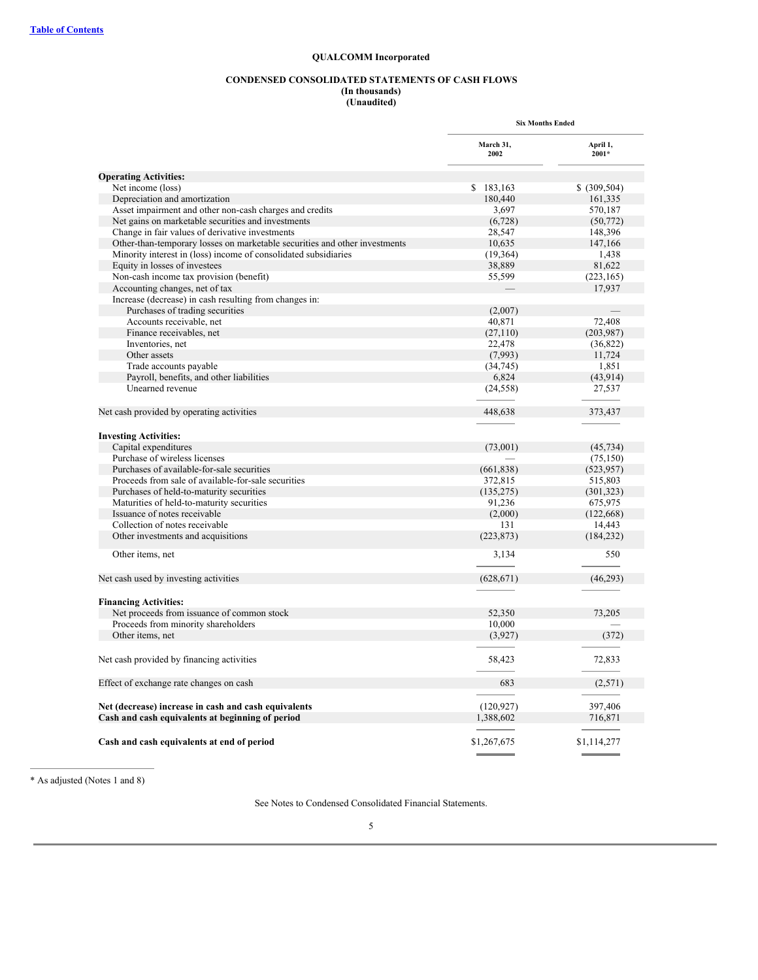# **QUALCOMM Incorporated**

# **CONDENSED CONSOLIDATED STATEMENTS OF CASH FLOWS (In thousands)**

**(Unaudited)**

|                                                                            | <b>Six Months Ended</b> |                   |
|----------------------------------------------------------------------------|-------------------------|-------------------|
|                                                                            | March 31,<br>2002       | April 1,<br>2001* |
| <b>Operating Activities:</b>                                               |                         |                   |
| Net income (loss)                                                          | \$183,163               | \$ (309, 504)     |
| Depreciation and amortization                                              | 180,440                 | 161,335           |
| Asset impairment and other non-cash charges and credits                    | 3,697                   | 570,187           |
| Net gains on marketable securities and investments                         | (6,728)                 | (50, 772)         |
| Change in fair values of derivative investments                            | 28,547                  | 148,396           |
| Other-than-temporary losses on marketable securities and other investments | 10,635                  | 147,166           |
| Minority interest in (loss) income of consolidated subsidiaries            | (19,364)                | 1,438             |
| Equity in losses of investees                                              | 38,889                  | 81,622            |
| Non-cash income tax provision (benefit)                                    | 55,599                  | (223, 165)        |
| Accounting changes, net of tax                                             |                         | 17,937            |
| Increase (decrease) in cash resulting from changes in:                     |                         |                   |
| Purchases of trading securities                                            | (2,007)                 |                   |
| Accounts receivable, net                                                   | 40,871                  | 72,408            |
| Finance receivables, net                                                   | (27, 110)               | (203, 987)        |
| Inventories, net                                                           | 22,478                  | (36,822)          |
| Other assets                                                               | (7,993)                 | 11,724            |
| Trade accounts payable                                                     | (34, 745)               | 1,851             |
| Payroll, benefits, and other liabilities                                   | 6,824                   | (43, 914)         |
| Unearned revenue                                                           | (24, 558)               | 27,537            |
| Net cash provided by operating activities                                  | 448,638                 | 373,437           |
| <b>Investing Activities:</b>                                               |                         |                   |
| Capital expenditures                                                       | (73,001)                | (45, 734)         |
| Purchase of wireless licenses                                              |                         | (75, 150)         |
| Purchases of available-for-sale securities                                 | (661, 838)              | (523, 957)        |
| Proceeds from sale of available-for-sale securities                        | 372,815                 | 515,803           |
| Purchases of held-to-maturity securities                                   | (135, 275)              | (301, 323)        |
| Maturities of held-to-maturity securities                                  | 91,236                  | 675,975           |
| Issuance of notes receivable                                               | (2,000)                 | (122, 668)        |
| Collection of notes receivable                                             | 131                     | 14,443            |
| Other investments and acquisitions                                         | (223, 873)              | (184, 232)        |
|                                                                            |                         |                   |
| Other items, net                                                           | 3,134                   | 550               |
| Net cash used by investing activities                                      | (628, 671)              | (46,293)          |
| <b>Financing Activities:</b>                                               |                         |                   |
| Net proceeds from issuance of common stock                                 | 52,350                  | 73,205            |
| Proceeds from minority shareholders                                        | 10,000                  |                   |
| Other items, net                                                           | (3,927)                 | (372)             |
| Net cash provided by financing activities                                  | 58,423                  | 72,833            |
| Effect of exchange rate changes on cash                                    | 683                     | (2,571)           |
|                                                                            |                         |                   |
| Net (decrease) increase in cash and cash equivalents                       | (120, 927)              | 397,406           |
| Cash and cash equivalents at beginning of period                           | 1,388,602               | 716,871           |
| Cash and cash equivalents at end of period                                 | \$1,267,675             | \$1,114,277       |

\* As adjusted (Notes 1 and 8)

See Notes to Condensed Consolidated Financial Statements.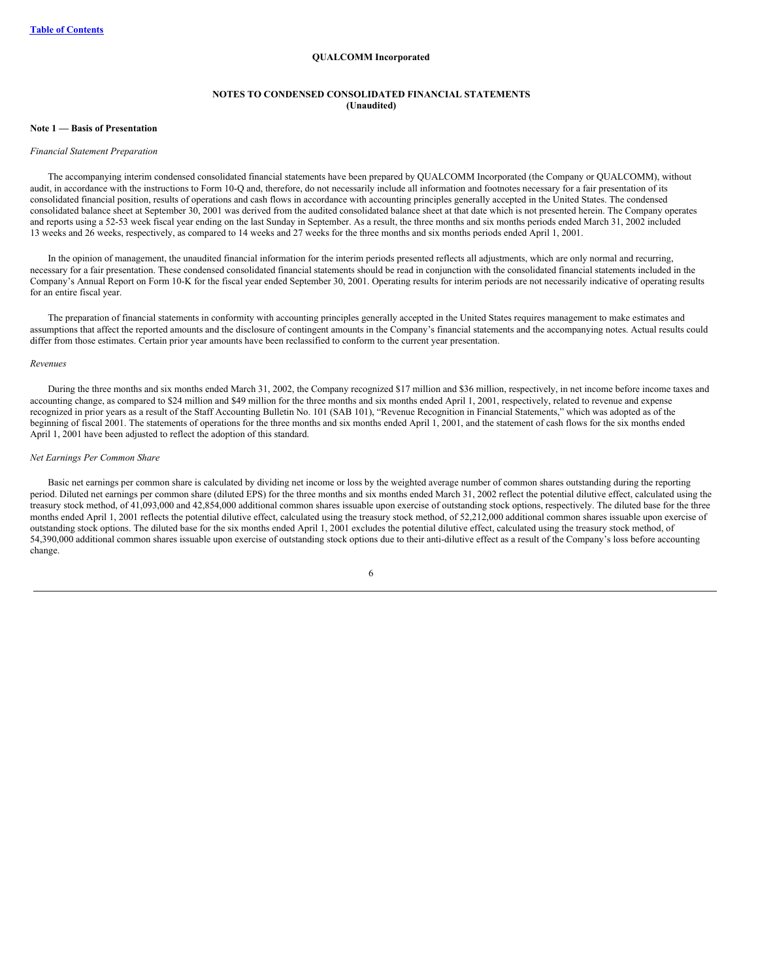#### **QUALCOMM Incorporated**

# **NOTES TO CONDENSED CONSOLIDATED FINANCIAL STATEMENTS (Unaudited)**

# <span id="page-6-0"></span>**Note 1 — Basis of Presentation**

#### *Financial Statement Preparation*

The accompanying interim condensed consolidated financial statements have been prepared by QUALCOMM Incorporated (the Company or QUALCOMM), without audit, in accordance with the instructions to Form 10-Q and, therefore, do not necessarily include all information and footnotes necessary for a fair presentation of its consolidated financial position, results of operations and cash flows in accordance with accounting principles generally accepted in the United States. The condensed consolidated balance sheet at September 30, 2001 was derived from the audited consolidated balance sheet at that date which is not presented herein. The Company operates and reports using a 52-53 week fiscal year ending on the last Sunday in September. As a result, the three months and six months periods ended March 31, 2002 included 13 weeks and 26 weeks, respectively, as compared to 14 weeks and 27 weeks for the three months and six months periods ended April 1, 2001.

In the opinion of management, the unaudited financial information for the interim periods presented reflects all adjustments, which are only normal and recurring, necessary for a fair presentation. These condensed consolidated financial statements should be read in conjunction with the consolidated financial statements included in the Company's Annual Report on Form 10-K for the fiscal year ended September 30, 2001. Operating results for interim periods are not necessarily indicative of operating results for an entire fiscal year.

The preparation of financial statements in conformity with accounting principles generally accepted in the United States requires management to make estimates and assumptions that affect the reported amounts and the disclosure of contingent amounts in the Company's financial statements and the accompanying notes. Actual results could differ from those estimates. Certain prior year amounts have been reclassified to conform to the current year presentation.

#### *Revenues*

During the three months and six months ended March 31, 2002, the Company recognized \$17 million and \$36 million, respectively, in net income before income taxes and accounting change, as compared to \$24 million and \$49 million for the three months and six months ended April 1, 2001, respectively, related to revenue and expense recognized in prior years as a result of the Staff Accounting Bulletin No. 101 (SAB 101), "Revenue Recognition in Financial Statements," which was adopted as of the beginning of fiscal 2001. The statements of operations for the three months and six months ended April 1, 2001, and the statement of cash flows for the six months ended April 1, 2001 have been adjusted to reflect the adoption of this standard.

#### *Net Earnings Per Common Share*

Basic net earnings per common share is calculated by dividing net income or loss by the weighted average number of common shares outstanding during the reporting period. Diluted net earnings per common share (diluted EPS) for the three months and six months ended March 31, 2002 reflect the potential dilutive effect, calculated using the treasury stock method, of 41,093,000 and 42,854,000 additional common shares issuable upon exercise of outstanding stock options, respectively. The diluted base for the three months ended April 1, 2001 reflects the potential dilutive effect, calculated using the treasury stock method, of 52,212,000 additional common shares issuable upon exercise of outstanding stock options. The diluted base for the six months ended April 1, 2001 excludes the potential dilutive effect, calculated using the treasury stock method, of 54,390,000 additional common shares issuable upon exercise of outstanding stock options due to their anti-dilutive effect as a result of the Company's loss before accounting change.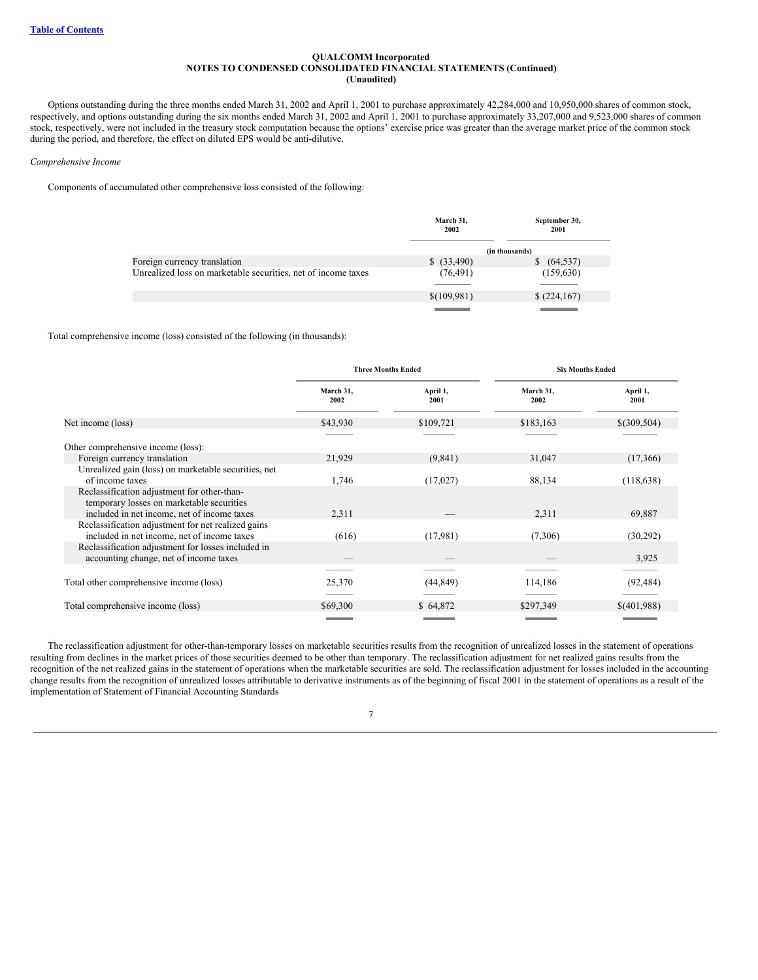Options outstanding during the three months ended March 31, 2002 and April 1, 2001 to purchase approximately 42,284,000 and 10,950,000 shares of common stock, respectively, and options outstanding during the six months ended March 31, 2002 and April 1, 2001 to purchase approximately 33,207,000 and 9,523,000 shares of common stock, respectively, were not included in the treasury stock computation because the options' exercise price was greater than the average market price of the common stock during the period, and therefore, the effect on diluted EPS would be anti-dilutive.

*Comprehensive Income*

Components of accumulated other comprehensive loss consisted of the following:

|                                                               | March 31,<br>2002 | September 30,<br>2001     |
|---------------------------------------------------------------|-------------------|---------------------------|
|                                                               |                   | (in thousands)            |
| Foreign currency translation                                  | \$ (33,490)       | (64, 537)<br><sup>S</sup> |
| Unrealized loss on marketable securities, net of income taxes | (76, 491)         | (159, 630)                |
|                                                               | \$(109, 981)      | \$(224,167)               |
|                                                               |                   |                           |

Total comprehensive income (loss) consisted of the following (in thousands):

|                                                                                                   | <b>Three Months Ended</b> |                  | <b>Six Months Ended</b> |                  |
|---------------------------------------------------------------------------------------------------|---------------------------|------------------|-------------------------|------------------|
|                                                                                                   | March 31.<br>2002         | April 1,<br>2001 | March 31,<br>2002       | April 1,<br>2001 |
| Net income (loss)                                                                                 | \$43,930                  | \$109,721        | \$183,163               | \$(309,504)      |
| Other comprehensive income (loss):                                                                |                           |                  |                         |                  |
| Foreign currency translation                                                                      | 21,929                    | (9, 841)         | 31,047                  | (17,366)         |
| Unrealized gain (loss) on marketable securities, net                                              |                           |                  |                         |                  |
| of income taxes                                                                                   | 1,746                     | (17,027)         | 88,134                  | (118, 638)       |
| Reclassification adjustment for other-than-<br>temporary losses on marketable securities          |                           |                  |                         |                  |
| included in net income, net of income taxes                                                       | 2,311                     |                  | 2,311                   | 69,887           |
| Reclassification adjustment for net realized gains<br>included in net income, net of income taxes | (616)                     | (17,981)         | (7,306)                 | (30,292)         |
| Reclassification adjustment for losses included in<br>accounting change, net of income taxes      |                           |                  |                         | 3,925            |
|                                                                                                   |                           |                  |                         |                  |
| Total other comprehensive income (loss)                                                           | 25,370                    | (44, 849)        | 114,186                 | (92, 484)        |
| Total comprehensive income (loss)                                                                 | \$69,300                  | \$64,872         | \$297,349               | \$(401,988)      |
|                                                                                                   |                           |                  |                         |                  |

The reclassification adjustment for other-than-temporary losses on marketable securities results from the recognition of unrealized losses in the statement of operations resulting from declines in the market prices of those securities deemed to be other than temporary. The reclassification adjustment for net realized gains results from the recognition of the net realized gains in the statement of operations when the marketable securities are sold. The reclassification adjustment for losses included in the accounting change results from the recognition of unrealized losses attributable to derivative instruments as of the beginning of fiscal 2001 in the statement of operations as a result of the implementation of Statement of Financial Accounting Standards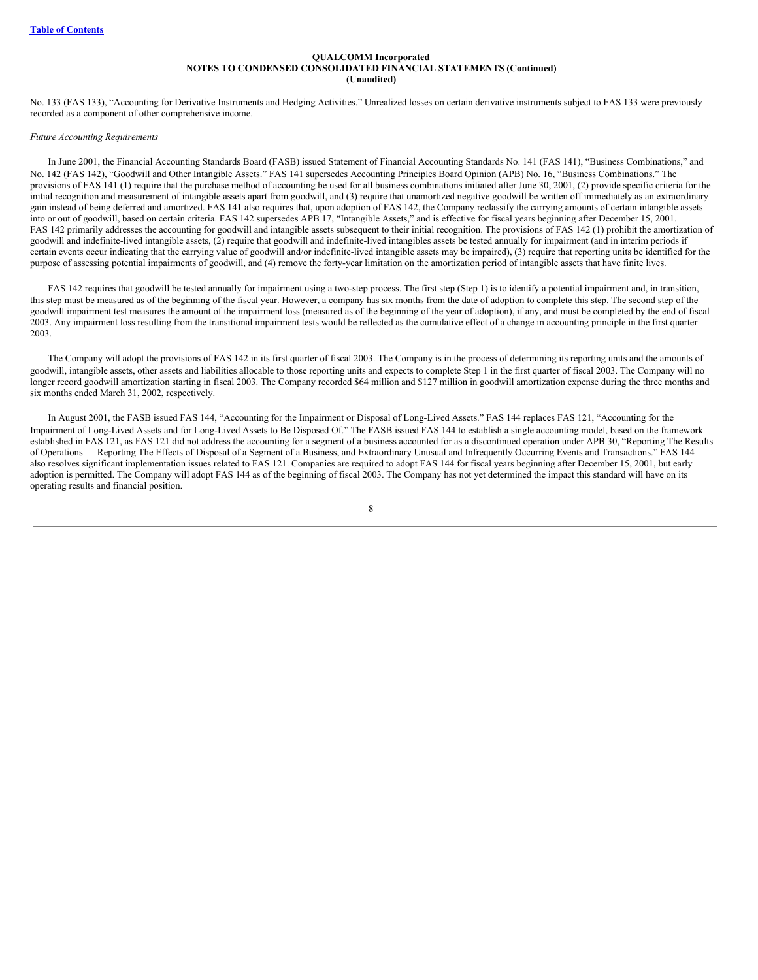No. 133 (FAS 133), "Accounting for Derivative Instruments and Hedging Activities." Unrealized losses on certain derivative instruments subject to FAS 133 were previously recorded as a component of other comprehensive income.

#### *Future Accounting Requirements*

In June 2001, the Financial Accounting Standards Board (FASB) issued Statement of Financial Accounting Standards No. 141 (FAS 141), "Business Combinations," and No. 142 (FAS 142), "Goodwill and Other Intangible Assets." FAS 141 supersedes Accounting Principles Board Opinion (APB) No. 16, "Business Combinations." The provisions of FAS 141 (1) require that the purchase method of accounting be used for all business combinations initiated after June 30, 2001, (2) provide specific criteria for the initial recognition and measurement of intangible assets apart from goodwill, and (3) require that unamortized negative goodwill be written off immediately as an extraordinary gain instead of being deferred and amortized. FAS 141 also requires that, upon adoption of FAS 142, the Company reclassify the carrying amounts of certain intangible assets into or out of goodwill, based on certain criteria. FAS 142 supersedes APB 17, "Intangible Assets," and is effective for fiscal years beginning after December 15, 2001. FAS 142 primarily addresses the accounting for goodwill and intangible assets subsequent to their initial recognition. The provisions of FAS 142 (1) prohibit the amortization of goodwill and indefinite-lived intangible assets, (2) require that goodwill and indefinite-lived intangibles assets be tested annually for impairment (and in interim periods if certain events occur indicating that the carrying value of goodwill and/or indefinite-lived intangible assets may be impaired), (3) require that reporting units be identified for the purpose of assessing potential impairments of goodwill, and (4) remove the forty-year limitation on the amortization period of intangible assets that have finite lives.

FAS 142 requires that goodwill be tested annually for impairment using a two-step process. The first step (Step 1) is to identify a potential impairment and, in transition, this step must be measured as of the beginning of the fiscal year. However, a company has six months from the date of adoption to complete this step. The second step of the goodwill impairment test measures the amount of the impairment loss (measured as of the beginning of the year of adoption), if any, and must be completed by the end of fiscal 2003. Any impairment loss resulting from the transitional impairment tests would be reflected as the cumulative effect of a change in accounting principle in the first quarter 2003.

The Company will adopt the provisions of FAS 142 in its first quarter of fiscal 2003. The Company is in the process of determining its reporting units and the amounts of goodwill, intangible assets, other assets and liabilities allocable to those reporting units and expects to complete Step 1 in the first quarter of fiscal 2003. The Company will no longer record goodwill amortization starting in fiscal 2003. The Company recorded \$64 million and \$127 million in goodwill amortization expense during the three months and six months ended March 31, 2002, respectively.

In August 2001, the FASB issued FAS 144, "Accounting for the Impairment or Disposal of Long-Lived Assets." FAS 144 replaces FAS 121, "Accounting for the Impairment of Long-Lived Assets and for Long-Lived Assets to Be Disposed Of." The FASB issued FAS 144 to establish a single accounting model, based on the framework established in FAS 121, as FAS 121 did not address the accounting for a segment of a business accounted for as a discontinued operation under APB 30, "Reporting The Results of Operations — Reporting The Effects of Disposal of a Segment of a Business, and Extraordinary Unusual and Infrequently Occurring Events and Transactions." FAS 144 also resolves significant implementation issues related to FAS 121. Companies are required to adopt FAS 144 for fiscal years beginning after December 15, 2001, but early adoption is permitted. The Company will adopt FAS 144 as of the beginning of fiscal 2003. The Company has not yet determined the impact this standard will have on its operating results and financial position.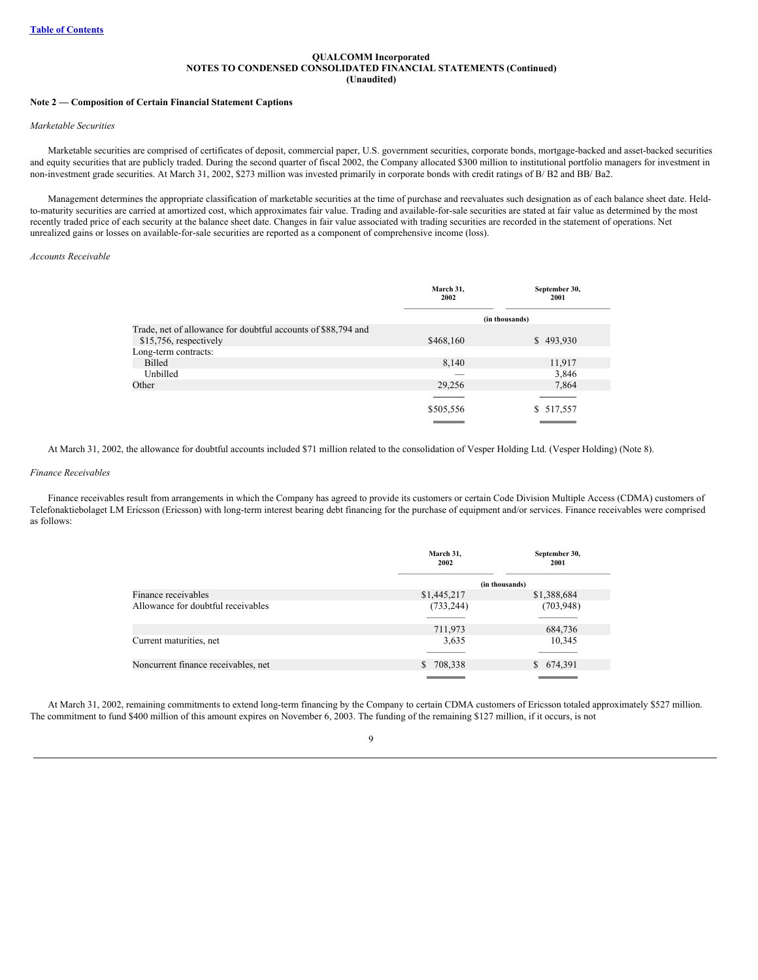### **Note 2 — Composition of Certain Financial Statement Captions**

#### *Marketable Securities*

Marketable securities are comprised of certificates of deposit, commercial paper, U.S. government securities, corporate bonds, mortgage-backed and asset-backed securities and equity securities that are publicly traded. During the second quarter of fiscal 2002, the Company allocated \$300 million to institutional portfolio managers for investment in non-investment grade securities. At March 31, 2002, \$273 million was invested primarily in corporate bonds with credit ratings of B/ B2 and BB/ Ba2.

Management determines the appropriate classification of marketable securities at the time of purchase and reevaluates such designation as of each balance sheet date. Heldto-maturity securities are carried at amortized cost, which approximates fair value. Trading and available-for-sale securities are stated at fair value as determined by the most recently traded price of each security at the balance sheet date. Changes in fair value associated with trading securities are recorded in the statement of operations. Net unrealized gains or losses on available-for-sale securities are reported as a component of comprehensive income (loss).

# *Accounts Receivable*

|                                                               | March 31,<br>2002 | September 30,<br>2001 |
|---------------------------------------------------------------|-------------------|-----------------------|
|                                                               |                   | (in thousands)        |
| Trade, net of allowance for doubtful accounts of \$88,794 and |                   |                       |
| \$15,756, respectively                                        | \$468,160         | \$493,930             |
| Long-term contracts:                                          |                   |                       |
| Billed                                                        | 8,140             | 11,917                |
| Unbilled                                                      |                   | 3,846                 |
| Other                                                         | 29,256            | 7,864                 |
|                                                               |                   |                       |
|                                                               | \$505,556         | \$ 517,557            |
|                                                               |                   |                       |

At March 31, 2002, the allowance for doubtful accounts included \$71 million related to the consolidation of Vesper Holding Ltd. (Vesper Holding) (Note 8).

#### *Finance Receivables*

Finance receivables result from arrangements in which the Company has agreed to provide its customers or certain Code Division Multiple Access (CDMA) customers of Telefonaktiebolaget LM Ericsson (Ericsson) with long-term interest bearing debt financing for the purchase of equipment and/or services. Finance receivables were comprised as follows:

|                                     | March 31,<br>2002 | September 30,<br>2001 |
|-------------------------------------|-------------------|-----------------------|
|                                     | (in thousands)    |                       |
| Finance receivables                 | \$1,445,217       | \$1,388,684           |
| Allowance for doubtful receivables  | (733, 244)        | (703, 948)            |
|                                     |                   |                       |
|                                     | 711,973           | 684,736               |
| Current maturities, net             | 3,635             | 10,345                |
|                                     |                   |                       |
| Noncurrent finance receivables, net | 708,338           | \$ 674,391            |
|                                     |                   |                       |

At March 31, 2002, remaining commitments to extend long-term financing by the Company to certain CDMA customers of Ericsson totaled approximately \$527 million. The commitment to fund \$400 million of this amount expires on November 6, 2003. The funding of the remaining \$127 million, if it occurs, is not

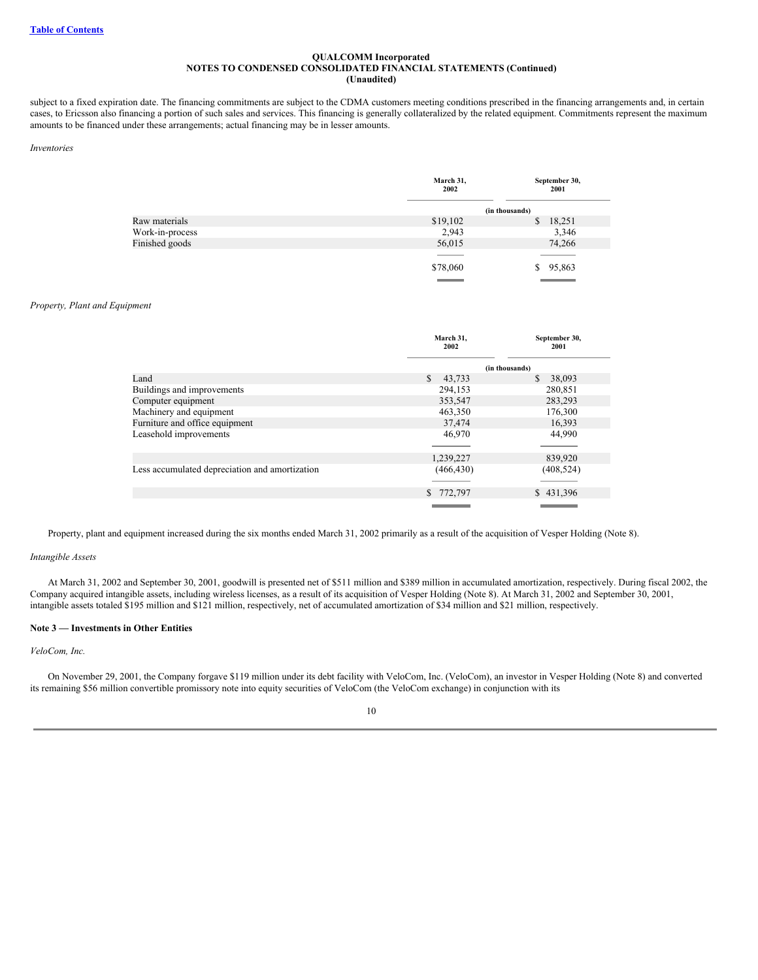subject to a fixed expiration date. The financing commitments are subject to the CDMA customers meeting conditions prescribed in the financing arrangements and, in certain cases, to Ericsson also financing a portion of such sales and services. This financing is generally collateralized by the related equipment. Commitments represent the maximum amounts to be financed under these arrangements; actual financing may be in lesser amounts.

# *Inventories*

|                 | March 31,<br>2002 | September 30,<br>2001 |
|-----------------|-------------------|-----------------------|
|                 |                   | (in thousands)        |
| Raw materials   | \$19,102          | 18,251<br>\$          |
| Work-in-process | 2,943             | 3,346                 |
| Finished goods  | 56,015            | 74,266                |
|                 |                   |                       |
|                 | \$78,060          | 95,863<br>S.          |
|                 |                   |                       |

# *Property, Plant and Equipment*

|                                                | March 31,<br>2002 | September 30,<br>2001 |  |
|------------------------------------------------|-------------------|-----------------------|--|
|                                                |                   | (in thousands)        |  |
| Land                                           | S<br>43,733       | 38,093<br>\$.         |  |
| Buildings and improvements                     | 294,153           | 280,851               |  |
| Computer equipment                             | 353,547           | 283,293               |  |
| Machinery and equipment                        | 463,350           | 176,300               |  |
| Furniture and office equipment                 | 37,474            | 16,393                |  |
| Leasehold improvements                         | 46,970            | 44,990                |  |
|                                                |                   |                       |  |
|                                                | 1,239,227         | 839,920               |  |
| Less accumulated depreciation and amortization | (466, 430)        | (408, 524)            |  |
|                                                |                   |                       |  |
|                                                | \$772,797         | \$431,396             |  |
|                                                |                   |                       |  |

Property, plant and equipment increased during the six months ended March 31, 2002 primarily as a result of the acquisition of Vesper Holding (Note 8).

# *Intangible Assets*

At March 31, 2002 and September 30, 2001, goodwill is presented net of \$511 million and \$389 million in accumulated amortization, respectively. During fiscal 2002, the Company acquired intangible assets, including wireless licenses, as a result of its acquisition of Vesper Holding (Note 8). At March 31, 2002 and September 30, 2001, intangible assets totaled \$195 million and \$121 million, respectively, net of accumulated amortization of \$34 million and \$21 million, respectively.

#### **Note 3 — Investments in Other Entities**

*VeloCom, Inc.*

On November 29, 2001, the Company forgave \$119 million under its debt facility with VeloCom, Inc. (VeloCom), an investor in Vesper Holding (Note 8) and converted its remaining \$56 million convertible promissory note into equity securities of VeloCom (the VeloCom exchange) in conjunction with its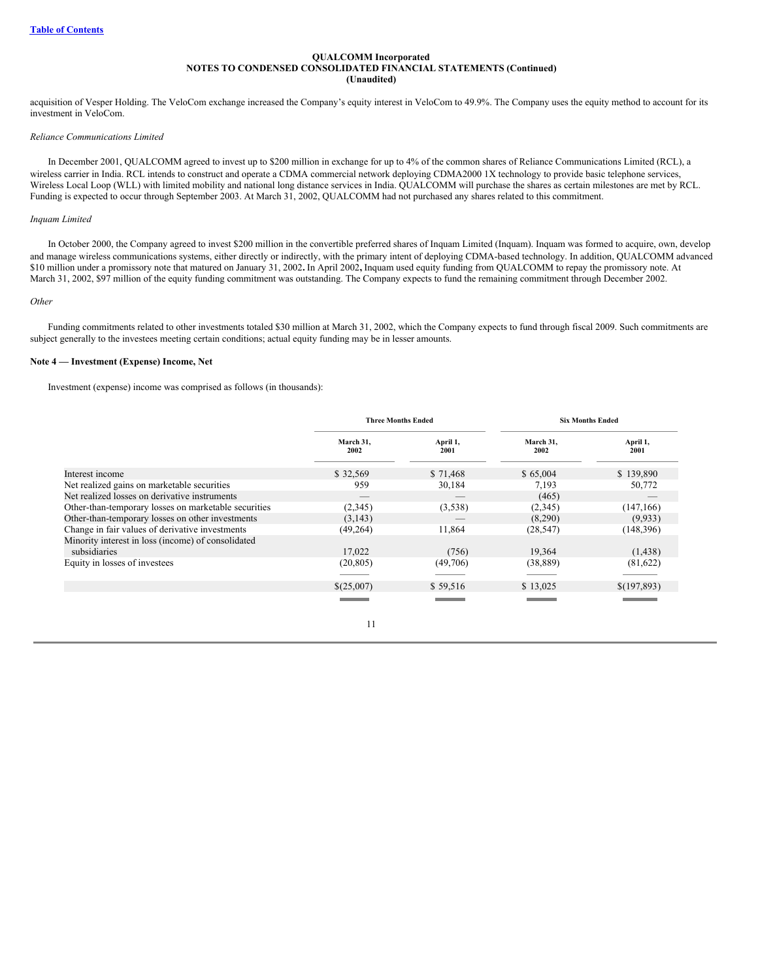acquisition of Vesper Holding. The VeloCom exchange increased the Company's equity interest in VeloCom to 49.9%. The Company uses the equity method to account for its investment in VeloCom.

#### *Reliance Communications Limited*

In December 2001, QUALCOMM agreed to invest up to \$200 million in exchange for up to 4% of the common shares of Reliance Communications Limited (RCL), a wireless carrier in India. RCL intends to construct and operate a CDMA commercial network deploying CDMA2000 1X technology to provide basic telephone services, Wireless Local Loop (WLL) with limited mobility and national long distance services in India. QUALCOMM will purchase the shares as certain milestones are met by RCL. Funding is expected to occur through September 2003. At March 31, 2002, QUALCOMM had not purchased any shares related to this commitment.

# *Inquam Limited*

In October 2000, the Company agreed to invest \$200 million in the convertible preferred shares of Inquam Limited (Inquam). Inquam was formed to acquire, own, develop and manage wireless communications systems, either directly or indirectly, with the primary intent of deploying CDMA-based technology. In addition, QUALCOMM advanced \$10 million under a promissory note that matured on January 31, 2002**.** In April 2002**,** Inquam used equity funding from QUALCOMM to repay the promissory note. At March 31, 2002, \$97 million of the equity funding commitment was outstanding. The Company expects to fund the remaining commitment through December 2002.

### *Other*

Funding commitments related to other investments totaled \$30 million at March 31, 2002, which the Company expects to fund through fiscal 2009. Such commitments are subject generally to the investees meeting certain conditions; actual equity funding may be in lesser amounts.

### **Note 4 — Investment (Expense) Income, Net**

Investment (expense) income was comprised as follows (in thousands):

|                                                      | <b>Three Months Ended</b> |                          | <b>Six Months Ended</b> |                  |
|------------------------------------------------------|---------------------------|--------------------------|-------------------------|------------------|
|                                                      | March 31,<br>2002         | April 1,<br>2001         | March 31,<br>2002       | April 1,<br>2001 |
| Interest income                                      | \$32,569                  | \$71,468                 | \$65,004                | \$139,890        |
| Net realized gains on marketable securities          | 959                       | 30,184                   | 7,193                   | 50,772           |
| Net realized losses on derivative instruments        |                           | $\qquad \qquad - \qquad$ | (465)                   |                  |
| Other-than-temporary losses on marketable securities | (2,345)                   | (3,538)                  | (2,345)                 | (147, 166)       |
| Other-than-temporary losses on other investments     | (3, 143)                  |                          | (8,290)                 | (9.933)          |
| Change in fair values of derivative investments      | (49,264)                  | 11,864                   | (28, 547)               | (148,396)        |
| Minority interest in loss (income) of consolidated   |                           |                          |                         |                  |
| subsidiaries                                         | 17,022                    | (756)                    | 19,364                  | (1, 438)         |
| Equity in losses of investees                        | (20, 805)                 | (49,706)                 | (38, 889)               | (81, 622)        |
|                                                      |                           |                          |                         |                  |
|                                                      | \$(25,007)                | \$59,516                 | \$13,025                | \$(197,893)      |
|                                                      |                           |                          |                         |                  |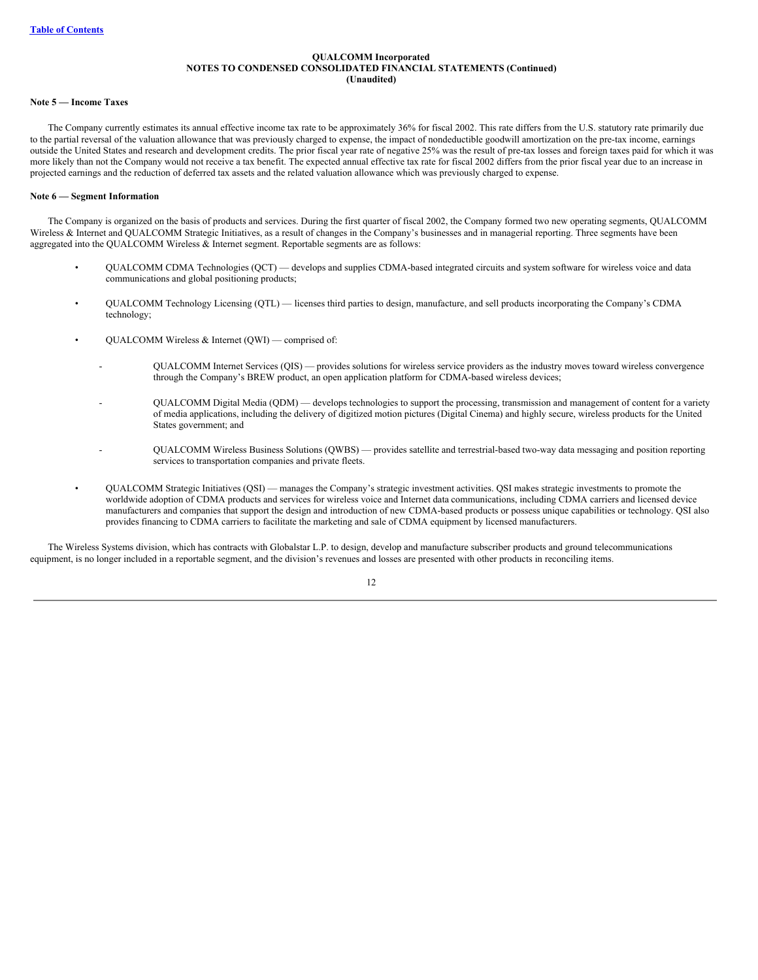#### **Note 5 — Income Taxes**

The Company currently estimates its annual effective income tax rate to be approximately 36% for fiscal 2002. This rate differs from the U.S. statutory rate primarily due to the partial reversal of the valuation allowance that was previously charged to expense, the impact of nondeductible goodwill amortization on the pre-tax income, earnings outside the United States and research and development credits. The prior fiscal year rate of negative 25% was the result of pre-tax losses and foreign taxes paid for which it was more likely than not the Company would not receive a tax benefit. The expected annual effective tax rate for fiscal 2002 differs from the prior fiscal year due to an increase in projected earnings and the reduction of deferred tax assets and the related valuation allowance which was previously charged to expense.

# **Note 6 — Segment Information**

The Company is organized on the basis of products and services. During the first quarter of fiscal 2002, the Company formed two new operating segments, QUALCOMM Wireless & Internet and QUALCOMM Strategic Initiatives, as a result of changes in the Company's businesses and in managerial reporting. Three segments have been aggregated into the QUALCOMM Wireless & Internet segment. Reportable segments are as follows:

- QUALCOMM CDMA Technologies (QCT) develops and supplies CDMA-based integrated circuits and system software for wireless voice and data communications and global positioning products;
- QUALCOMM Technology Licensing (QTL) licenses third parties to design, manufacture, and sell products incorporating the Company's CDMA technology;
- QUALCOMM Wireless & Internet (QWI) comprised of:
	- QUALCOMM Internet Services (QIS) provides solutions for wireless service providers as the industry moves toward wireless convergence through the Company's BREW product, an open application platform for CDMA-based wireless devices;
	- QUALCOMM Digital Media (QDM) develops technologies to support the processing, transmission and management of content for a variety of media applications, including the delivery of digitized motion pictures (Digital Cinema) and highly secure, wireless products for the United States government; and
		- QUALCOMM Wireless Business Solutions (QWBS) provides satellite and terrestrial-based two-way data messaging and position reporting services to transportation companies and private fleets.
	- QUALCOMM Strategic Initiatives (QSI) manages the Company's strategic investment activities. QSI makes strategic investments to promote the worldwide adoption of CDMA products and services for wireless voice and Internet data communications, including CDMA carriers and licensed device manufacturers and companies that support the design and introduction of new CDMA-based products or possess unique capabilities or technology. QSI also provides financing to CDMA carriers to facilitate the marketing and sale of CDMA equipment by licensed manufacturers.

The Wireless Systems division, which has contracts with Globalstar L.P. to design, develop and manufacture subscriber products and ground telecommunications equipment, is no longer included in a reportable segment, and the division's revenues and losses are presented with other products in reconciling items.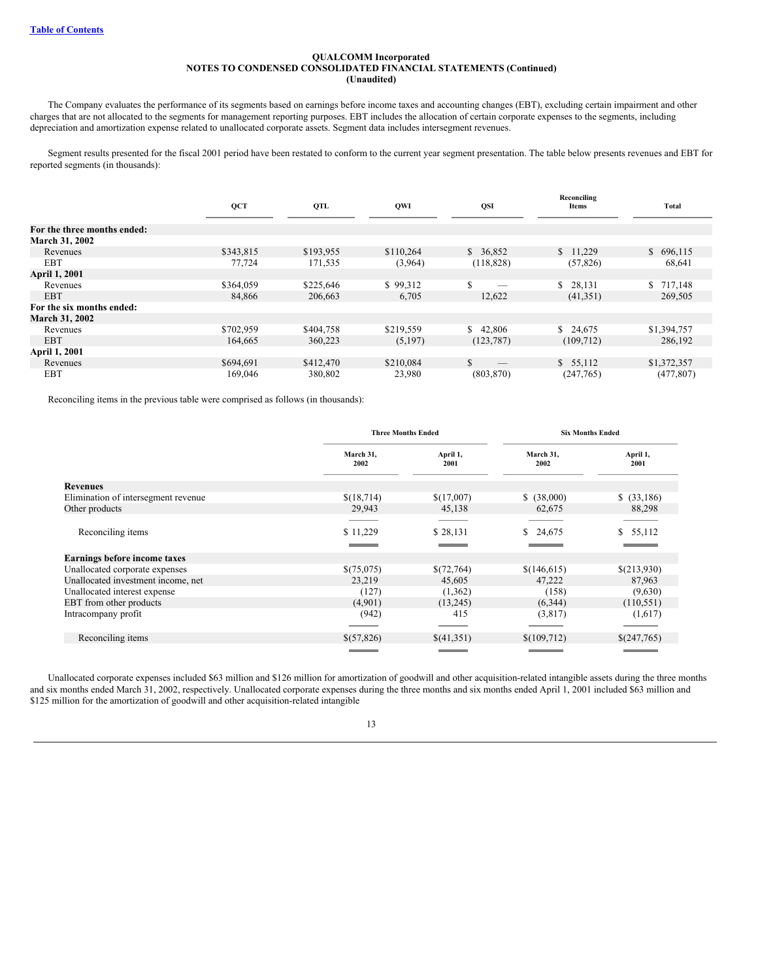The Company evaluates the performance of its segments based on earnings before income taxes and accounting changes (EBT), excluding certain impairment and other charges that are not allocated to the segments for management reporting purposes. EBT includes the allocation of certain corporate expenses to the segments, including depreciation and amortization expense related to unallocated corporate assets. Segment data includes intersegment revenues.

Segment results presented for the fiscal 2001 period have been restated to conform to the current year segment presentation. The table below presents revenues and EBT for reported segments (in thousands):

|                             |           |           |           |            | Reconciling |             |
|-----------------------------|-----------|-----------|-----------|------------|-------------|-------------|
|                             | QCT       | QTL       | OWI       | QSI        | Items       | Total       |
| For the three months ended: |           |           |           |            |             |             |
| March 31, 2002              |           |           |           |            |             |             |
| Revenues                    | \$343,815 | \$193,955 | \$110,264 | \$36,852   | \$11,229    | \$696,115   |
| <b>EBT</b>                  | 77,724    | 171,535   | (3,964)   | (118, 828) | (57, 826)   | 68,641      |
| <b>April 1, 2001</b>        |           |           |           |            |             |             |
| Revenues                    | \$364,059 | \$225,646 | \$99,312  | S<br>_     | \$ 28,131   | \$717,148   |
| <b>EBT</b>                  | 84,866    | 206,663   | 6,705     | 12,622     | (41, 351)   | 269,505     |
| For the six months ended:   |           |           |           |            |             |             |
| <b>March 31, 2002</b>       |           |           |           |            |             |             |
| Revenues                    | \$702,959 | \$404,758 | \$219,559 | \$42,806   | \$24,675    | \$1,394,757 |
| <b>EBT</b>                  | 164,665   | 360,223   | (5,197)   | (123, 787) | (109, 712)  | 286,192     |
| April 1, 2001               |           |           |           |            |             |             |
| Revenues                    | \$694.691 | \$412,470 | \$210,084 | \$.        | \$55,112    | \$1,372,357 |
| <b>EBT</b>                  | 169,046   | 380,802   | 23,980    | (803, 870) | (247,765)   | (477, 807)  |

Reconciling items in the previous table were comprised as follows (in thousands):

|                                     |                   | <b>Three Months Ended</b> |                   | <b>Six Months Ended</b> |  |
|-------------------------------------|-------------------|---------------------------|-------------------|-------------------------|--|
|                                     | March 31,<br>2002 | April 1,<br>2001          | March 31,<br>2002 | April 1,<br>2001        |  |
| <b>Revenues</b>                     |                   |                           |                   |                         |  |
| Elimination of intersegment revenue | \$(18,714)        | \$(17,007)                | \$ (38,000)       | $$$ (33,186)            |  |
| Other products                      | 29,943            | 45,138                    | 62,675            | 88,298                  |  |
|                                     |                   |                           |                   |                         |  |
| Reconciling items                   | \$11,229          | \$28,131                  | \$24,675          | \$55,112                |  |
|                                     |                   |                           |                   |                         |  |
| <b>Earnings before income taxes</b> |                   |                           |                   |                         |  |
| Unallocated corporate expenses      | \$(75,075)        | \$(72,764)                | \$(146,615)       | \$(213,930)             |  |
| Unallocated investment income, net  | 23,219            | 45,605                    | 47,222            | 87,963                  |  |
| Unallocated interest expense        | (127)             | (1,362)                   | (158)             | (9,630)                 |  |
| EBT from other products             | (4,901)           | (13,245)                  | (6, 344)          | (110, 551)              |  |
| Intracompany profit                 | (942)             | 415                       | (3,817)           | (1,617)                 |  |
|                                     |                   |                           |                   |                         |  |
| Reconciling items                   | \$(57,826)        | \$(41,351)                | \$(109,712)       | \$(247,765)             |  |
|                                     |                   |                           |                   | <u> Tanzania (</u>      |  |

Unallocated corporate expenses included \$63 million and \$126 million for amortization of goodwill and other acquisition-related intangible assets during the three months and six months ended March 31, 2002, respectively. Unallocated corporate expenses during the three months and six months ended April 1, 2001 included \$63 million and \$125 million for the amortization of goodwill and other acquisition-related intangible

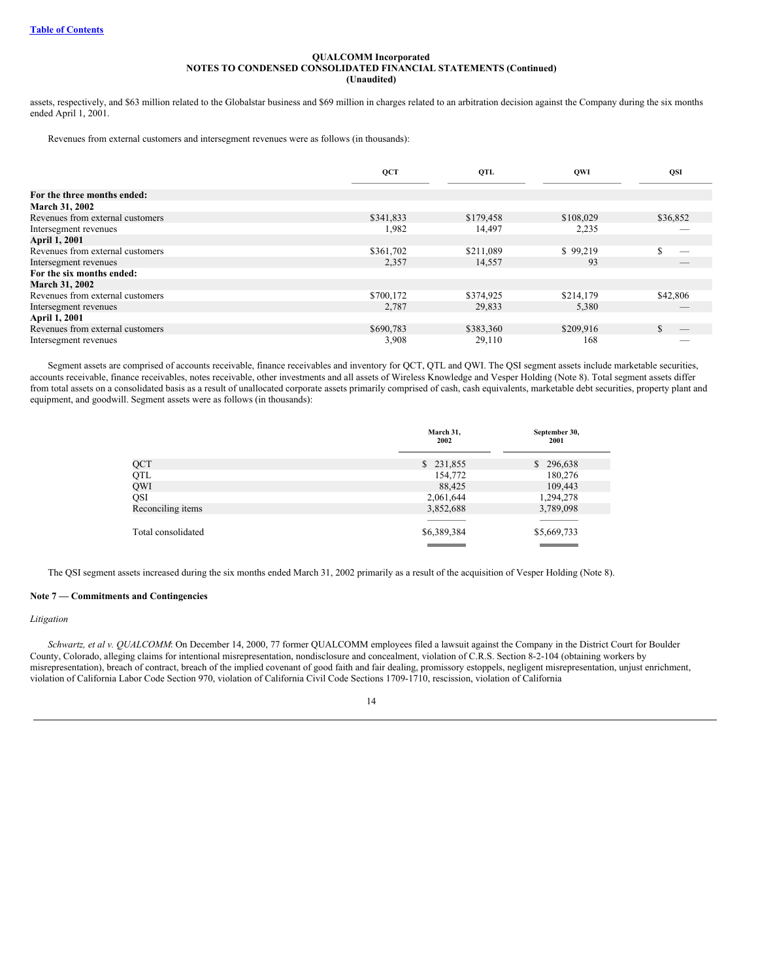assets, respectively, and \$63 million related to the Globalstar business and \$69 million in charges related to an arbitration decision against the Company during the six months ended April 1, 2001.

Revenues from external customers and intersegment revenues were as follows (in thousands):

|                                  | QCT       | QTL       | QWI       | <b>QSI</b>        |
|----------------------------------|-----------|-----------|-----------|-------------------|
| For the three months ended:      |           |           |           |                   |
| March 31, 2002                   |           |           |           |                   |
| Revenues from external customers | \$341,833 | \$179,458 | \$108,029 | \$36,852          |
| Intersegment revenues            | 1,982     | 14,497    | 2,235     |                   |
| <b>April 1, 2001</b>             |           |           |           |                   |
| Revenues from external customers | \$361,702 | \$211,089 | \$99,219  |                   |
| Intersegment revenues            | 2,357     | 14,557    | 93        |                   |
| For the six months ended:        |           |           |           |                   |
| <b>March 31, 2002</b>            |           |           |           |                   |
| Revenues from external customers | \$700,172 | \$374,925 | \$214,179 | \$42,806          |
| Intersegment revenues            | 2,787     | 29,833    | 5,380     |                   |
| <b>April 1, 2001</b>             |           |           |           |                   |
| Revenues from external customers | \$690,783 | \$383,360 | \$209,916 | $\qquad \qquad -$ |
| Intersegment revenues            | 3.908     | 29,110    | 168       |                   |

Segment assets are comprised of accounts receivable, finance receivables and inventory for QCT, QTL and QWI. The QSI segment assets include marketable securities, accounts receivable, finance receivables, notes receivable, other investments and all assets of Wireless Knowledge and Vesper Holding (Note 8). Total segment assets differ from total assets on a consolidated basis as a result of unallocated corporate assets primarily comprised of cash, cash equivalents, marketable debt securities, property plant and equipment, and goodwill. Segment assets were as follows (in thousands):

|                    | March 31,<br>2002 | September 30,<br>2001 |  |
|--------------------|-------------------|-----------------------|--|
| QCT                | \$ 231,855        | \$296,638             |  |
| QTL                | 154,772           | 180,276               |  |
| QWI                | 88,425            | 109,443               |  |
| QSI                | 2,061,644         | 1,294,278             |  |
| Reconciling items  | 3,852,688         | 3,789,098             |  |
| Total consolidated | \$6,389,384       | \$5,669,733           |  |
|                    |                   |                       |  |

The QSI segment assets increased during the six months ended March 31, 2002 primarily as a result of the acquisition of Vesper Holding (Note 8).

#### **Note 7 — Commitments and Contingencies**

### *Litigation*

*Schwartz, et al v. QUALCOMM*: On December 14, 2000, 77 former QUALCOMM employees filed a lawsuit against the Company in the District Court for Boulder County, Colorado, alleging claims for intentional misrepresentation, nondisclosure and concealment, violation of C.R.S. Section 8-2-104 (obtaining workers by misrepresentation), breach of contract, breach of the implied covenant of good faith and fair dealing, promissory estoppels, negligent misrepresentation, unjust enrichment, violation of California Labor Code Section 970, violation of California Civil Code Sections 1709-1710, rescission, violation of California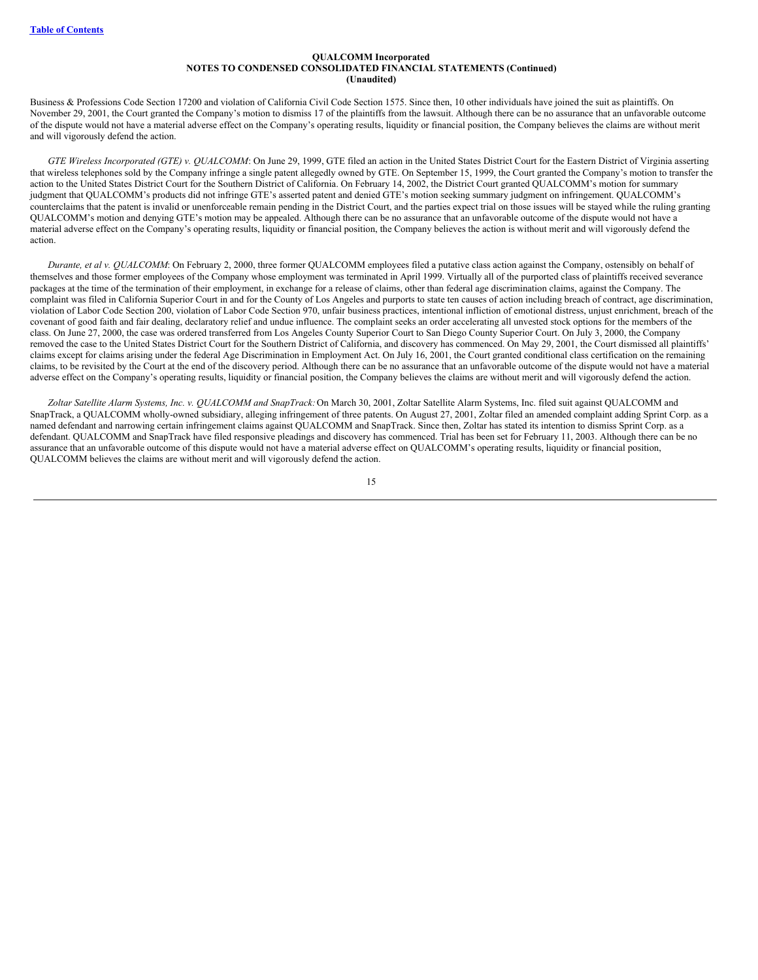Business & Professions Code Section 17200 and violation of California Civil Code Section 1575. Since then, 10 other individuals have joined the suit as plaintiffs. On November 29, 2001, the Court granted the Company's motion to dismiss 17 of the plaintiffs from the lawsuit. Although there can be no assurance that an unfavorable outcome of the dispute would not have a material adverse effect on the Company's operating results, liquidity or financial position, the Company believes the claims are without merit and will vigorously defend the action.

*GTE Wireless Incorporated (GTE) v. QUALCOMM*: On June 29, 1999, GTE filed an action in the United States District Court for the Eastern District of Virginia asserting that wireless telephones sold by the Company infringe a single patent allegedly owned by GTE. On September 15, 1999, the Court granted the Company's motion to transfer the action to the United States District Court for the Southern District of California. On February 14, 2002, the District Court granted QUALCOMM's motion for summary judgment that QUALCOMM's products did not infringe GTE's asserted patent and denied GTE's motion seeking summary judgment on infringement. QUALCOMM's counterclaims that the patent is invalid or unenforceable remain pending in the District Court, and the parties expect trial on those issues will be stayed while the ruling granting QUALCOMM's motion and denying GTE's motion may be appealed. Although there can be no assurance that an unfavorable outcome of the dispute would not have a material adverse effect on the Company's operating results, liquidity or financial position, the Company believes the action is without merit and will vigorously defend the action.

*Durante, et al v. QUALCOMM*: On February 2, 2000, three former QUALCOMM employees filed a putative class action against the Company, ostensibly on behalf of themselves and those former employees of the Company whose employment was terminated in April 1999. Virtually all of the purported class of plaintiffs received severance packages at the time of the termination of their employment, in exchange for a release of claims, other than federal age discrimination claims, against the Company. The complaint was filed in California Superior Court in and for the County of Los Angeles and purports to state ten causes of action including breach of contract, age discrimination, violation of Labor Code Section 200, violation of Labor Code Section 970, unfair business practices, intentional infliction of emotional distress, unjust enrichment, breach of the covenant of good faith and fair dealing, declaratory relief and undue influence. The complaint seeks an order accelerating all unvested stock options for the members of the class. On June 27, 2000, the case was ordered transferred from Los Angeles County Superior Court to San Diego County Superior Court. On July 3, 2000, the Company removed the case to the United States District Court for the Southern District of California, and discovery has commenced. On May 29, 2001, the Court dismissed all plaintiffs' claims except for claims arising under the federal Age Discrimination in Employment Act. On July 16, 2001, the Court granted conditional class certification on the remaining claims, to be revisited by the Court at the end of the discovery period. Although there can be no assurance that an unfavorable outcome of the dispute would not have a material adverse effect on the Company's operating results, liquidity or financial position, the Company believes the claims are without merit and will vigorously defend the action.

*Zoltar Satellite Alarm Systems, Inc. v. QUALCOMM and SnapTrack:*On March 30, 2001, Zoltar Satellite Alarm Systems, Inc. filed suit against QUALCOMM and SnapTrack, a QUALCOMM wholly-owned subsidiary, alleging infringement of three patents. On August 27, 2001, Zoltar filed an amended complaint adding Sprint Corp. as a named defendant and narrowing certain infringement claims against QUALCOMM and SnapTrack. Since then, Zoltar has stated its intention to dismiss Sprint Corp. as a defendant. QUALCOMM and SnapTrack have filed responsive pleadings and discovery has commenced. Trial has been set for February 11, 2003. Although there can be no assurance that an unfavorable outcome of this dispute would not have a material adverse effect on QUALCOMM's operating results, liquidity or financial position, QUALCOMM believes the claims are without merit and will vigorously defend the action.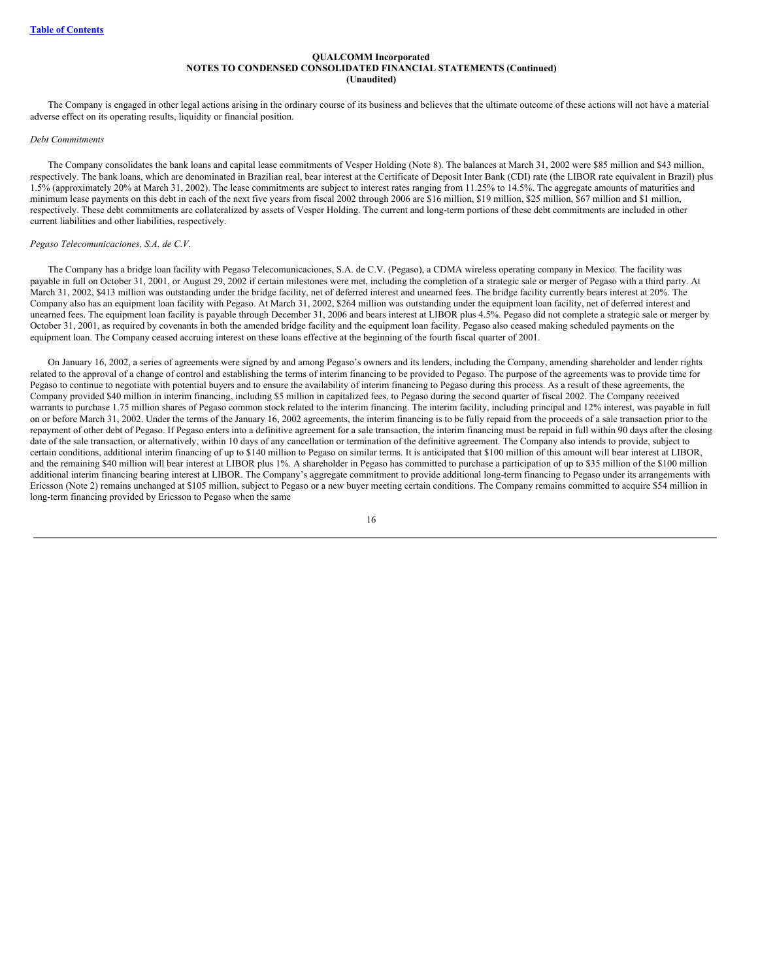The Company is engaged in other legal actions arising in the ordinary course of its business and believes that the ultimate outcome of these actions will not have a material adverse effect on its operating results, liquidity or financial position.

#### *Debt Commitments*

The Company consolidates the bank loans and capital lease commitments of Vesper Holding (Note 8). The balances at March 31, 2002 were \$85 million and \$43 million, respectively. The bank loans, which are denominated in Brazilian real, bear interest at the Certificate of Deposit Inter Bank (CDI) rate (the LIBOR rate equivalent in Brazil) plus 1.5% (approximately 20% at March 31, 2002). The lease commitments are subject to interest rates ranging from 11.25% to 14.5%. The aggregate amounts of maturities and minimum lease payments on this debt in each of the next five years from fiscal 2002 through 2006 are \$16 million, \$19 million, \$25 million, \$67 million and \$1 million, respectively. These debt commitments are collateralized by assets of Vesper Holding. The current and long-term portions of these debt commitments are included in other current liabilities and other liabilities, respectively.

# *Pegaso Telecomunicaciones, S.A. de C.V.*

The Company has a bridge loan facility with Pegaso Telecomunicaciones, S.A. de C.V. (Pegaso), a CDMA wireless operating company in Mexico. The facility was payable in full on October 31, 2001, or August 29, 2002 if certain milestones were met, including the completion of a strategic sale or merger of Pegaso with a third party. At March 31, 2002, \$413 million was outstanding under the bridge facility, net of deferred interest and unearned fees. The bridge facility currently bears interest at 20%. The Company also has an equipment loan facility with Pegaso. At March 31, 2002, \$264 million was outstanding under the equipment loan facility, net of deferred interest and unearned fees. The equipment loan facility is payable through December 31, 2006 and bears interest at LIBOR plus 4.5%. Pegaso did not complete a strategic sale or merger by October 31, 2001, as required by covenants in both the amended bridge facility and the equipment loan facility. Pegaso also ceased making scheduled payments on the equipment loan. The Company ceased accruing interest on these loans effective at the beginning of the fourth fiscal quarter of 2001.

On January 16, 2002, a series of agreements were signed by and among Pegaso's owners and its lenders, including the Company, amending shareholder and lender rights related to the approval of a change of control and establishing the terms of interim financing to be provided to Pegaso. The purpose of the agreements was to provide time for Pegaso to continue to negotiate with potential buyers and to ensure the availability of interim financing to Pegaso during this process. As a result of these agreements, the Company provided \$40 million in interim financing, including \$5 million in capitalized fees, to Pegaso during the second quarter of fiscal 2002. The Company received warrants to purchase 1.75 million shares of Pegaso common stock related to the interim financing. The interim facility, including principal and 12% interest, was payable in full on or before March 31, 2002. Under the terms of the January 16, 2002 agreements, the interim financing is to be fully repaid from the proceeds of a sale transaction prior to the repayment of other debt of Pegaso. If Pegaso enters into a definitive agreement for a sale transaction, the interim financing must be repaid in full within 90 days after the closing date of the sale transaction, or alternatively, within 10 days of any cancellation or termination of the definitive agreement. The Company also intends to provide, subject to certain conditions, additional interim financing of up to \$140 million to Pegaso on similar terms. It is anticipated that \$100 million of this amount will bear interest at LIBOR, and the remaining \$40 million will bear interest at LIBOR plus 1%. A shareholder in Pegaso has committed to purchase a participation of up to \$35 million of the \$100 million additional interim financing bearing interest at LIBOR. The Company's aggregate commitment to provide additional long-term financing to Pegaso under its arrangements with Ericsson (Note 2) remains unchanged at \$105 million, subject to Pegaso or a new buyer meeting certain conditions. The Company remains committed to acquire \$54 million in long-term financing provided by Ericsson to Pegaso when the same

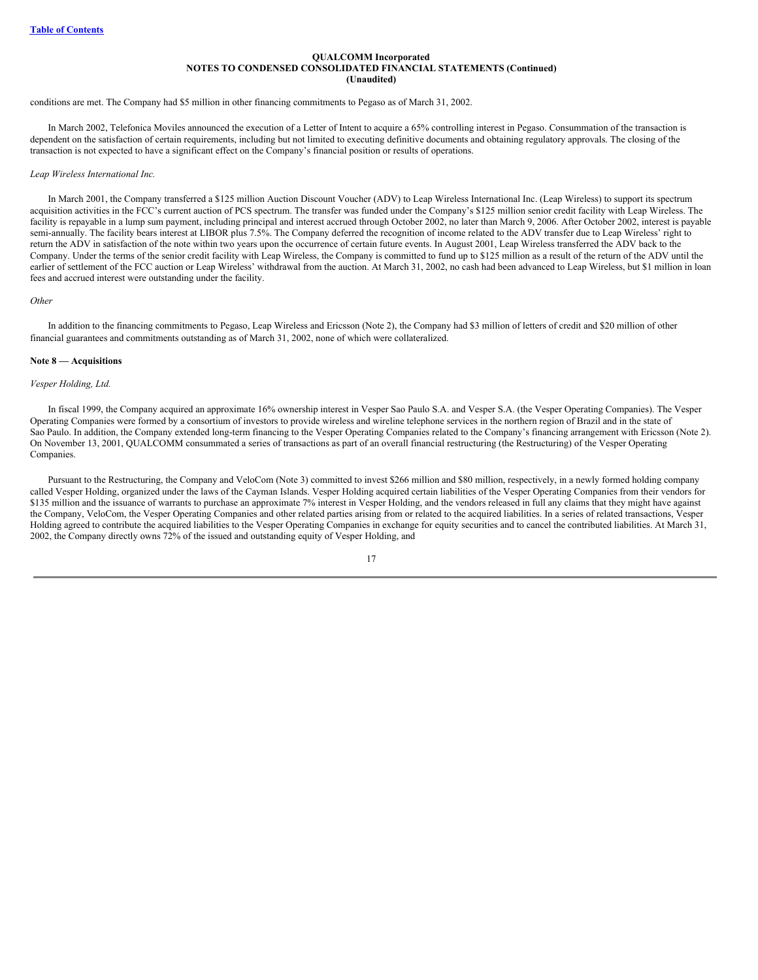conditions are met. The Company had \$5 million in other financing commitments to Pegaso as of March 31, 2002.

In March 2002, Telefonica Moviles announced the execution of a Letter of Intent to acquire a 65% controlling interest in Pegaso. Consummation of the transaction is dependent on the satisfaction of certain requirements, including but not limited to executing definitive documents and obtaining regulatory approvals. The closing of the transaction is not expected to have a significant effect on the Company's financial position or results of operations.

#### *Leap Wireless International Inc.*

In March 2001, the Company transferred a \$125 million Auction Discount Voucher (ADV) to Leap Wireless International Inc. (Leap Wireless) to support its spectrum acquisition activities in the FCC's current auction of PCS spectrum. The transfer was funded under the Company's \$125 million senior credit facility with Leap Wireless. The facility is repayable in a lump sum payment, including principal and interest accrued through October 2002, no later than March 9, 2006. After October 2002, interest is payable semi-annually. The facility bears interest at LIBOR plus 7.5%. The Company deferred the recognition of income related to the ADV transfer due to Leap Wireless' right to return the ADV in satisfaction of the note within two years upon the occurrence of certain future events. In August 2001, Leap Wireless transferred the ADV back to the Company. Under the terms of the senior credit facility with Leap Wireless, the Company is committed to fund up to \$125 million as a result of the return of the ADV until the earlier of settlement of the FCC auction or Leap Wireless' withdrawal from the auction. At March 31, 2002, no cash had been advanced to Leap Wireless, but \$1 million in loan fees and accrued interest were outstanding under the facility.

#### *Other*

In addition to the financing commitments to Pegaso, Leap Wireless and Ericsson (Note 2), the Company had \$3 million of letters of credit and \$20 million of other financial guarantees and commitments outstanding as of March 31, 2002, none of which were collateralized.

#### **Note 8 — Acquisitions**

#### *Vesper Holding, Ltd.*

In fiscal 1999, the Company acquired an approximate 16% ownership interest in Vesper Sao Paulo S.A. and Vesper S.A. (the Vesper Operating Companies). The Vesper Operating Companies were formed by a consortium of investors to provide wireless and wireline telephone services in the northern region of Brazil and in the state of Sao Paulo. In addition, the Company extended long-term financing to the Vesper Operating Companies related to the Company's financing arrangement with Ericsson (Note 2). On November 13, 2001, QUALCOMM consummated a series of transactions as part of an overall financial restructuring (the Restructuring) of the Vesper Operating Companies.

Pursuant to the Restructuring, the Company and VeloCom (Note 3) committed to invest \$266 million and \$80 million, respectively, in a newly formed holding company called Vesper Holding, organized under the laws of the Cayman Islands. Vesper Holding acquired certain liabilities of the Vesper Operating Companies from their vendors for \$135 million and the issuance of warrants to purchase an approximate 7% interest in Vesper Holding, and the vendors released in full any claims that they might have against the Company, VeloCom, the Vesper Operating Companies and other related parties arising from or related to the acquired liabilities. In a series of related transactions, Vesper Holding agreed to contribute the acquired liabilities to the Vesper Operating Companies in exchange for equity securities and to cancel the contributed liabilities. At March 31, 2002, the Company directly owns 72% of the issued and outstanding equity of Vesper Holding, and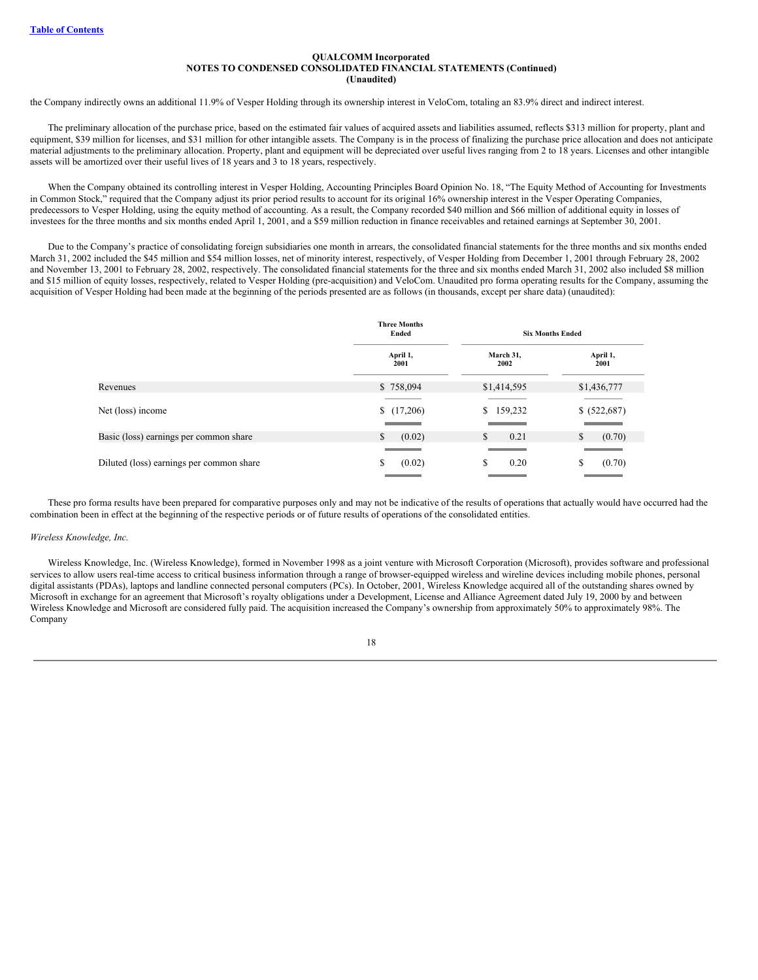the Company indirectly owns an additional 11.9% of Vesper Holding through its ownership interest in VeloCom, totaling an 83.9% direct and indirect interest.

The preliminary allocation of the purchase price, based on the estimated fair values of acquired assets and liabilities assumed, reflects \$313 million for property, plant and equipment, \$39 million for licenses, and \$31 million for other intangible assets. The Company is in the process of finalizing the purchase price allocation and does not anticipate material adjustments to the preliminary allocation. Property, plant and equipment will be depreciated over useful lives ranging from 2 to 18 years. Licenses and other intangible assets will be amortized over their useful lives of 18 years and 3 to 18 years, respectively.

When the Company obtained its controlling interest in Vesper Holding, Accounting Principles Board Opinion No. 18, "The Equity Method of Accounting for Investments in Common Stock," required that the Company adjust its prior period results to account for its original 16% ownership interest in the Vesper Operating Companies, predecessors to Vesper Holding, using the equity method of accounting. As a result, the Company recorded \$40 million and \$66 million of additional equity in losses of investees for the three months and six months ended April 1, 2001, and a \$59 million reduction in finance receivables and retained earnings at September 30, 2001.

Due to the Company's practice of consolidating foreign subsidiaries one month in arrears, the consolidated financial statements for the three months and six months ended March 31, 2002 included the \$45 million and \$54 million losses, net of minority interest, respectively, of Vesper Holding from December 1, 2001 through February 28, 2002 and November 13, 2001 to February 28, 2002, respectively. The consolidated financial statements for the three and six months ended March 31, 2002 also included \$8 million and \$15 million of equity losses, respectively, related to Vesper Holding (pre-acquisition) and VeloCom. Unaudited pro forma operating results for the Company, assuming the acquisition of Vesper Holding had been made at the beginning of the periods presented are as follows (in thousands, except per share data) (unaudited):

|                                          | <b>Three Months</b><br>Ended | <b>Six Months Ended</b> |              |  |
|------------------------------------------|------------------------------|-------------------------|--------------|--|
|                                          | April 1,                     | March 31,               | April 1,     |  |
|                                          | 2001                         | 2002                    | 2001         |  |
| Revenues                                 | \$758,094                    | \$1,414,595             | \$1,436,777  |  |
| Net (loss) income                        | (17,206)                     | \$159,232               | \$ (522,687) |  |
| Basic (loss) earnings per common share   | S.                           | \$                      | S            |  |
|                                          | (0.02)                       | 0.21                    | (0.70)       |  |
| Diluted (loss) earnings per common share | (0.02)                       | S                       | S            |  |
|                                          | S                            | 0.20                    | (0.70)       |  |

These pro forma results have been prepared for comparative purposes only and may not be indicative of the results of operations that actually would have occurred had the combination been in effect at the beginning of the respective periods or of future results of operations of the consolidated entities.

#### *Wireless Knowledge, Inc.*

Wireless Knowledge, Inc. (Wireless Knowledge), formed in November 1998 as a joint venture with Microsoft Corporation (Microsoft), provides software and professional services to allow users real-time access to critical business information through a range of browser-equipped wireless and wireline devices including mobile phones, personal digital assistants (PDAs), laptops and landline connected personal computers (PCs). In October, 2001, Wireless Knowledge acquired all of the outstanding shares owned by Microsoft in exchange for an agreement that Microsoft's royalty obligations under a Development, License and Alliance Agreement dated July 19, 2000 by and between Wireless Knowledge and Microsoft are considered fully paid. The acquisition increased the Company's ownership from approximately 50% to approximately 98%. The Company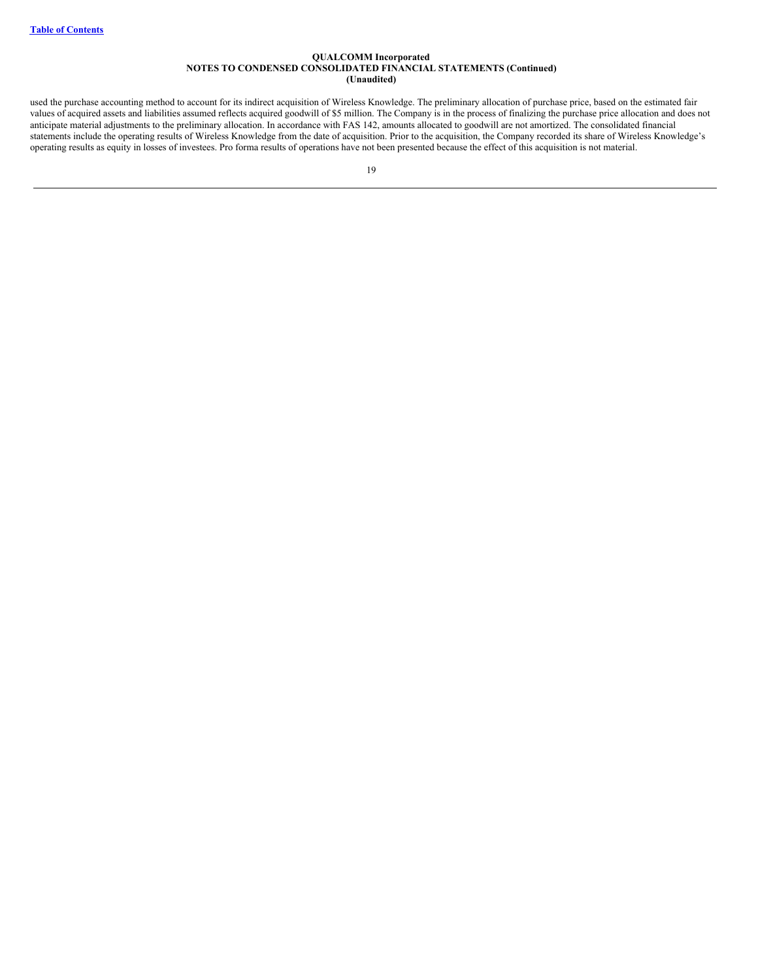used the purchase accounting method to account for its indirect acquisition of Wireless Knowledge. The preliminary allocation of purchase price, based on the estimated fair values of acquired assets and liabilities assumed reflects acquired goodwill of \$5 million. The Company is in the process of finalizing the purchase price allocation and does not anticipate material adjustments to the preliminary allocation. In accordance with FAS 142, amounts allocated to goodwill are not amortized. The consolidated financial statements include the operating results of Wireless Knowledge from the date of acquisition. Prior to the acquisition, the Company recorded its share of Wireless Knowledge's operating results as equity in losses of investees. Pro forma results of operations have not been presented because the effect of this acquisition is not material.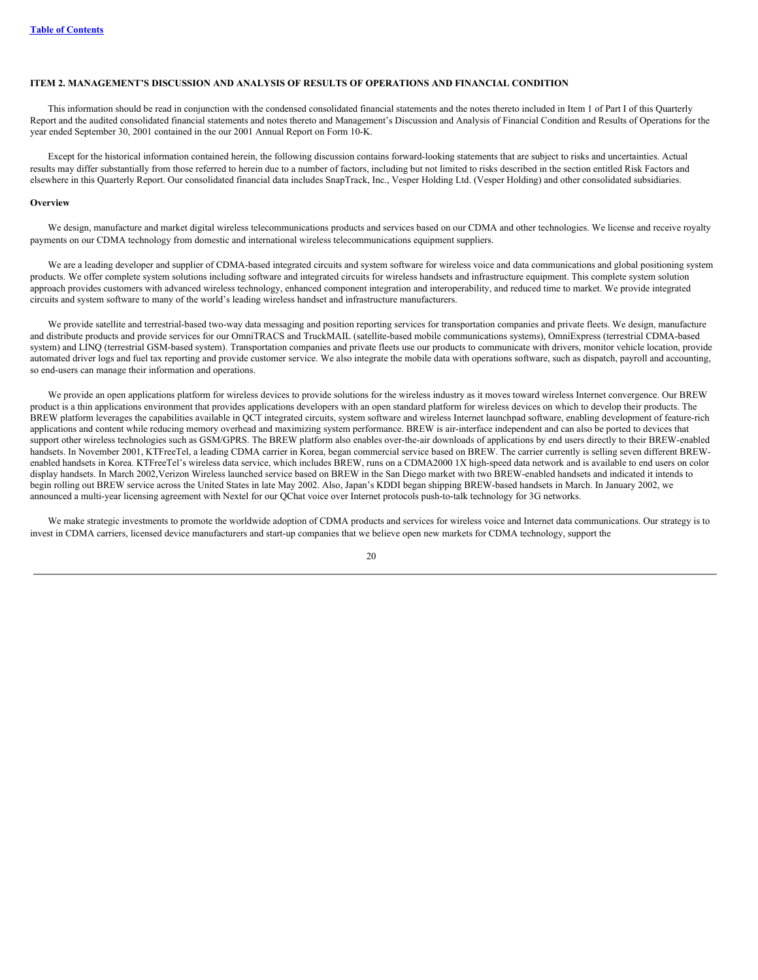# <span id="page-20-0"></span>**ITEM 2. MANAGEMENT'S DISCUSSION AND ANALYSIS OF RESULTS OF OPERATIONS AND FINANCIAL CONDITION**

This information should be read in conjunction with the condensed consolidated financial statements and the notes thereto included in Item 1 of Part I of this Quarterly Report and the audited consolidated financial statements and notes thereto and Management's Discussion and Analysis of Financial Condition and Results of Operations for the year ended September 30, 2001 contained in the our 2001 Annual Report on Form 10-K.

Except for the historical information contained herein, the following discussion contains forward-looking statements that are subject to risks and uncertainties. Actual results may differ substantially from those referred to herein due to a number of factors, including but not limited to risks described in the section entitled Risk Factors and elsewhere in this Quarterly Report. Our consolidated financial data includes SnapTrack, Inc., Vesper Holding Ltd. (Vesper Holding) and other consolidated subsidiaries.

## **Overview**

We design, manufacture and market digital wireless telecommunications products and services based on our CDMA and other technologies. We license and receive royalty payments on our CDMA technology from domestic and international wireless telecommunications equipment suppliers.

We are a leading developer and supplier of CDMA-based integrated circuits and system software for wireless voice and data communications and global positioning system products. We offer complete system solutions including software and integrated circuits for wireless handsets and infrastructure equipment. This complete system solution approach provides customers with advanced wireless technology, enhanced component integration and interoperability, and reduced time to market. We provide integrated circuits and system software to many of the world's leading wireless handset and infrastructure manufacturers.

We provide satellite and terrestrial-based two-way data messaging and position reporting services for transportation companies and private fleets. We design, manufacture and distribute products and provide services for our OmniTRACS and TruckMAIL (satellite-based mobile communications systems), OmniExpress (terrestrial CDMA-based system) and LINQ (terrestrial GSM-based system). Transportation companies and private fleets use our products to communicate with drivers, monitor vehicle location, provide automated driver logs and fuel tax reporting and provide customer service. We also integrate the mobile data with operations software, such as dispatch, payroll and accounting, so end-users can manage their information and operations.

We provide an open applications platform for wireless devices to provide solutions for the wireless industry as it moves toward wireless Internet convergence. Our BREW product is a thin applications environment that provides applications developers with an open standard platform for wireless devices on which to develop their products. The BREW platform leverages the capabilities available in QCT integrated circuits, system software and wireless Internet launchpad software, enabling development of feature-rich applications and content while reducing memory overhead and maximizing system performance. BREW is air-interface independent and can also be ported to devices that support other wireless technologies such as GSM/GPRS. The BREW platform also enables over-the-air downloads of applications by end users directly to their BREW-enabled handsets. In November 2001, KTFreeTel, a leading CDMA carrier in Korea, began commercial service based on BREW. The carrier currently is selling seven different BREWenabled handsets in Korea. KTFreeTel's wireless data service, which includes BREW, runs on a CDMA2000 1X high-speed data network and is available to end users on color display handsets. In March 2002,Verizon Wireless launched service based on BREW in the San Diego market with two BREW-enabled handsets and indicated it intends to begin rolling out BREW service across the United States in late May 2002. Also, Japan's KDDI began shipping BREW-based handsets in March. In January 2002, we announced a multi-year licensing agreement with Nextel for our QChat voice over Internet protocols push-to-talk technology for 3G networks.

We make strategic investments to promote the worldwide adoption of CDMA products and services for wireless voice and Internet data communications. Our strategy is to invest in CDMA carriers, licensed device manufacturers and start-up companies that we believe open new markets for CDMA technology, support the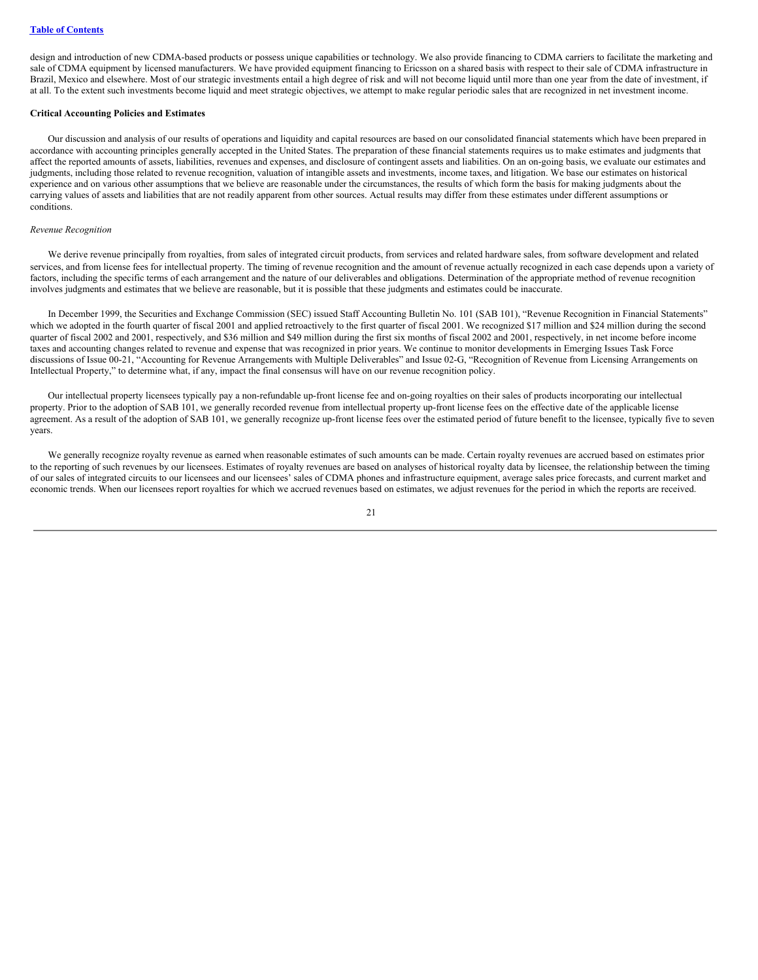design and introduction of new CDMA-based products or possess unique capabilities or technology. We also provide financing to CDMA carriers to facilitate the marketing and sale of CDMA equipment by licensed manufacturers. We have provided equipment financing to Ericsson on a shared basis with respect to their sale of CDMA infrastructure in Brazil, Mexico and elsewhere. Most of our strategic investments entail a high degree of risk and will not become liquid until more than one year from the date of investment, if at all. To the extent such investments become liquid and meet strategic objectives, we attempt to make regular periodic sales that are recognized in net investment income.

# **Critical Accounting Policies and Estimates**

Our discussion and analysis of our results of operations and liquidity and capital resources are based on our consolidated financial statements which have been prepared in accordance with accounting principles generally accepted in the United States. The preparation of these financial statements requires us to make estimates and judgments that affect the reported amounts of assets, liabilities, revenues and expenses, and disclosure of contingent assets and liabilities. On an on-going basis, we evaluate our estimates and judgments, including those related to revenue recognition, valuation of intangible assets and investments, income taxes, and litigation. We base our estimates on historical experience and on various other assumptions that we believe are reasonable under the circumstances, the results of which form the basis for making judgments about the carrying values of assets and liabilities that are not readily apparent from other sources. Actual results may differ from these estimates under different assumptions or conditions.

# *Revenue Recognition*

We derive revenue principally from royalties, from sales of integrated circuit products, from services and related hardware sales, from software development and related services, and from license fees for intellectual property. The timing of revenue recognition and the amount of revenue actually recognized in each case depends upon a variety of factors, including the specific terms of each arrangement and the nature of our deliverables and obligations. Determination of the appropriate method of revenue recognition involves judgments and estimates that we believe are reasonable, but it is possible that these judgments and estimates could be inaccurate.

In December 1999, the Securities and Exchange Commission (SEC) issued Staff Accounting Bulletin No. 101 (SAB 101), "Revenue Recognition in Financial Statements" which we adopted in the fourth quarter of fiscal 2001 and applied retroactively to the first quarter of fiscal 2001. We recognized \$17 million and \$24 million during the second quarter of fiscal 2002 and 2001, respectively, and \$36 million and \$49 million during the first six months of fiscal 2002 and 2001, respectively, in net income before income taxes and accounting changes related to revenue and expense that was recognized in prior years. We continue to monitor developments in Emerging Issues Task Force discussions of Issue 00-21, "Accounting for Revenue Arrangements with Multiple Deliverables" and Issue 02-G, "Recognition of Revenue from Licensing Arrangements on Intellectual Property," to determine what, if any, impact the final consensus will have on our revenue recognition policy.

Our intellectual property licensees typically pay a non-refundable up-front license fee and on-going royalties on their sales of products incorporating our intellectual property. Prior to the adoption of SAB 101, we generally recorded revenue from intellectual property up-front license fees on the effective date of the applicable license agreement. As a result of the adoption of SAB 101, we generally recognize up-front license fees over the estimated period of future benefit to the licensee, typically five to seven years.

We generally recognize royalty revenue as earned when reasonable estimates of such amounts can be made. Certain royalty revenues are accrued based on estimates prior to the reporting of such revenues by our licensees. Estimates of royalty revenues are based on analyses of historical royalty data by licensee, the relationship between the timing of our sales of integrated circuits to our licensees and our licensees' sales of CDMA phones and infrastructure equipment, average sales price forecasts, and current market and economic trends. When our licensees report royalties for which we accrued revenues based on estimates, we adjust revenues for the period in which the reports are received.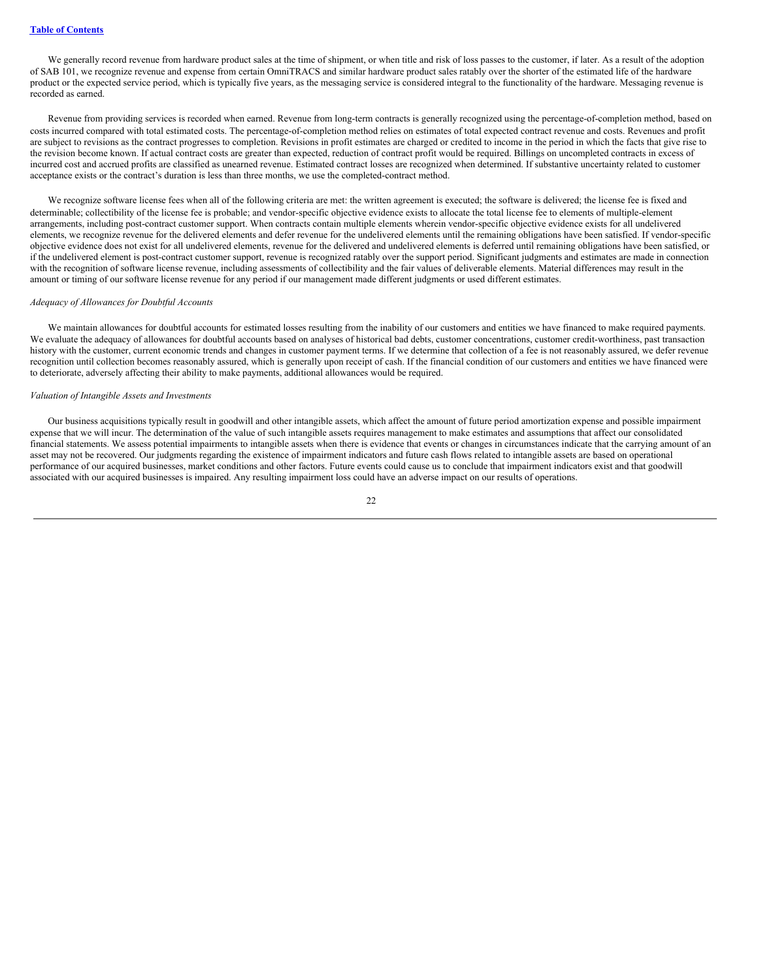We generally record revenue from hardware product sales at the time of shipment, or when title and risk of loss passes to the customer, if later. As a result of the adoption of SAB 101, we recognize revenue and expense from certain OmniTRACS and similar hardware product sales ratably over the shorter of the estimated life of the hardware product or the expected service period, which is typically five years, as the messaging service is considered integral to the functionality of the hardware. Messaging revenue is recorded as earned.

Revenue from providing services is recorded when earned. Revenue from long-term contracts is generally recognized using the percentage-of-completion method, based on costs incurred compared with total estimated costs. The percentage-of-completion method relies on estimates of total expected contract revenue and costs. Revenues and profit are subject to revisions as the contract progresses to completion. Revisions in profit estimates are charged or credited to income in the period in which the facts that give rise to the revision become known. If actual contract costs are greater than expected, reduction of contract profit would be required. Billings on uncompleted contracts in excess of incurred cost and accrued profits are classified as unearned revenue. Estimated contract losses are recognized when determined. If substantive uncertainty related to customer acceptance exists or the contract's duration is less than three months, we use the completed-contract method.

We recognize software license fees when all of the following criteria are met: the written agreement is executed; the software is delivered; the license fee is fixed and determinable; collectibility of the license fee is probable; and vendor-specific objective evidence exists to allocate the total license fee to elements of multiple-element arrangements, including post-contract customer support. When contracts contain multiple elements wherein vendor-specific objective evidence exists for all undelivered elements, we recognize revenue for the delivered elements and defer revenue for the undelivered elements until the remaining obligations have been satisfied. If vendor-specific objective evidence does not exist for all undelivered elements, revenue for the delivered and undelivered elements is deferred until remaining obligations have been satisfied, or if the undelivered element is post-contract customer support, revenue is recognized ratably over the support period. Significant judgments and estimates are made in connection with the recognition of software license revenue, including assessments of collectibility and the fair values of deliverable elements. Material differences may result in the amount or timing of our software license revenue for any period if our management made different judgments or used different estimates.

#### *Adequacy of Allowances for Doubtful Accounts*

We maintain allowances for doubtful accounts for estimated losses resulting from the inability of our customers and entities we have financed to make required payments. We evaluate the adequacy of allowances for doubtful accounts based on analyses of historical bad debts, customer concentrations, customer credit-worthiness, past transaction history with the customer, current economic trends and changes in customer payment terms. If we determine that collection of a fee is not reasonably assured, we defer revenue recognition until collection becomes reasonably assured, which is generally upon receipt of cash. If the financial condition of our customers and entities we have financed were to deteriorate, adversely affecting their ability to make payments, additional allowances would be required.

# *Valuation of Intangible Assets and Investments*

Our business acquisitions typically result in goodwill and other intangible assets, which affect the amount of future period amortization expense and possible impairment expense that we will incur. The determination of the value of such intangible assets requires management to make estimates and assumptions that affect our consolidated financial statements. We assess potential impairments to intangible assets when there is evidence that events or changes in circumstances indicate that the carrying amount of an asset may not be recovered. Our judgments regarding the existence of impairment indicators and future cash flows related to intangible assets are based on operational performance of our acquired businesses, market conditions and other factors. Future events could cause us to conclude that impairment indicators exist and that goodwill associated with our acquired businesses is impaired. Any resulting impairment loss could have an adverse impact on our results of operations.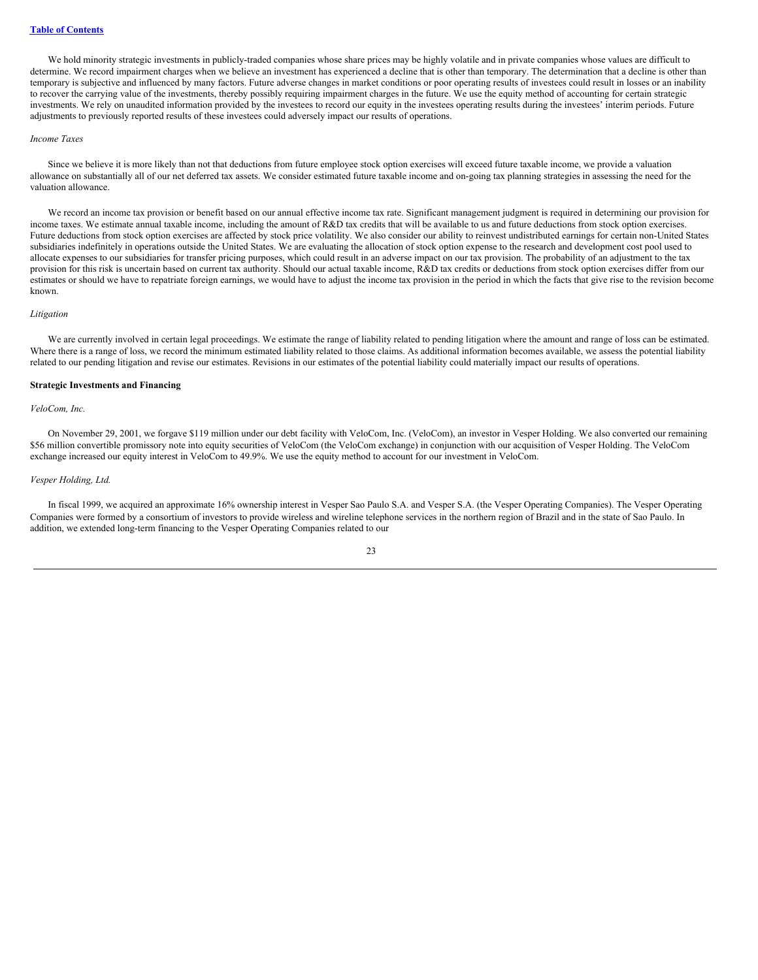We hold minority strategic investments in publicly-traded companies whose share prices may be highly volatile and in private companies whose values are difficult to determine. We record impairment charges when we believe an investment has experienced a decline that is other than temporary. The determination that a decline is other than temporary is subjective and influenced by many factors. Future adverse changes in market conditions or poor operating results of investees could result in losses or an inability to recover the carrying value of the investments, thereby possibly requiring impairment charges in the future. We use the equity method of accounting for certain strategic investments. We rely on unaudited information provided by the investees to record our equity in the investees operating results during the investees' interim periods. Future adjustments to previously reported results of these investees could adversely impact our results of operations.

#### *Income Taxes*

Since we believe it is more likely than not that deductions from future employee stock option exercises will exceed future taxable income, we provide a valuation allowance on substantially all of our net deferred tax assets. We consider estimated future taxable income and on-going tax planning strategies in assessing the need for the valuation allowance.

We record an income tax provision or benefit based on our annual effective income tax rate. Significant management judgment is required in determining our provision for income taxes. We estimate annual taxable income, including the amount of R&D tax credits that will be available to us and future deductions from stock option exercises. Future deductions from stock option exercises are affected by stock price volatility. We also consider our ability to reinvest undistributed earnings for certain non-United States subsidiaries indefinitely in operations outside the United States. We are evaluating the allocation of stock option expense to the research and development cost pool used to allocate expenses to our subsidiaries for transfer pricing purposes, which could result in an adverse impact on our tax provision. The probability of an adjustment to the tax provision for this risk is uncertain based on current tax authority. Should our actual taxable income, R&D tax credits or deductions from stock option exercises differ from our estimates or should we have to repatriate foreign earnings, we would have to adjust the income tax provision in the period in which the facts that give rise to the revision become known.

#### *Litigation*

We are currently involved in certain legal proceedings. We estimate the range of liability related to pending litigation where the amount and range of loss can be estimated. Where there is a range of loss, we record the minimum estimated liability related to those claims. As additional information becomes available, we assess the potential liability related to our pending litigation and revise our estimates. Revisions in our estimates of the potential liability could materially impact our results of operations.

### **Strategic Investments and Financing**

# *VeloCom, Inc.*

On November 29, 2001, we forgave \$119 million under our debt facility with VeloCom, Inc. (VeloCom), an investor in Vesper Holding. We also converted our remaining \$56 million convertible promissory note into equity securities of VeloCom (the VeloCom exchange) in conjunction with our acquisition of Vesper Holding. The VeloCom exchange increased our equity interest in VeloCom to 49.9%. We use the equity method to account for our investment in VeloCom.

#### *Vesper Holding, Ltd.*

In fiscal 1999, we acquired an approximate 16% ownership interest in Vesper Sao Paulo S.A. and Vesper S.A. (the Vesper Operating Companies). The Vesper Operating Companies were formed by a consortium of investors to provide wireless and wireline telephone services in the northern region of Brazil and in the state of Sao Paulo. In addition, we extended long-term financing to the Vesper Operating Companies related to our

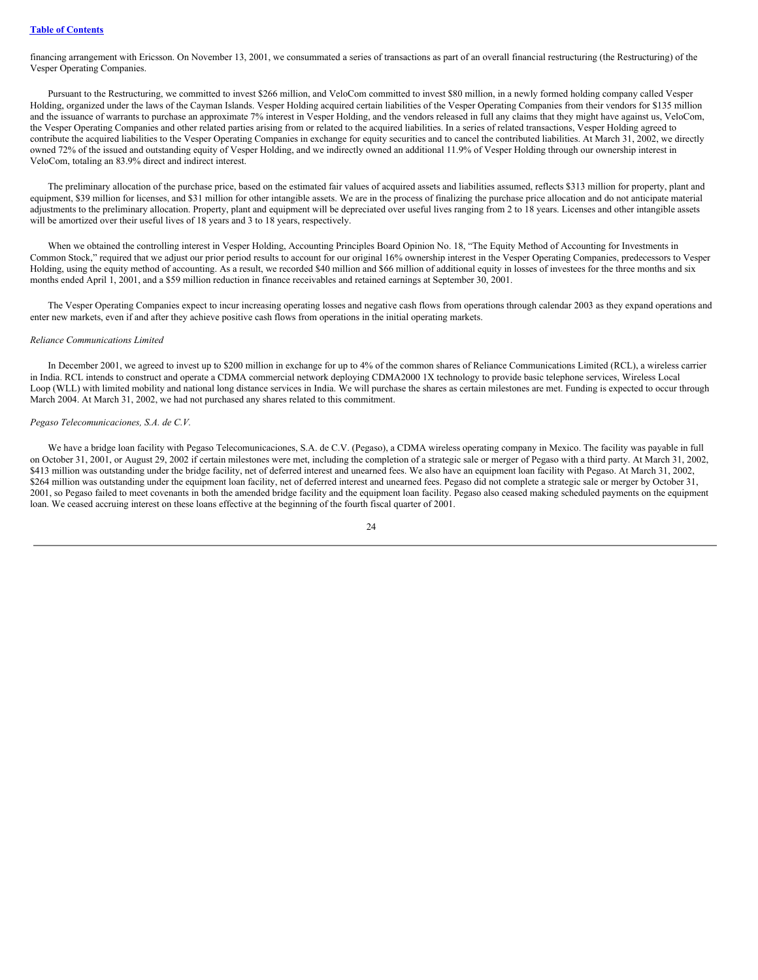financing arrangement with Ericsson. On November 13, 2001, we consummated a series of transactions as part of an overall financial restructuring (the Restructuring) of the Vesper Operating Companies.

Pursuant to the Restructuring, we committed to invest \$266 million, and VeloCom committed to invest \$80 million, in a newly formed holding company called Vesper Holding, organized under the laws of the Cayman Islands. Vesper Holding acquired certain liabilities of the Vesper Operating Companies from their vendors for \$135 million and the issuance of warrants to purchase an approximate 7% interest in Vesper Holding, and the vendors released in full any claims that they might have against us, VeloCom, the Vesper Operating Companies and other related parties arising from or related to the acquired liabilities. In a series of related transactions, Vesper Holding agreed to contribute the acquired liabilities to the Vesper Operating Companies in exchange for equity securities and to cancel the contributed liabilities. At March 31, 2002, we directly owned 72% of the issued and outstanding equity of Vesper Holding, and we indirectly owned an additional 11.9% of Vesper Holding through our ownership interest in VeloCom, totaling an 83.9% direct and indirect interest.

The preliminary allocation of the purchase price, based on the estimated fair values of acquired assets and liabilities assumed, reflects \$313 million for property, plant and equipment, \$39 million for licenses, and \$31 million for other intangible assets. We are in the process of finalizing the purchase price allocation and do not anticipate material adjustments to the preliminary allocation. Property, plant and equipment will be depreciated over useful lives ranging from 2 to 18 years. Licenses and other intangible assets will be amortized over their useful lives of 18 years and 3 to 18 years, respectively.

When we obtained the controlling interest in Vesper Holding, Accounting Principles Board Opinion No. 18, "The Equity Method of Accounting for Investments in Common Stock," required that we adjust our prior period results to account for our original 16% ownership interest in the Vesper Operating Companies, predecessors to Vesper Holding, using the equity method of accounting. As a result, we recorded \$40 million and \$66 million of additional equity in losses of investees for the three months and six months ended April 1, 2001, and a \$59 million reduction in finance receivables and retained earnings at September 30, 2001.

The Vesper Operating Companies expect to incur increasing operating losses and negative cash flows from operations through calendar 2003 as they expand operations and enter new markets, even if and after they achieve positive cash flows from operations in the initial operating markets.

#### *Reliance Communications Limited*

In December 2001, we agreed to invest up to \$200 million in exchange for up to 4% of the common shares of Reliance Communications Limited (RCL), a wireless carrier in India. RCL intends to construct and operate a CDMA commercial network deploying CDMA2000 1X technology to provide basic telephone services, Wireless Local Loop (WLL) with limited mobility and national long distance services in India. We will purchase the shares as certain milestones are met. Funding is expected to occur through March 2004. At March 31, 2002, we had not purchased any shares related to this commitment.

#### *Pegaso Telecomunicaciones, S.A. de C.V.*

We have a bridge loan facility with Pegaso Telecomunicaciones, S.A. de C.V. (Pegaso), a CDMA wireless operating company in Mexico. The facility was payable in full on October 31, 2001, or August 29, 2002 if certain milestones were met, including the completion of a strategic sale or merger of Pegaso with a third party. At March 31, 2002, \$413 million was outstanding under the bridge facility, net of deferred interest and unearned fees. We also have an equipment loan facility with Pegaso. At March 31, 2002, \$264 million was outstanding under the equipment loan facility, net of deferred interest and unearned fees. Pegaso did not complete a strategic sale or merger by October 31, 2001, so Pegaso failed to meet covenants in both the amended bridge facility and the equipment loan facility. Pegaso also ceased making scheduled payments on the equipment loan. We ceased accruing interest on these loans effective at the beginning of the fourth fiscal quarter of 2001.

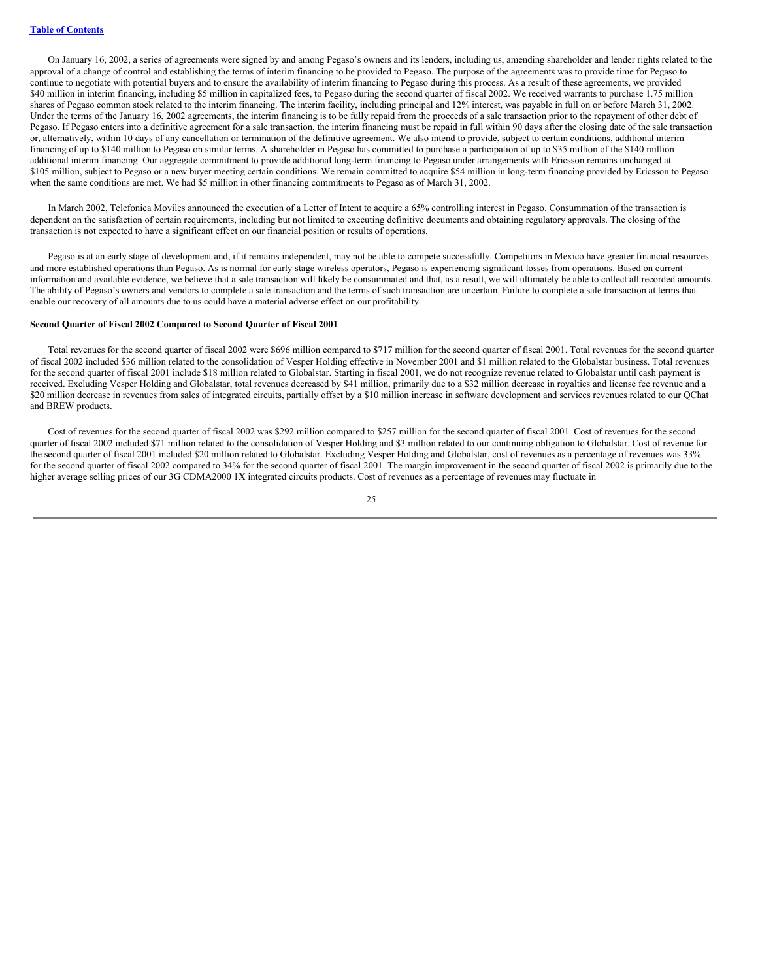On January 16, 2002, a series of agreements were signed by and among Pegaso's owners and its lenders, including us, amending shareholder and lender rights related to the approval of a change of control and establishing the terms of interim financing to be provided to Pegaso. The purpose of the agreements was to provide time for Pegaso to continue to negotiate with potential buyers and to ensure the availability of interim financing to Pegaso during this process. As a result of these agreements, we provided \$40 million in interim financing, including \$5 million in capitalized fees, to Pegaso during the second quarter of fiscal 2002. We received warrants to purchase 1.75 million shares of Pegaso common stock related to the interim financing. The interim facility, including principal and 12% interest, was payable in full on or before March 31, 2002. Under the terms of the January 16, 2002 agreements, the interim financing is to be fully repaid from the proceeds of a sale transaction prior to the repayment of other debt of Pegaso. If Pegaso enters into a definitive agreement for a sale transaction, the interim financing must be repaid in full within 90 days after the closing date of the sale transaction or, alternatively, within 10 days of any cancellation or termination of the definitive agreement. We also intend to provide, subject to certain conditions, additional interim financing of up to \$140 million to Pegaso on similar terms. A shareholder in Pegaso has committed to purchase a participation of up to \$35 million of the \$140 million additional interim financing. Our aggregate commitment to provide additional long-term financing to Pegaso under arrangements with Ericsson remains unchanged at \$105 million, subject to Pegaso or a new buyer meeting certain conditions. We remain committed to acquire \$54 million in long-term financing provided by Ericsson to Pegaso when the same conditions are met. We had \$5 million in other financing commitments to Pegaso as of March 31, 2002.

In March 2002, Telefonica Moviles announced the execution of a Letter of Intent to acquire a 65% controlling interest in Pegaso. Consummation of the transaction is dependent on the satisfaction of certain requirements, including but not limited to executing definitive documents and obtaining regulatory approvals. The closing of the transaction is not expected to have a significant effect on our financial position or results of operations.

Pegaso is at an early stage of development and, if it remains independent, may not be able to compete successfully. Competitors in Mexico have greater financial resources and more established operations than Pegaso. As is normal for early stage wireless operators, Pegaso is experiencing significant losses from operations. Based on current information and available evidence, we believe that a sale transaction will likely be consummated and that, as a result, we will ultimately be able to collect all recorded amounts. The ability of Pegaso's owners and vendors to complete a sale transaction and the terms of such transaction are uncertain. Failure to complete a sale transaction at terms that enable our recovery of all amounts due to us could have a material adverse effect on our profitability.

# **Second Quarter of Fiscal 2002 Compared to Second Quarter of Fiscal 2001**

Total revenues for the second quarter of fiscal 2002 were \$696 million compared to \$717 million for the second quarter of fiscal 2001. Total revenues for the second quarter of fiscal 2002 included \$36 million related to the consolidation of Vesper Holding effective in November 2001 and \$1 million related to the Globalstar business. Total revenues for the second quarter of fiscal 2001 include \$18 million related to Globalstar. Starting in fiscal 2001, we do not recognize revenue related to Globalstar until cash payment is received. Excluding Vesper Holding and Globalstar, total revenues decreased by \$41 million, primarily due to a \$32 million decrease in royalties and license fee revenue and a \$20 million decrease in revenues from sales of integrated circuits, partially offset by a \$10 million increase in software development and services revenues related to our QChat and BREW products.

Cost of revenues for the second quarter of fiscal 2002 was \$292 million compared to \$257 million for the second quarter of fiscal 2001. Cost of revenues for the second quarter of fiscal 2002 included \$71 million related to the consolidation of Vesper Holding and \$3 million related to our continuing obligation to Globalstar. Cost of revenue for the second quarter of fiscal 2001 included \$20 million related to Globalstar. Excluding Vesper Holding and Globalstar, cost of revenues as a percentage of revenues was 33% for the second quarter of fiscal 2002 compared to 34% for the second quarter of fiscal 2001. The margin improvement in the second quarter of fiscal 2002 is primarily due to the higher average selling prices of our 3G CDMA2000 1X integrated circuits products. Cost of revenues as a percentage of revenues may fluctuate in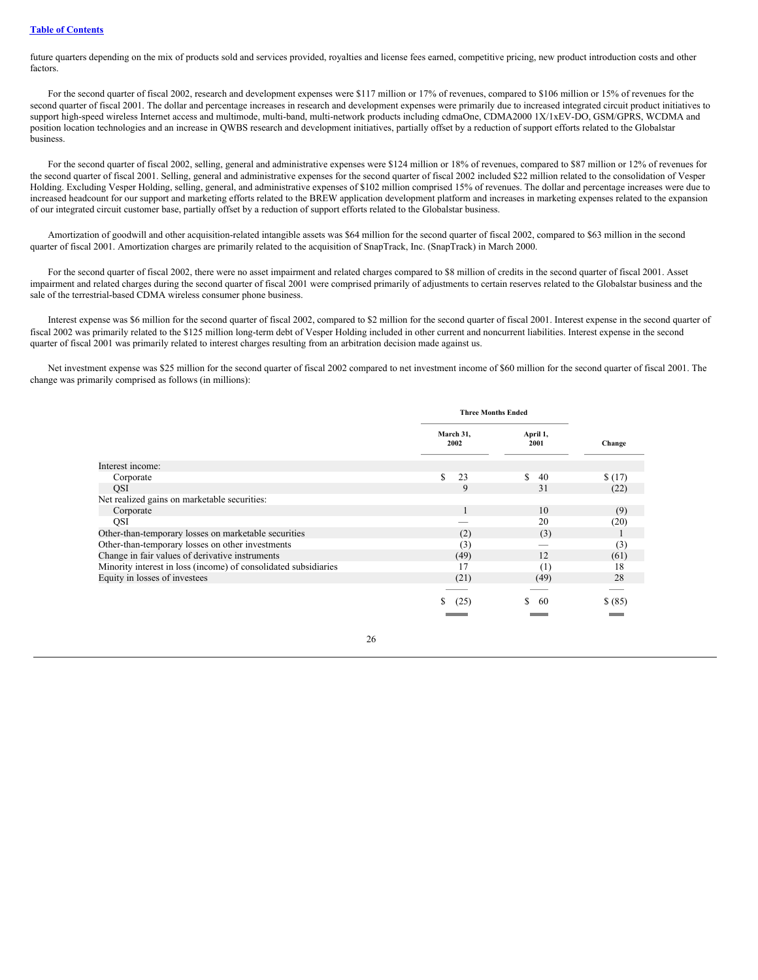future quarters depending on the mix of products sold and services provided, royalties and license fees earned, competitive pricing, new product introduction costs and other factors.

For the second quarter of fiscal 2002, research and development expenses were \$117 million or 17% of revenues, compared to \$106 million or 15% of revenues for the second quarter of fiscal 2001. The dollar and percentage increases in research and development expenses were primarily due to increased integrated circuit product initiatives to support high-speed wireless Internet access and multimode, multi-band, multi-network products including cdmaOne, CDMA2000 1X/1xEV-DO, GSM/GPRS, WCDMA and position location technologies and an increase in QWBS research and development initiatives, partially offset by a reduction of support efforts related to the Globalstar business.

For the second quarter of fiscal 2002, selling, general and administrative expenses were \$124 million or 18% of revenues, compared to \$87 million or 12% of revenues for the second quarter of fiscal 2001. Selling, general and administrative expenses for the second quarter of fiscal 2002 included \$22 million related to the consolidation of Vesper Holding. Excluding Vesper Holding, selling, general, and administrative expenses of \$102 million comprised 15% of revenues. The dollar and percentage increases were due to increased headcount for our support and marketing efforts related to the BREW application development platform and increases in marketing expenses related to the expansion of our integrated circuit customer base, partially offset by a reduction of support efforts related to the Globalstar business.

Amortization of goodwill and other acquisition-related intangible assets was \$64 million for the second quarter of fiscal 2002, compared to \$63 million in the second quarter of fiscal 2001. Amortization charges are primarily related to the acquisition of SnapTrack, Inc. (SnapTrack) in March 2000.

For the second quarter of fiscal 2002, there were no asset impairment and related charges compared to \$8 million of credits in the second quarter of fiscal 2001. Asset impairment and related charges during the second quarter of fiscal 2001 were comprised primarily of adjustments to certain reserves related to the Globalstar business and the sale of the terrestrial-based CDMA wireless consumer phone business.

Interest expense was \$6 million for the second quarter of fiscal 2002, compared to \$2 million for the second quarter of fiscal 2001. Interest expense in the second quarter of fiscal 2002 was primarily related to the \$125 million long-term debt of Vesper Holding included in other current and noncurrent liabilities. Interest expense in the second quarter of fiscal 2001 was primarily related to interest charges resulting from an arbitration decision made against us.

Net investment expense was \$25 million for the second quarter of fiscal 2002 compared to net investment income of \$60 million for the second quarter of fiscal 2001. The change was primarily comprised as follows (in millions):

|                                                                 | <b>Three Months Ended</b> |                  |         |  |
|-----------------------------------------------------------------|---------------------------|------------------|---------|--|
|                                                                 | March 31,<br>2002         | April 1,<br>2001 | Change  |  |
| Interest income:                                                |                           |                  |         |  |
| Corporate                                                       | \$<br>23                  | S.<br>40         | \$(17)  |  |
| <b>QSI</b>                                                      | 9                         | 31               | (22)    |  |
| Net realized gains on marketable securities:                    |                           |                  |         |  |
| Corporate                                                       | 1                         | 10               | (9)     |  |
| QSI                                                             |                           | 20               | (20)    |  |
| Other-than-temporary losses on marketable securities            | (2)                       | (3)              |         |  |
| Other-than-temporary losses on other investments                | (3)                       |                  | (3)     |  |
| Change in fair values of derivative instruments                 | (49)                      | 12               | (61)    |  |
| Minority interest in loss (income) of consolidated subsidiaries | 17                        | (1)              | 18      |  |
| Equity in losses of investees                                   | (21)                      | (49)             | 28      |  |
|                                                                 |                           |                  |         |  |
|                                                                 | S<br>(25)                 | 60               | \$ (85) |  |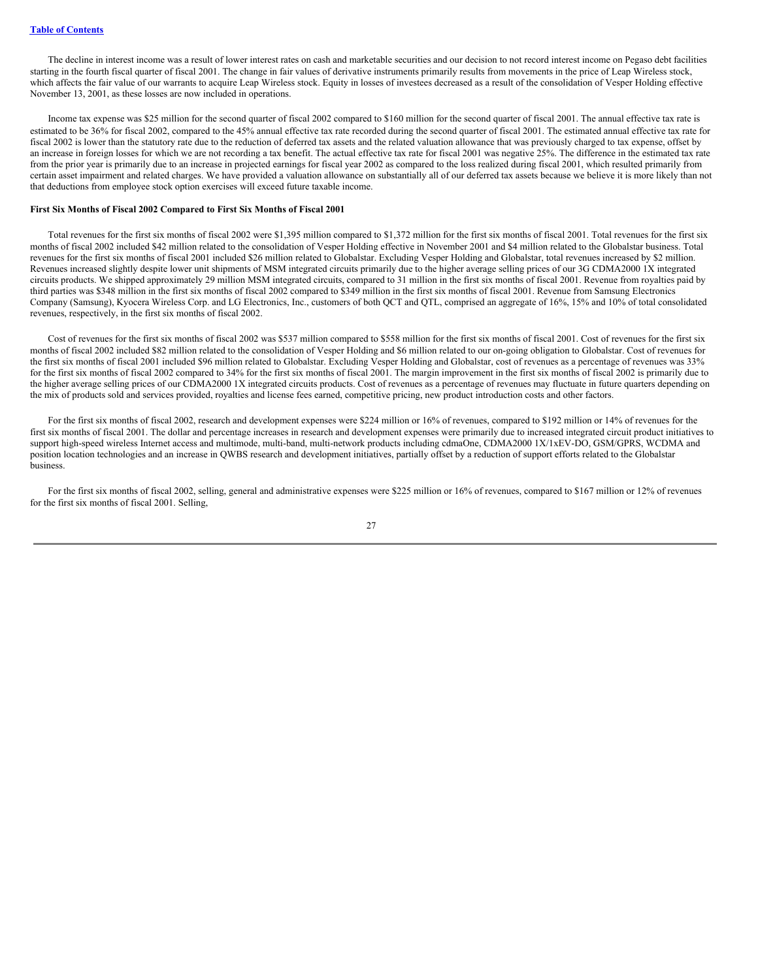The decline in interest income was a result of lower interest rates on cash and marketable securities and our decision to not record interest income on Pegaso debt facilities starting in the fourth fiscal quarter of fiscal 2001. The change in fair values of derivative instruments primarily results from movements in the price of Leap Wireless stock, which affects the fair value of our warrants to acquire Leap Wireless stock. Equity in losses of investees decreased as a result of the consolidation of Vesper Holding effective November 13, 2001, as these losses are now included in operations.

Income tax expense was \$25 million for the second quarter of fiscal 2002 compared to \$160 million for the second quarter of fiscal 2001. The annual effective tax rate is estimated to be 36% for fiscal 2002, compared to the 45% annual effective tax rate recorded during the second quarter of fiscal 2001. The estimated annual effective tax rate for fiscal 2002 is lower than the statutory rate due to the reduction of deferred tax assets and the related valuation allowance that was previously charged to tax expense, offset by an increase in foreign losses for which we are not recording a tax benefit. The actual effective tax rate for fiscal 2001 was negative 25%. The difference in the estimated tax rate from the prior year is primarily due to an increase in projected earnings for fiscal year 2002 as compared to the loss realized during fiscal 2001, which resulted primarily from certain asset impairment and related charges. We have provided a valuation allowance on substantially all of our deferred tax assets because we believe it is more likely than not that deductions from employee stock option exercises will exceed future taxable income.

# **First Six Months of Fiscal 2002 Compared to First Six Months of Fiscal 2001**

Total revenues for the first six months of fiscal 2002 were \$1,395 million compared to \$1,372 million for the first six months of fiscal 2001. Total revenues for the first six months of fiscal 2002 included \$42 million related to the consolidation of Vesper Holding effective in November 2001 and \$4 million related to the Globalstar business. Total revenues for the first six months of fiscal 2001 included \$26 million related to Globalstar. Excluding Vesper Holding and Globalstar, total revenues increased by \$2 million. Revenues increased slightly despite lower unit shipments of MSM integrated circuits primarily due to the higher average selling prices of our 3G CDMA2000 1X integrated circuits products. We shipped approximately 29 million MSM integrated circuits, compared to 31 million in the first six months of fiscal 2001. Revenue from royalties paid by third parties was \$348 million in the first six months of fiscal 2002 compared to \$349 million in the first six months of fiscal 2001. Revenue from Samsung Electronics Company (Samsung), Kyocera Wireless Corp. and LG Electronics, Inc., customers of both QCT and QTL, comprised an aggregate of 16%, 15% and 10% of total consolidated revenues, respectively, in the first six months of fiscal 2002.

Cost of revenues for the first six months of fiscal 2002 was \$537 million compared to \$558 million for the first six months of fiscal 2001. Cost of revenues for the first six months of fiscal 2002 included \$82 million related to the consolidation of Vesper Holding and \$6 million related to our on-going obligation to Globalstar. Cost of revenues for the first six months of fiscal 2001 included \$96 million related to Globalstar. Excluding Vesper Holding and Globalstar, cost of revenues as a percentage of revenues was 33% for the first six months of fiscal 2002 compared to 34% for the first six months of fiscal 2001. The margin improvement in the first six months of fiscal 2002 is primarily due to the higher average selling prices of our CDMA2000 1X integrated circuits products. Cost of revenues as a percentage of revenues may fluctuate in future quarters depending on the mix of products sold and services provided, royalties and license fees earned, competitive pricing, new product introduction costs and other factors.

For the first six months of fiscal 2002, research and development expenses were \$224 million or 16% of revenues, compared to \$192 million or 14% of revenues for the first six months of fiscal 2001. The dollar and percentage increases in research and development expenses were primarily due to increased integrated circuit product initiatives to support high-speed wireless Internet access and multimode, multi-band, multi-network products including cdmaOne, CDMA2000 1X/1xEV-DO, GSM/GPRS, WCDMA and position location technologies and an increase in QWBS research and development initiatives, partially offset by a reduction of support efforts related to the Globalstar business.

For the first six months of fiscal 2002, selling, general and administrative expenses were \$225 million or 16% of revenues, compared to \$167 million or 12% of revenues for the first six months of fiscal 2001. Selling,

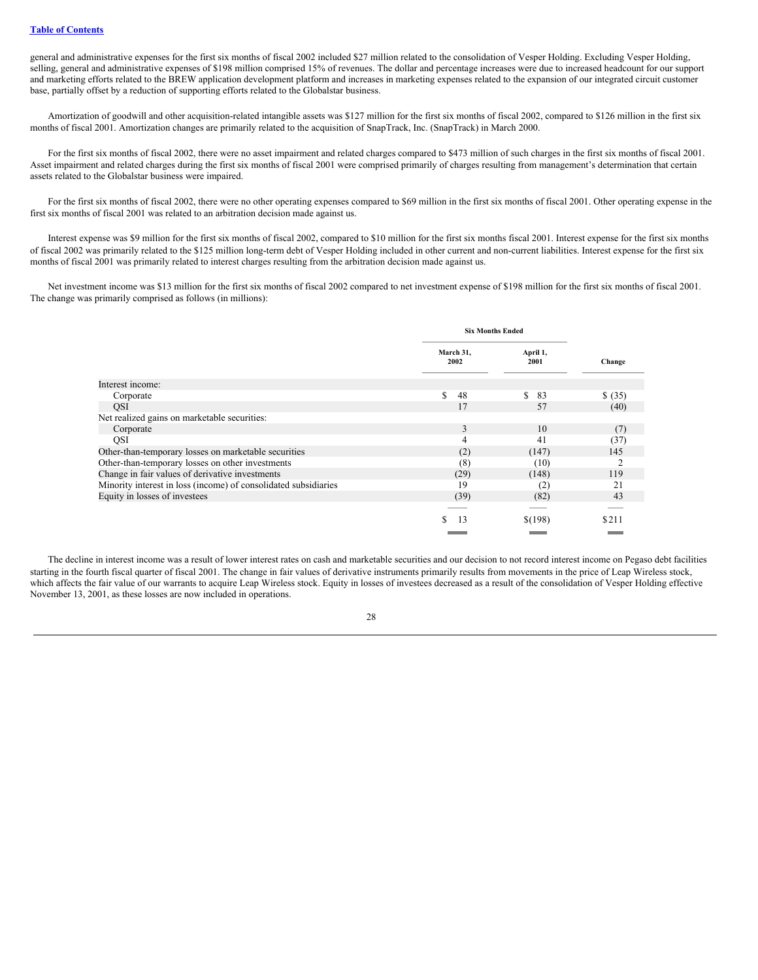general and administrative expenses for the first six months of fiscal 2002 included \$27 million related to the consolidation of Vesper Holding. Excluding Vesper Holding, selling, general and administrative expenses of \$198 million comprised 15% of revenues. The dollar and percentage increases were due to increased headcount for our support and marketing efforts related to the BREW application development platform and increases in marketing expenses related to the expansion of our integrated circuit customer base, partially offset by a reduction of supporting efforts related to the Globalstar business.

Amortization of goodwill and other acquisition-related intangible assets was \$127 million for the first six months of fiscal 2002, compared to \$126 million in the first six months of fiscal 2001. Amortization changes are primarily related to the acquisition of SnapTrack, Inc. (SnapTrack) in March 2000.

For the first six months of fiscal 2002, there were no asset impairment and related charges compared to \$473 million of such charges in the first six months of fiscal 2001. Asset impairment and related charges during the first six months of fiscal 2001 were comprised primarily of charges resulting from management's determination that certain assets related to the Globalstar business were impaired.

For the first six months of fiscal 2002, there were no other operating expenses compared to \$69 million in the first six months of fiscal 2001. Other operating expense in the first six months of fiscal 2001 was related to an arbitration decision made against us.

Interest expense was \$9 million for the first six months of fiscal 2002, compared to \$10 million for the first six months fiscal 2001. Interest expense for the first six months of fiscal 2002 was primarily related to the \$125 million long-term debt of Vesper Holding included in other current and non-current liabilities. Interest expense for the first six months of fiscal 2001 was primarily related to interest charges resulting from the arbitration decision made against us.

Net investment income was \$13 million for the first six months of fiscal 2002 compared to net investment expense of \$198 million for the first six months of fiscal 2001. The change was primarily comprised as follows (in millions):

|                                                                 | <b>Six Months Ended</b> |                  |         |  |
|-----------------------------------------------------------------|-------------------------|------------------|---------|--|
|                                                                 | March 31,<br>2002       | April 1,<br>2001 | Change  |  |
| Interest income:                                                |                         |                  |         |  |
| Corporate                                                       | \$<br>48                | S.<br>83         | \$ (35) |  |
| <b>QSI</b>                                                      | 17                      | 57               | (40)    |  |
| Net realized gains on marketable securities:                    |                         |                  |         |  |
| Corporate                                                       | 3                       | 10               | (7)     |  |
| QSI                                                             | 4                       | 41               | (37)    |  |
| Other-than-temporary losses on marketable securities            | (2)                     | (147)            | 145     |  |
| Other-than-temporary losses on other investments                | (8)                     | (10)             | 2       |  |
| Change in fair values of derivative investments                 | (29)                    | (148)            | 119     |  |
| Minority interest in loss (income) of consolidated subsidiaries | 19                      | (2)              | 21      |  |
| Equity in losses of investees                                   | (39)                    | (82)             | 43      |  |
|                                                                 |                         |                  |         |  |
|                                                                 | S.<br>13                | \$(198)          | \$211   |  |
|                                                                 |                         |                  |         |  |

The decline in interest income was a result of lower interest rates on cash and marketable securities and our decision to not record interest income on Pegaso debt facilities starting in the fourth fiscal quarter of fiscal 2001. The change in fair values of derivative instruments primarily results from movements in the price of Leap Wireless stock, which affects the fair value of our warrants to acquire Leap Wireless stock. Equity in losses of investees decreased as a result of the consolidation of Vesper Holding effective November 13, 2001, as these losses are now included in operations.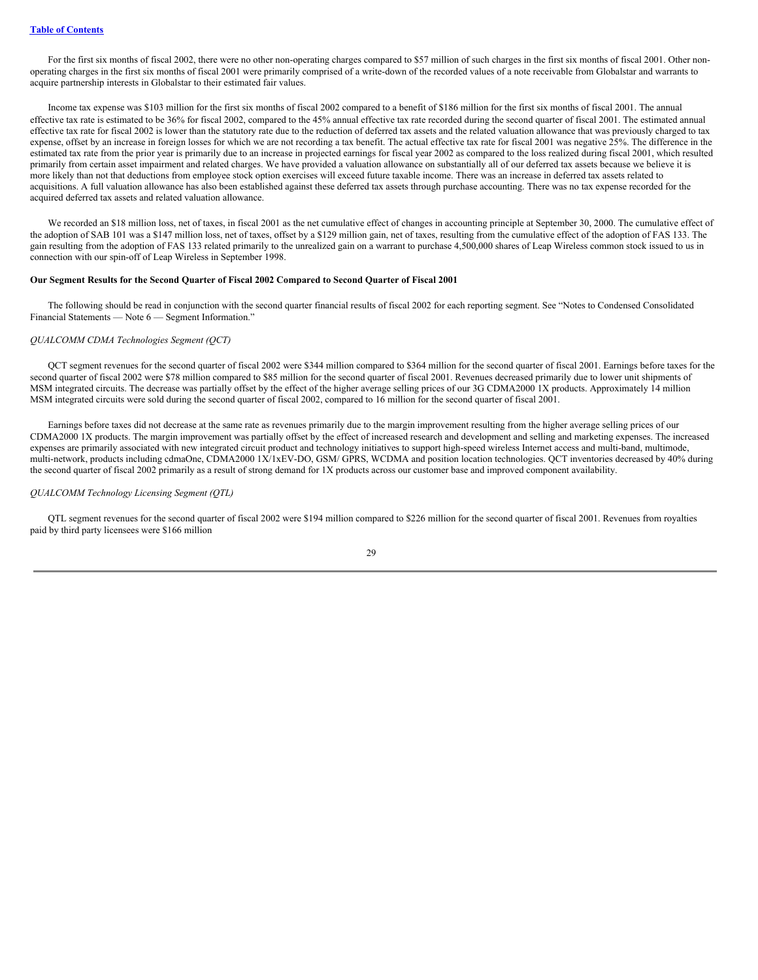For the first six months of fiscal 2002, there were no other non-operating charges compared to \$57 million of such charges in the first six months of fiscal 2001. Other nonoperating charges in the first six months of fiscal 2001 were primarily comprised of a write-down of the recorded values of a note receivable from Globalstar and warrants to acquire partnership interests in Globalstar to their estimated fair values.

Income tax expense was \$103 million for the first six months of fiscal 2002 compared to a benefit of \$186 million for the first six months of fiscal 2001. The annual effective tax rate is estimated to be 36% for fiscal 2002, compared to the 45% annual effective tax rate recorded during the second quarter of fiscal 2001. The estimated annual effective tax rate for fiscal 2002 is lower than the statutory rate due to the reduction of deferred tax assets and the related valuation allowance that was previously charged to tax expense, offset by an increase in foreign losses for which we are not recording a tax benefit. The actual effective tax rate for fiscal 2001 was negative 25%. The difference in the estimated tax rate from the prior year is primarily due to an increase in projected earnings for fiscal year 2002 as compared to the loss realized during fiscal 2001, which resulted primarily from certain asset impairment and related charges. We have provided a valuation allowance on substantially all of our deferred tax assets because we believe it is more likely than not that deductions from employee stock option exercises will exceed future taxable income. There was an increase in deferred tax assets related to acquisitions. A full valuation allowance has also been established against these deferred tax assets through purchase accounting. There was no tax expense recorded for the acquired deferred tax assets and related valuation allowance.

We recorded an \$18 million loss, net of taxes, in fiscal 2001 as the net cumulative effect of changes in accounting principle at September 30, 2000. The cumulative effect of the adoption of SAB 101 was a \$147 million loss, net of taxes, offset by a \$129 million gain, net of taxes, resulting from the cumulative effect of the adoption of FAS 133. The gain resulting from the adoption of FAS 133 related primarily to the unrealized gain on a warrant to purchase 4,500,000 shares of Leap Wireless common stock issued to us in connection with our spin-off of Leap Wireless in September 1998.

#### **Our Segment Results for the Second Quarter of Fiscal 2002 Compared to Second Quarter of Fiscal 2001**

The following should be read in conjunction with the second quarter financial results of fiscal 2002 for each reporting segment. See "Notes to Condensed Consolidated Financial Statements — Note 6 — Segment Information."

# *QUALCOMM CDMA Technologies Segment (QCT)*

QCT segment revenues for the second quarter of fiscal 2002 were \$344 million compared to \$364 million for the second quarter of fiscal 2001. Earnings before taxes for the second quarter of fiscal 2002 were \$78 million compared to \$85 million for the second quarter of fiscal 2001. Revenues decreased primarily due to lower unit shipments of MSM integrated circuits. The decrease was partially offset by the effect of the higher average selling prices of our 3G CDMA2000 1X products. Approximately 14 million MSM integrated circuits were sold during the second quarter of fiscal 2002, compared to 16 million for the second quarter of fiscal 2001.

Earnings before taxes did not decrease at the same rate as revenues primarily due to the margin improvement resulting from the higher average selling prices of our CDMA2000 1X products. The margin improvement was partially offset by the effect of increased research and development and selling and marketing expenses. The increased expenses are primarily associated with new integrated circuit product and technology initiatives to support high-speed wireless Internet access and multi-band, multimode, multi-network, products including cdmaOne, CDMA2000 1X/1xEV-DO, GSM/ GPRS, WCDMA and position location technologies. QCT inventories decreased by 40% during the second quarter of fiscal 2002 primarily as a result of strong demand for 1X products across our customer base and improved component availability.

#### *QUALCOMM Technology Licensing Segment (QTL)*

QTL segment revenues for the second quarter of fiscal 2002 were \$194 million compared to \$226 million for the second quarter of fiscal 2001. Revenues from royalties paid by third party licensees were \$166 million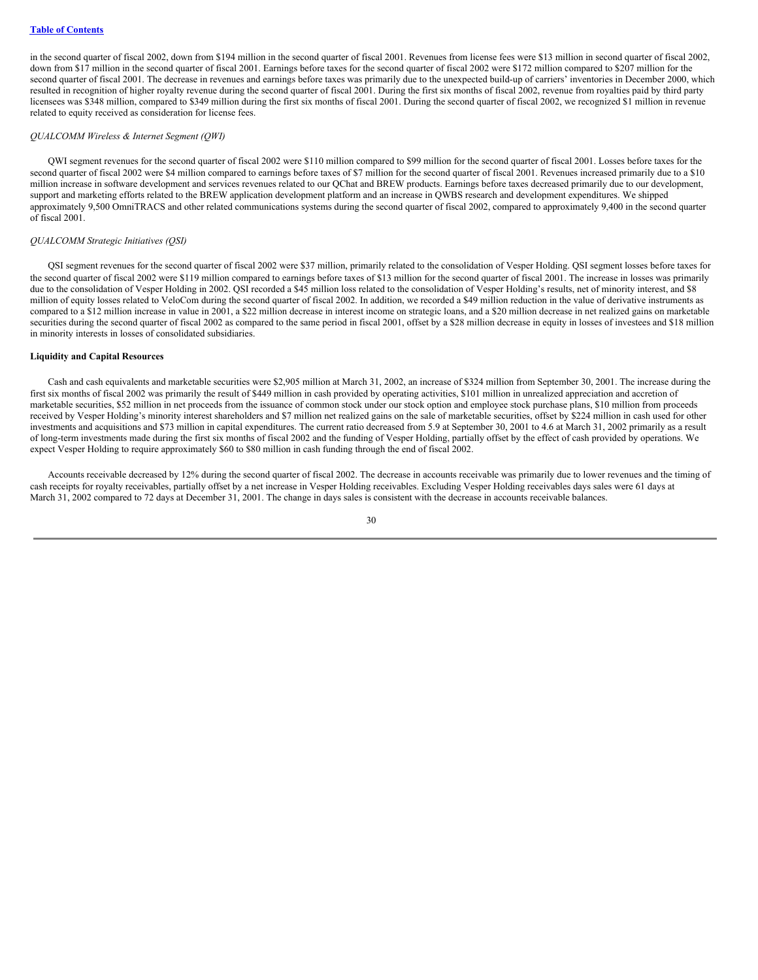in the second quarter of fiscal 2002, down from \$194 million in the second quarter of fiscal 2001. Revenues from license fees were \$13 million in second quarter of fiscal 2002, down from \$17 million in the second quarter of fiscal 2001. Earnings before taxes for the second quarter of fiscal 2002 were \$172 million compared to \$207 million for the second quarter of fiscal 2001. The decrease in revenues and earnings before taxes was primarily due to the unexpected build-up of carriers' inventories in December 2000, which resulted in recognition of higher royalty revenue during the second quarter of fiscal 2001. During the first six months of fiscal 2002, revenue from royalties paid by third party licensees was \$348 million, compared to \$349 million during the first six months of fiscal 2001. During the second quarter of fiscal 2002, we recognized \$1 million in revenue related to equity received as consideration for license fees.

#### *QUALCOMM Wireless & Internet Segment (QWI)*

QWI segment revenues for the second quarter of fiscal 2002 were \$110 million compared to \$99 million for the second quarter of fiscal 2001. Losses before taxes for the second quarter of fiscal 2002 were \$4 million compared to earnings before taxes of \$7 million for the second quarter of fiscal 2001. Revenues increased primarily due to a \$10 million increase in software development and services revenues related to our QChat and BREW products. Earnings before taxes decreased primarily due to our development, support and marketing efforts related to the BREW application development platform and an increase in QWBS research and development expenditures. We shipped approximately 9,500 OmniTRACS and other related communications systems during the second quarter of fiscal 2002, compared to approximately 9,400 in the second quarter of fiscal 2001.

#### *QUALCOMM Strategic Initiatives (QSI)*

QSI segment revenues for the second quarter of fiscal 2002 were \$37 million, primarily related to the consolidation of Vesper Holding. QSI segment losses before taxes for the second quarter of fiscal 2002 were \$119 million compared to earnings before taxes of \$13 million for the second quarter of fiscal 2001. The increase in losses was primarily due to the consolidation of Vesper Holding in 2002. QSI recorded a \$45 million loss related to the consolidation of Vesper Holding's results, net of minority interest, and \$8 million of equity losses related to VeloCom during the second quarter of fiscal 2002. In addition, we recorded a \$49 million reduction in the value of derivative instruments as compared to a \$12 million increase in value in 2001, a \$22 million decrease in interest income on strategic loans, and a \$20 million decrease in net realized gains on marketable securities during the second quarter of fiscal 2002 as compared to the same period in fiscal 2001, offset by a \$28 million decrease in equity in losses of investees and \$18 million in minority interests in losses of consolidated subsidiaries.

#### **Liquidity and Capital Resources**

Cash and cash equivalents and marketable securities were \$2,905 million at March 31, 2002, an increase of \$324 million from September 30, 2001. The increase during the first six months of fiscal 2002 was primarily the result of \$449 million in cash provided by operating activities, \$101 million in unrealized appreciation and accretion of marketable securities, \$52 million in net proceeds from the issuance of common stock under our stock option and employee stock purchase plans, \$10 million from proceeds received by Vesper Holding's minority interest shareholders and \$7 million net realized gains on the sale of marketable securities, offset by \$224 million in cash used for other investments and acquisitions and \$73 million in capital expenditures. The current ratio decreased from 5.9 at September 30, 2001 to 4.6 at March 31, 2002 primarily as a result of long-term investments made during the first six months of fiscal 2002 and the funding of Vesper Holding, partially offset by the effect of cash provided by operations. We expect Vesper Holding to require approximately \$60 to \$80 million in cash funding through the end of fiscal 2002.

Accounts receivable decreased by 12% during the second quarter of fiscal 2002. The decrease in accounts receivable was primarily due to lower revenues and the timing of cash receipts for royalty receivables, partially offset by a net increase in Vesper Holding receivables. Excluding Vesper Holding receivables days sales were 61 days at March 31, 2002 compared to 72 days at December 31, 2001. The change in days sales is consistent with the decrease in accounts receivable balances.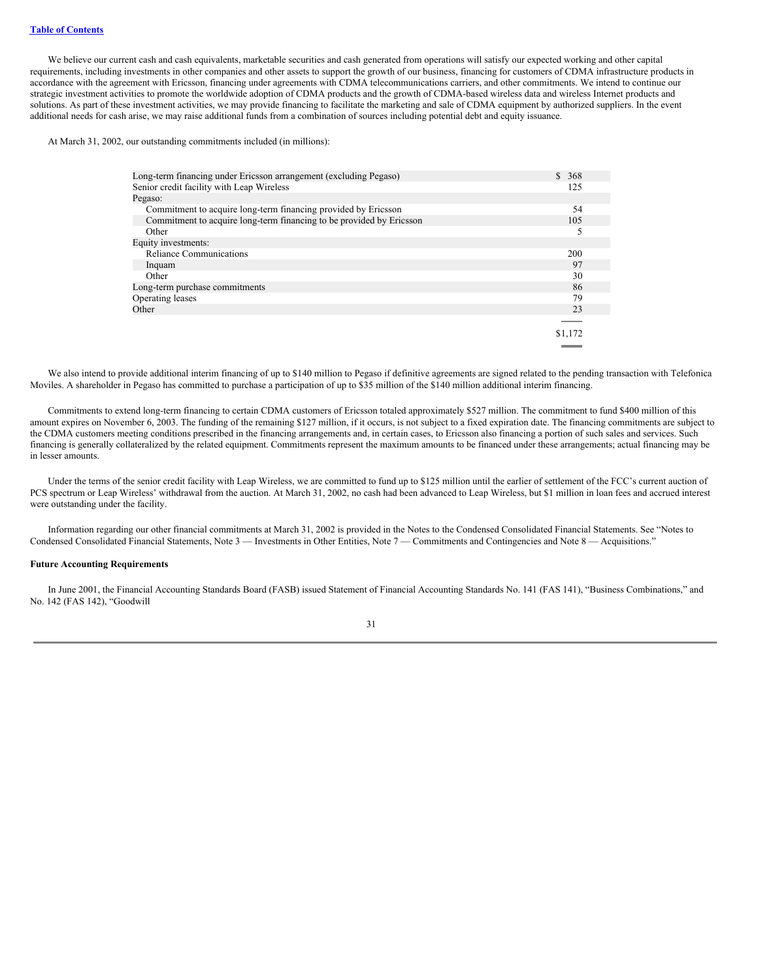We believe our current cash and cash equivalents, marketable securities and cash generated from operations will satisfy our expected working and other capital requirements, including investments in other companies and other assets to support the growth of our business, financing for customers of CDMA infrastructure products in accordance with the agreement with Ericsson, financing under agreements with CDMA telecommunications carriers, and other commitments. We intend to continue our strategic investment activities to promote the worldwide adoption of CDMA products and the growth of CDMA-based wireless data and wireless Internet products and solutions. As part of these investment activities, we may provide financing to facilitate the marketing and sale of CDMA equipment by authorized suppliers. In the event additional needs for cash arise, we may raise additional funds from a combination of sources including potential debt and equity issuance.

At March 31, 2002, our outstanding commitments included (in millions):

| Long-term financing under Ericsson arrangement (excluding Pegaso)    | \$368   |  |
|----------------------------------------------------------------------|---------|--|
| Senior credit facility with Leap Wireless                            | 125     |  |
| Pegaso:                                                              |         |  |
| Commitment to acquire long-term financing provided by Ericsson       | 54      |  |
| Commitment to acquire long-term financing to be provided by Ericsson | 105     |  |
| Other                                                                |         |  |
| Equity investments:                                                  |         |  |
| <b>Reliance Communications</b>                                       | 200     |  |
| Inquam                                                               | 97      |  |
| Other                                                                | 30      |  |
| Long-term purchase commitments                                       | 86      |  |
| Operating leases                                                     | 79      |  |
| Other                                                                | 23      |  |
|                                                                      |         |  |
|                                                                      | \$1,172 |  |

We also intend to provide additional interim financing of up to \$140 million to Pegaso if definitive agreements are signed related to the pending transaction with Telefonica Moviles. A shareholder in Pegaso has committed to purchase a participation of up to \$35 million of the \$140 million additional interim financing.

Commitments to extend long-term financing to certain CDMA customers of Ericsson totaled approximately \$527 million. The commitment to fund \$400 million of this amount expires on November 6, 2003. The funding of the remaining \$127 million, if it occurs, is not subject to a fixed expiration date. The financing commitments are subject to the CDMA customers meeting conditions prescribed in the financing arrangements and, in certain cases, to Ericsson also financing a portion of such sales and services. Such financing is generally collateralized by the related equipment. Commitments represent the maximum amounts to be financed under these arrangements; actual financing may be in lesser amounts.

Under the terms of the senior credit facility with Leap Wireless, we are committed to fund up to \$125 million until the earlier of settlement of the FCC's current auction of PCS spectrum or Leap Wireless' withdrawal from the auction. At March 31, 2002, no cash had been advanced to Leap Wireless, but \$1 million in loan fees and accrued interest were outstanding under the facility.

Information regarding our other financial commitments at March 31, 2002 is provided in the Notes to the Condensed Consolidated Financial Statements. See "Notes to Condensed Consolidated Financial Statements, Note 3 — Investments in Other Entities, Note 7 — Commitments and Contingencies and Note 8 — Acquisitions."

## **Future Accounting Requirements**

In June 2001, the Financial Accounting Standards Board (FASB) issued Statement of Financial Accounting Standards No. 141 (FAS 141), "Business Combinations," and No. 142 (FAS 142), "Goodwill

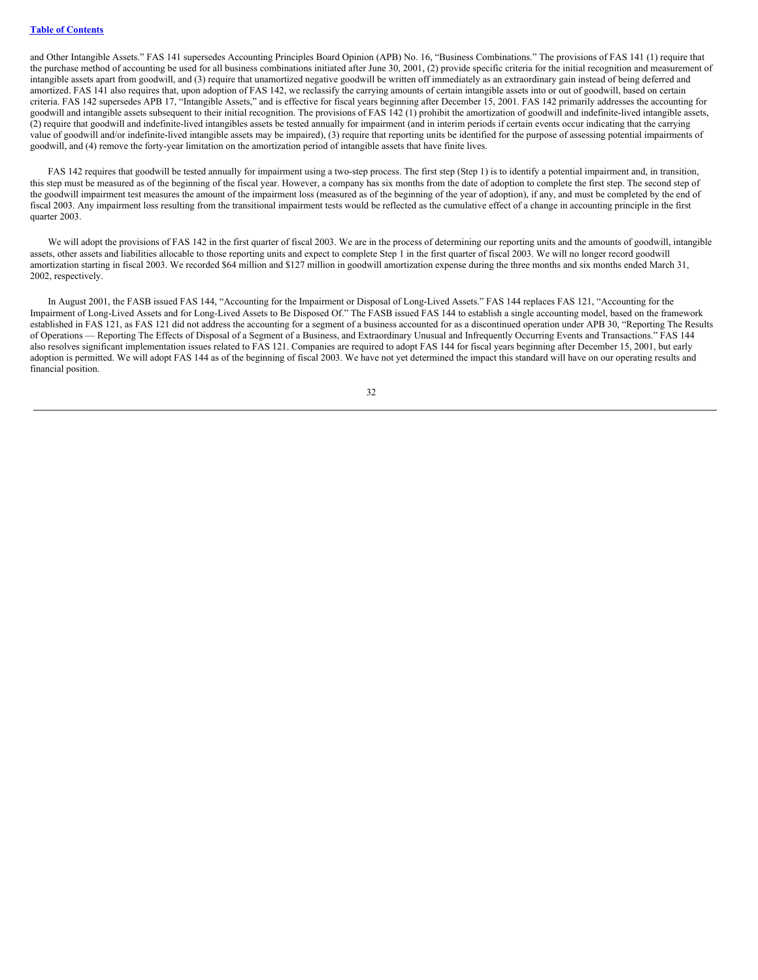and Other Intangible Assets." FAS 141 supersedes Accounting Principles Board Opinion (APB) No. 16, "Business Combinations." The provisions of FAS 141 (1) require that the purchase method of accounting be used for all business combinations initiated after June 30, 2001, (2) provide specific criteria for the initial recognition and measurement of intangible assets apart from goodwill, and (3) require that unamortized negative goodwill be written off immediately as an extraordinary gain instead of being deferred and amortized. FAS 141 also requires that, upon adoption of FAS 142, we reclassify the carrying amounts of certain intangible assets into or out of goodwill, based on certain criteria. FAS 142 supersedes APB 17, "Intangible Assets," and is effective for fiscal years beginning after December 15, 2001. FAS 142 primarily addresses the accounting for goodwill and intangible assets subsequent to their initial recognition. The provisions of FAS 142 (1) prohibit the amortization of goodwill and indefinite-lived intangible assets, (2) require that goodwill and indefinite-lived intangibles assets be tested annually for impairment (and in interim periods if certain events occur indicating that the carrying value of goodwill and/or indefinite-lived intangible assets may be impaired), (3) require that reporting units be identified for the purpose of assessing potential impairments of goodwill, and (4) remove the forty-year limitation on the amortization period of intangible assets that have finite lives.

FAS 142 requires that goodwill be tested annually for impairment using a two-step process. The first step (Step 1) is to identify a potential impairment and, in transition, this step must be measured as of the beginning of the fiscal year. However, a company has six months from the date of adoption to complete the first step. The second step of the goodwill impairment test measures the amount of the impairment loss (measured as of the beginning of the year of adoption), if any, and must be completed by the end of fiscal 2003. Any impairment loss resulting from the transitional impairment tests would be reflected as the cumulative effect of a change in accounting principle in the first quarter 2003.

We will adopt the provisions of FAS 142 in the first quarter of fiscal 2003. We are in the process of determining our reporting units and the amounts of goodwill, intangible assets, other assets and liabilities allocable to those reporting units and expect to complete Step 1 in the first quarter of fiscal 2003. We will no longer record goodwill amortization starting in fiscal 2003. We recorded \$64 million and \$127 million in goodwill amortization expense during the three months and six months ended March 31, 2002, respectively.

In August 2001, the FASB issued FAS 144, "Accounting for the Impairment or Disposal of Long-Lived Assets." FAS 144 replaces FAS 121, "Accounting for the Impairment of Long-Lived Assets and for Long-Lived Assets to Be Disposed Of." The FASB issued FAS 144 to establish a single accounting model, based on the framework established in FAS 121, as FAS 121 did not address the accounting for a segment of a business accounted for as a discontinued operation under APB 30, "Reporting The Results of Operations — Reporting The Effects of Disposal of a Segment of a Business, and Extraordinary Unusual and Infrequently Occurring Events and Transactions." FAS 144 also resolves significant implementation issues related to FAS 121. Companies are required to adopt FAS 144 for fiscal years beginning after December 15, 2001, but early adoption is permitted. We will adopt FAS 144 as of the beginning of fiscal 2003. We have not yet determined the impact this standard will have on our operating results and financial position.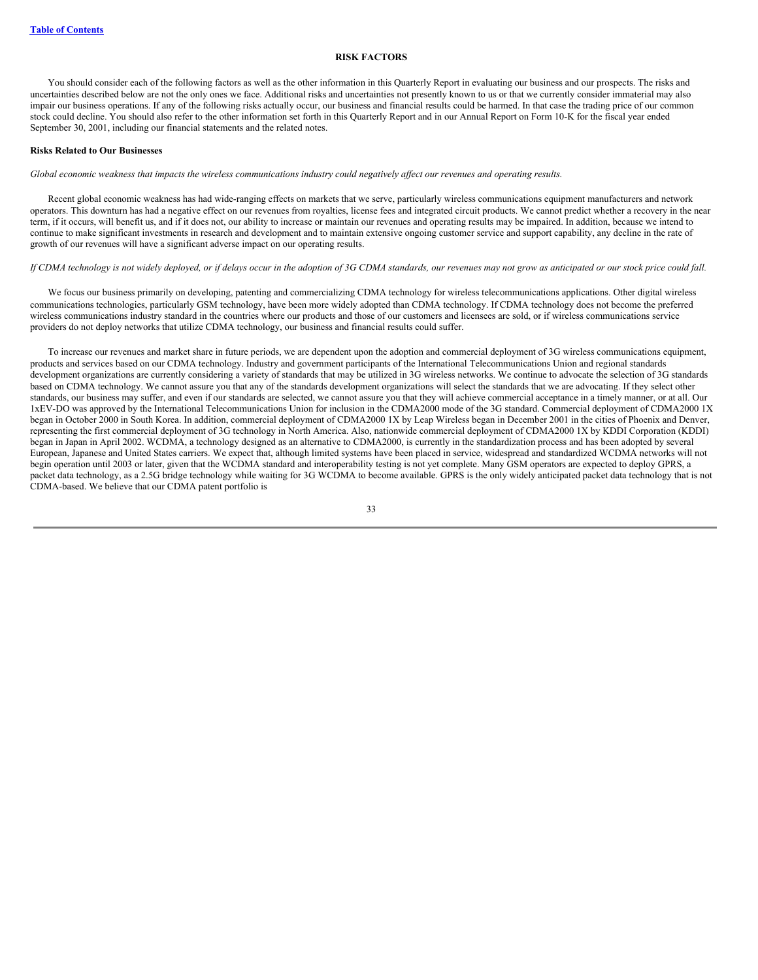# **RISK FACTORS**

You should consider each of the following factors as well as the other information in this Quarterly Report in evaluating our business and our prospects. The risks and uncertainties described below are not the only ones we face. Additional risks and uncertainties not presently known to us or that we currently consider immaterial may also impair our business operations. If any of the following risks actually occur, our business and financial results could be harmed. In that case the trading price of our common stock could decline. You should also refer to the other information set forth in this Quarterly Report and in our Annual Report on Form 10-K for the fiscal year ended September 30, 2001, including our financial statements and the related notes.

## **Risks Related to Our Businesses**

Global economic weakness that impacts the wireless communications industry could negatively affect our revenues and operating results.

Recent global economic weakness has had wide-ranging effects on markets that we serve, particularly wireless communications equipment manufacturers and network operators. This downturn has had a negative effect on our revenues from royalties, license fees and integrated circuit products. We cannot predict whether a recovery in the near term, if it occurs, will benefit us, and if it does not, our ability to increase or maintain our revenues and operating results may be impaired. In addition, because we intend to continue to make significant investments in research and development and to maintain extensive ongoing customer service and support capability, any decline in the rate of growth of our revenues will have a significant adverse impact on our operating results.

## If CDMA technology is not widely deployed, or if delays occur in the adoption of 3G CDMA standards, our revenues may not grow as anticipated or our stock price could fall.

We focus our business primarily on developing, patenting and commercializing CDMA technology for wireless telecommunications applications. Other digital wireless communications technologies, particularly GSM technology, have been more widely adopted than CDMA technology. If CDMA technology does not become the preferred wireless communications industry standard in the countries where our products and those of our customers and licensees are sold, or if wireless communications service providers do not deploy networks that utilize CDMA technology, our business and financial results could suffer.

To increase our revenues and market share in future periods, we are dependent upon the adoption and commercial deployment of 3G wireless communications equipment, products and services based on our CDMA technology. Industry and government participants of the International Telecommunications Union and regional standards development organizations are currently considering a variety of standards that may be utilized in 3G wireless networks. We continue to advocate the selection of 3G standards based on CDMA technology. We cannot assure you that any of the standards development organizations will select the standards that we are advocating. If they select other standards, our business may suffer, and even if our standards are selected, we cannot assure you that they will achieve commercial acceptance in a timely manner, or at all. Our 1xEV-DO was approved by the International Telecommunications Union for inclusion in the CDMA2000 mode of the 3G standard. Commercial deployment of CDMA2000 1X began in October 2000 in South Korea. In addition, commercial deployment of CDMA2000 1X by Leap Wireless began in December 2001 in the cities of Phoenix and Denver, representing the first commercial deployment of 3G technology in North America. Also, nationwide commercial deployment of CDMA2000 1X by KDDI Corporation (KDDI) began in Japan in April 2002. WCDMA, a technology designed as an alternative to CDMA2000, is currently in the standardization process and has been adopted by several European, Japanese and United States carriers. We expect that, although limited systems have been placed in service, widespread and standardized WCDMA networks will not begin operation until 2003 or later, given that the WCDMA standard and interoperability testing is not yet complete. Many GSM operators are expected to deploy GPRS, a packet data technology, as a 2.5G bridge technology while waiting for 3G WCDMA to become available. GPRS is the only widely anticipated packet data technology that is not CDMA-based. We believe that our CDMA patent portfolio is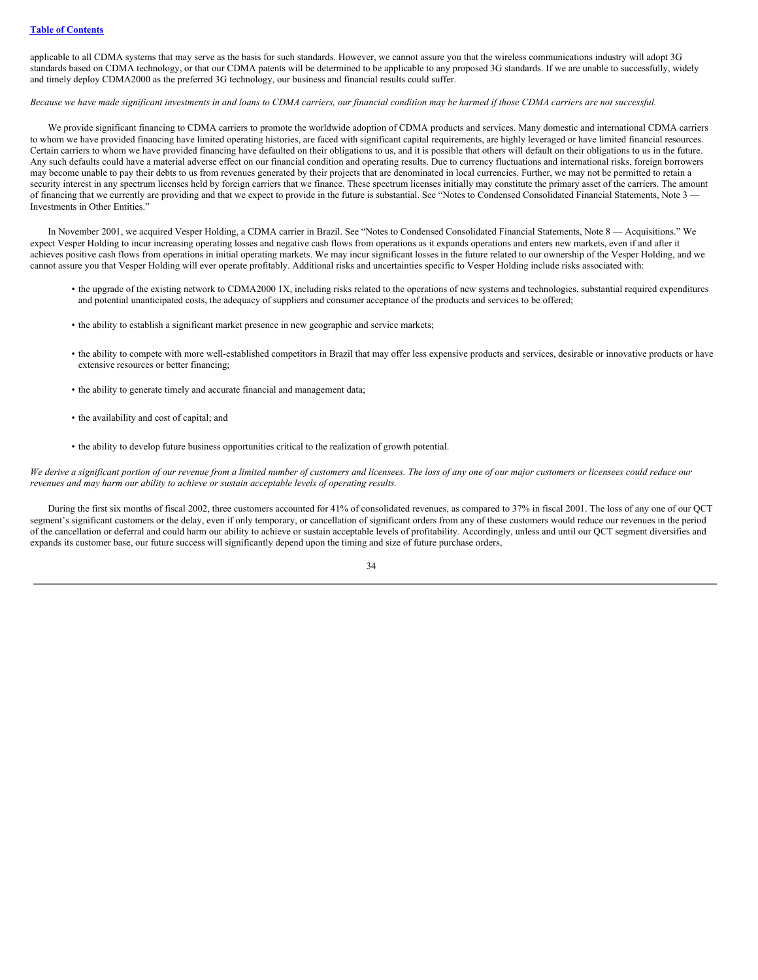applicable to all CDMA systems that may serve as the basis for such standards. However, we cannot assure you that the wireless communications industry will adopt 3G standards based on CDMA technology, or that our CDMA patents will be determined to be applicable to any proposed 3G standards. If we are unable to successfully, widely and timely deploy CDMA2000 as the preferred 3G technology, our business and financial results could suffer.

## Because we have made significant investments in and loans to CDMA carriers, our financial condition may be harmed if those CDMA carriers are not successful.

We provide significant financing to CDMA carriers to promote the worldwide adoption of CDMA products and services. Many domestic and international CDMA carriers to whom we have provided financing have limited operating histories, are faced with significant capital requirements, are highly leveraged or have limited financial resources. Certain carriers to whom we have provided financing have defaulted on their obligations to us, and it is possible that others will default on their obligations to us in the future. Any such defaults could have a material adverse effect on our financial condition and operating results. Due to currency fluctuations and international risks, foreign borrowers may become unable to pay their debts to us from revenues generated by their projects that are denominated in local currencies. Further, we may not be permitted to retain a security interest in any spectrum licenses held by foreign carriers that we finance. These spectrum licenses initially may constitute the primary asset of the carriers. The amount of financing that we currently are providing and that we expect to provide in the future is substantial. See "Notes to Condensed Consolidated Financial Statements, Note 3 -Investments in Other Entities."

In November 2001, we acquired Vesper Holding, a CDMA carrier in Brazil. See "Notes to Condensed Consolidated Financial Statements, Note 8 — Acquisitions." We expect Vesper Holding to incur increasing operating losses and negative cash flows from operations as it expands operations and enters new markets, even if and after it achieves positive cash flows from operations in initial operating markets. We may incur significant losses in the future related to our ownership of the Vesper Holding, and we cannot assure you that Vesper Holding will ever operate profitably. Additional risks and uncertainties specific to Vesper Holding include risks associated with:

- the upgrade of the existing network to CDMA2000 1X, including risks related to the operations of new systems and technologies, substantial required expenditures and potential unanticipated costs, the adequacy of suppliers and consumer acceptance of the products and services to be offered;
- the ability to establish a significant market presence in new geographic and service markets;
- the ability to compete with more well-established competitors in Brazil that may offer less expensive products and services, desirable or innovative products or have extensive resources or better financing;
- the ability to generate timely and accurate financial and management data;
- the availability and cost of capital; and
- the ability to develop future business opportunities critical to the realization of growth potential.

We derive a significant portion of our revenue from a limited number of customers and licensees. The loss of any one of our major customers or licensees could reduce our *revenues and may harm our ability to achieve or sustain acceptable levels of operating results.*

During the first six months of fiscal 2002, three customers accounted for 41% of consolidated revenues, as compared to 37% in fiscal 2001. The loss of any one of our QCT segment's significant customers or the delay, even if only temporary, or cancellation of significant orders from any of these customers would reduce our revenues in the period of the cancellation or deferral and could harm our ability to achieve or sustain acceptable levels of profitability. Accordingly, unless and until our QCT segment diversifies and expands its customer base, our future success will significantly depend upon the timing and size of future purchase orders,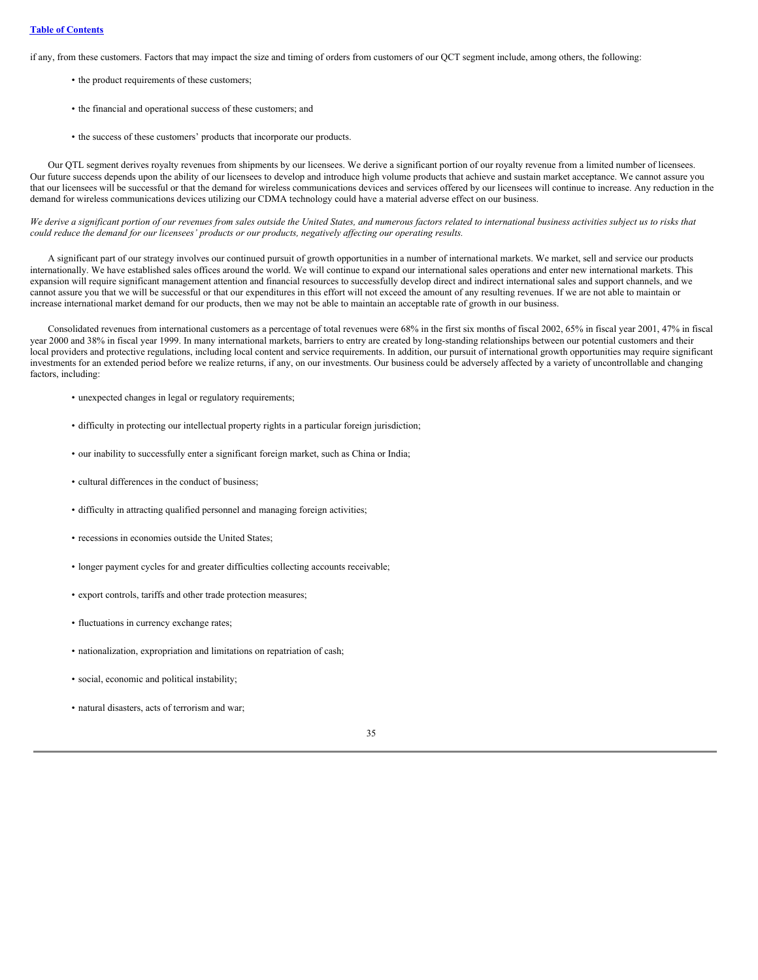if any, from these customers. Factors that may impact the size and timing of orders from customers of our QCT segment include, among others, the following:

- the product requirements of these customers;
- the financial and operational success of these customers; and
- the success of these customers' products that incorporate our products.

Our QTL segment derives royalty revenues from shipments by our licensees. We derive a significant portion of our royalty revenue from a limited number of licensees. Our future success depends upon the ability of our licensees to develop and introduce high volume products that achieve and sustain market acceptance. We cannot assure you that our licensees will be successful or that the demand for wireless communications devices and services offered by our licensees will continue to increase. Any reduction in the demand for wireless communications devices utilizing our CDMA technology could have a material adverse effect on our business.

We derive a significant portion of our revenues from sales outside the United States, and numerous factors related to international business activities subject us to risks that could reduce the demand for our licensees' products or our products, negatively affecting our operating results.

A significant part of our strategy involves our continued pursuit of growth opportunities in a number of international markets. We market, sell and service our products internationally. We have established sales offices around the world. We will continue to expand our international sales operations and enter new international markets. This expansion will require significant management attention and financial resources to successfully develop direct and indirect international sales and support channels, and we cannot assure you that we will be successful or that our expenditures in this effort will not exceed the amount of any resulting revenues. If we are not able to maintain or increase international market demand for our products, then we may not be able to maintain an acceptable rate of growth in our business.

Consolidated revenues from international customers as a percentage of total revenues were 68% in the first six months of fiscal 2002, 65% in fiscal year 2001, 47% in fiscal year 2000 and 38% in fiscal year 1999. In many international markets, barriers to entry are created by long-standing relationships between our potential customers and their local providers and protective regulations, including local content and service requirements. In addition, our pursuit of international growth opportunities may require significant investments for an extended period before we realize returns, if any, on our investments. Our business could be adversely affected by a variety of uncontrollable and changing factors, including:

- unexpected changes in legal or regulatory requirements;
- difficulty in protecting our intellectual property rights in a particular foreign jurisdiction;
- our inability to successfully enter a significant foreign market, such as China or India;
- cultural differences in the conduct of business;
- difficulty in attracting qualified personnel and managing foreign activities;
- recessions in economies outside the United States;
- longer payment cycles for and greater difficulties collecting accounts receivable;
- export controls, tariffs and other trade protection measures;
- fluctuations in currency exchange rates;
- nationalization, expropriation and limitations on repatriation of cash;
- social, economic and political instability;
- natural disasters, acts of terrorism and war;

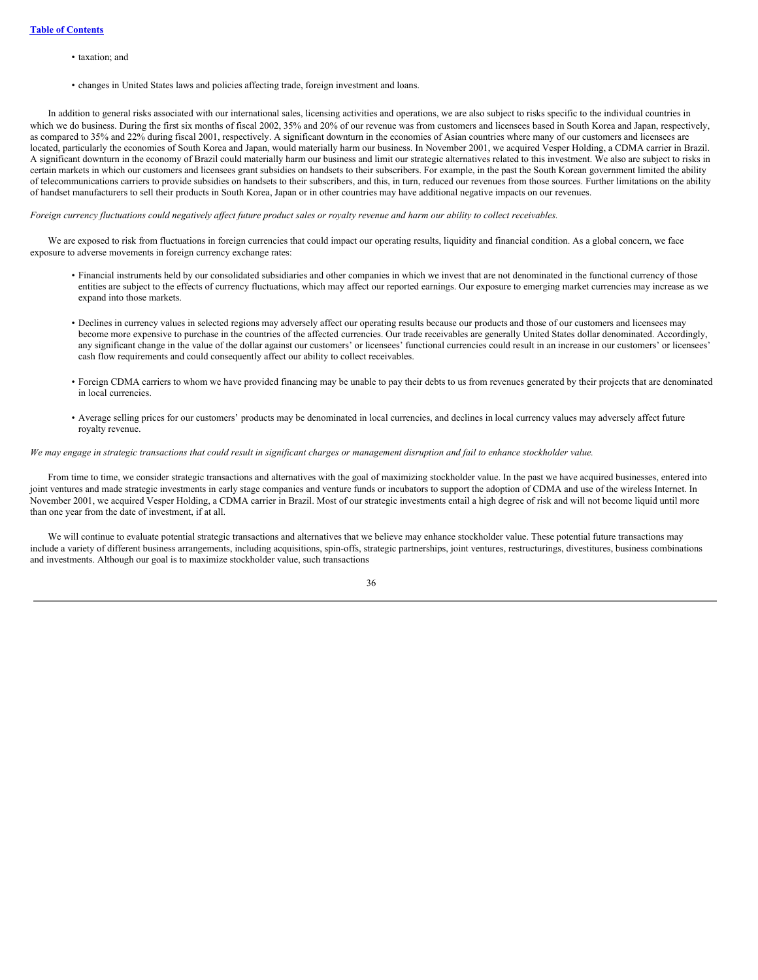- taxation; and
- changes in United States laws and policies affecting trade, foreign investment and loans.

In addition to general risks associated with our international sales, licensing activities and operations, we are also subject to risks specific to the individual countries in which we do business. During the first six months of fiscal 2002, 35% and 20% of our revenue was from customers and licensees based in South Korea and Japan, respectively, as compared to 35% and 22% during fiscal 2001, respectively. A significant downturn in the economies of Asian countries where many of our customers and licensees are located, particularly the economies of South Korea and Japan, would materially harm our business. In November 2001, we acquired Vesper Holding, a CDMA carrier in Brazil. A significant downturn in the economy of Brazil could materially harm our business and limit our strategic alternatives related to this investment. We also are subject to risks in certain markets in which our customers and licensees grant subsidies on handsets to their subscribers. For example, in the past the South Korean government limited the ability of telecommunications carriers to provide subsidies on handsets to their subscribers, and this, in turn, reduced our revenues from those sources. Further limitations on the ability of handset manufacturers to sell their products in South Korea, Japan or in other countries may have additional negative impacts on our revenues.

## Foreign currency fluctuations could negatively affect future product sales or royalty revenue and harm our ability to collect receivables.

We are exposed to risk from fluctuations in foreign currencies that could impact our operating results, liquidity and financial condition. As a global concern, we face exposure to adverse movements in foreign currency exchange rates:

- Financial instruments held by our consolidated subsidiaries and other companies in which we invest that are not denominated in the functional currency of those entities are subject to the effects of currency fluctuations, which may affect our reported earnings. Our exposure to emerging market currencies may increase as we expand into those markets.
- Declines in currency values in selected regions may adversely affect our operating results because our products and those of our customers and licensees may become more expensive to purchase in the countries of the affected currencies. Our trade receivables are generally United States dollar denominated. Accordingly, any significant change in the value of the dollar against our customers' or licensees' functional currencies could result in an increase in our customers' or licensees' cash flow requirements and could consequently affect our ability to collect receivables.
- Foreign CDMA carriers to whom we have provided financing may be unable to pay their debts to us from revenues generated by their projects that are denominated in local currencies.
- Average selling prices for our customers' products may be denominated in local currencies, and declines in local currency values may adversely affect future royalty revenue.

### We may engage in strategic transactions that could result in significant charges or management disruption and fail to enhance stockholder value.

From time to time, we consider strategic transactions and alternatives with the goal of maximizing stockholder value. In the past we have acquired businesses, entered into joint ventures and made strategic investments in early stage companies and venture funds or incubators to support the adoption of CDMA and use of the wireless Internet. In November 2001, we acquired Vesper Holding, a CDMA carrier in Brazil. Most of our strategic investments entail a high degree of risk and will not become liquid until more than one year from the date of investment, if at all.

We will continue to evaluate potential strategic transactions and alternatives that we believe may enhance stockholder value. These potential future transactions may include a variety of different business arrangements, including acquisitions, spin-offs, strategic partnerships, joint ventures, restructurings, divestitures, business combinations and investments. Although our goal is to maximize stockholder value, such transactions

36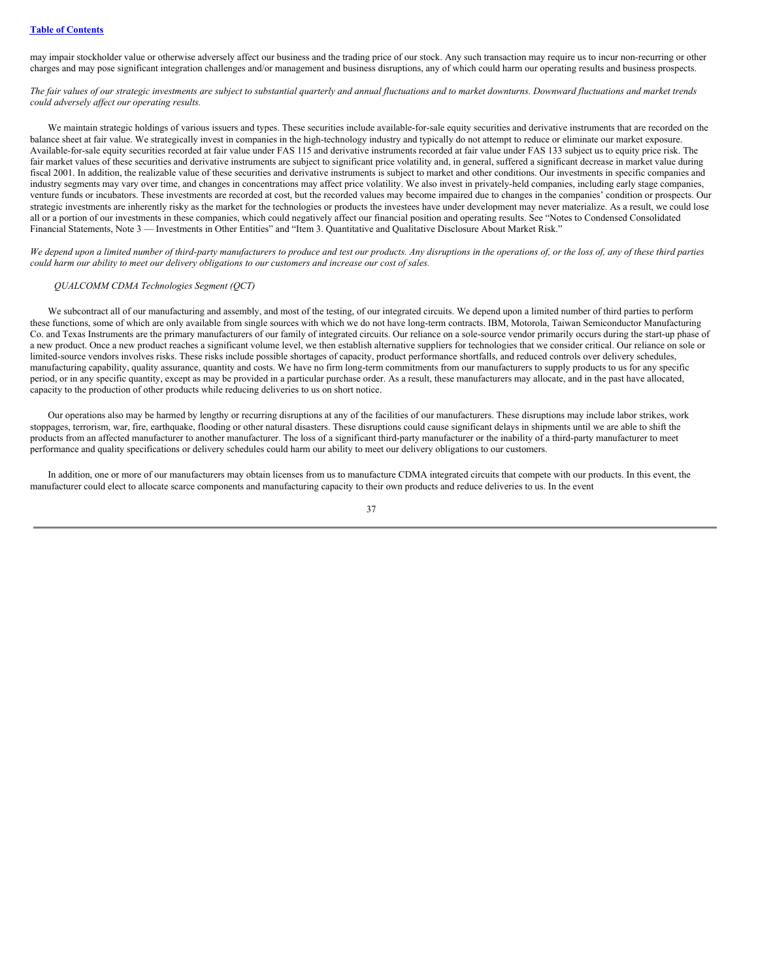### **Table of [Contents](#page-0-0)**

may impair stockholder value or otherwise adversely affect our business and the trading price of our stock. Any such transaction may require us to incur non-recurring or other charges and may pose significant integration challenges and/or management and business disruptions, any of which could harm our operating results and business prospects.

The fair values of our strategic investments are subject to substantial quarterly and annual fluctuations and to market downturns. Downward fluctuations and market trends *could adversely af ect our operating results.*

We maintain strategic holdings of various issuers and types. These securities include available-for-sale equity securities and derivative instruments that are recorded on the balance sheet at fair value. We strategically invest in companies in the high-technology industry and typically do not attempt to reduce or eliminate our market exposure. Available-for-sale equity securities recorded at fair value under FAS 115 and derivative instruments recorded at fair value under FAS 133 subject us to equity price risk. The fair market values of these securities and derivative instruments are subject to significant price volatility and, in general, suffered a significant decrease in market value during fiscal 2001. In addition, the realizable value of these securities and derivative instruments is subject to market and other conditions. Our investments in specific companies and industry segments may vary over time, and changes in concentrations may affect price volatility. We also invest in privately-held companies, including early stage companies, venture funds or incubators. These investments are recorded at cost, but the recorded values may become impaired due to changes in the companies' condition or prospects. Our strategic investments are inherently risky as the market for the technologies or products the investees have under development may never materialize. As a result, we could lose all or a portion of our investments in these companies, which could negatively affect our financial position and operating results. See "Notes to Condensed Consolidated Financial Statements, Note 3 — Investments in Other Entities" and "Item 3. Quantitative and Qualitative Disclosure About Market Risk."

We depend upon a limited number of third-party manufacturers to produce and test our products. Any disruptions in the operations of, or the loss of, any of these third parties could harm our ability to meet our delivery obligations to our customers and increase our cost of sales.

### *QUALCOMM CDMA Technologies Segment (QCT)*

We subcontract all of our manufacturing and assembly, and most of the testing, of our integrated circuits. We depend upon a limited number of third parties to perform these functions, some of which are only available from single sources with which we do not have long-term contracts. IBM, Motorola, Taiwan Semiconductor Manufacturing Co. and Texas Instruments are the primary manufacturers of our family of integrated circuits. Our reliance on a sole-source vendor primarily occurs during the start-up phase of a new product. Once a new product reaches a significant volume level, we then establish alternative suppliers for technologies that we consider critical. Our reliance on sole or limited-source vendors involves risks. These risks include possible shortages of capacity, product performance shortfalls, and reduced controls over delivery schedules, manufacturing capability, quality assurance, quantity and costs. We have no firm long-term commitments from our manufacturers to supply products to us for any specific period, or in any specific quantity, except as may be provided in a particular purchase order. As a result, these manufacturers may allocate, and in the past have allocated, capacity to the production of other products while reducing deliveries to us on short notice.

Our operations also may be harmed by lengthy or recurring disruptions at any of the facilities of our manufacturers. These disruptions may include labor strikes, work stoppages, terrorism, war, fire, earthquake, flooding or other natural disasters. These disruptions could cause significant delays in shipments until we are able to shift the products from an affected manufacturer to another manufacturer. The loss of a significant third-party manufacturer or the inability of a third-party manufacturer to meet performance and quality specifications or delivery schedules could harm our ability to meet our delivery obligations to our customers.

In addition, one or more of our manufacturers may obtain licenses from us to manufacture CDMA integrated circuits that compete with our products. In this event, the manufacturer could elect to allocate scarce components and manufacturing capacity to their own products and reduce deliveries to us. In the event

37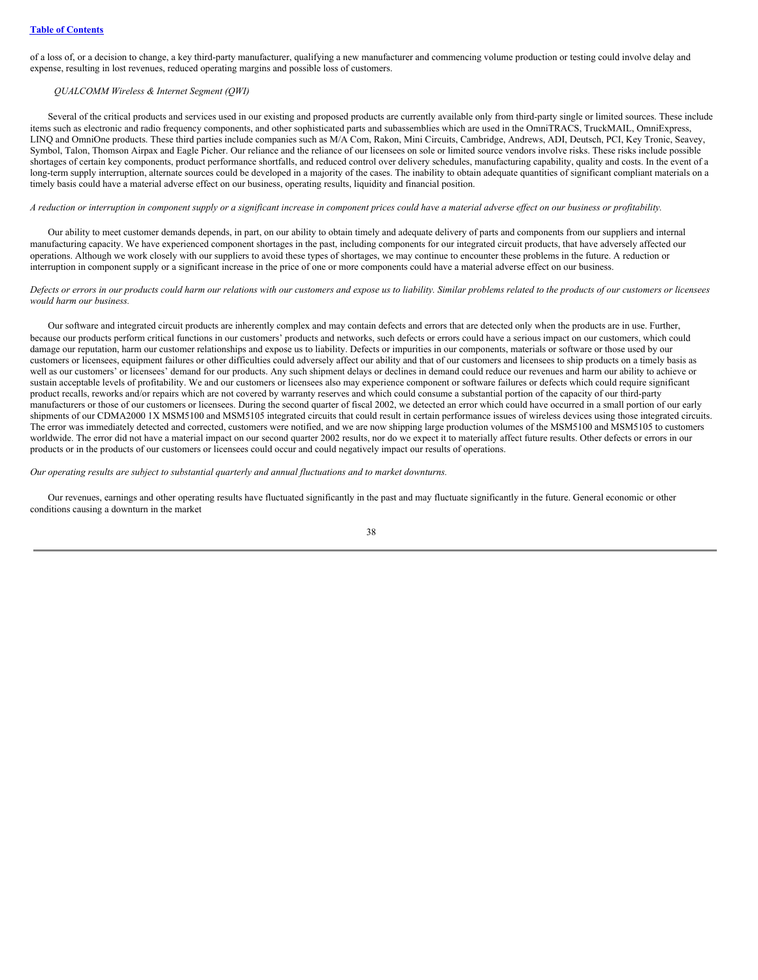of a loss of, or a decision to change, a key third-party manufacturer, qualifying a new manufacturer and commencing volume production or testing could involve delay and expense, resulting in lost revenues, reduced operating margins and possible loss of customers.

### *QUALCOMM Wireless & Internet Segment (QWI)*

Several of the critical products and services used in our existing and proposed products are currently available only from third-party single or limited sources. These include items such as electronic and radio frequency components, and other sophisticated parts and subassemblies which are used in the OmniTRACS, TruckMAIL, OmniExpress, LINQ and OmniOne products. These third parties include companies such as M/A Com, Rakon, Mini Circuits, Cambridge, Andrews, ADI, Deutsch, PCI, Key Tronic, Seavey, Symbol, Talon, Thomson Airpax and Eagle Picher. Our reliance and the reliance of our licensees on sole or limited source vendors involve risks. These risks include possible shortages of certain key components, product performance shortfalls, and reduced control over delivery schedules, manufacturing capability, quality and costs. In the event of a long-term supply interruption, alternate sources could be developed in a majority of the cases. The inability to obtain adequate quantities of significant compliant materials on a timely basis could have a material adverse effect on our business, operating results, liquidity and financial position.

A reduction or interruption in component supply or a significant increase in component prices could have a material adverse effect on our business or profitability.

Our ability to meet customer demands depends, in part, on our ability to obtain timely and adequate delivery of parts and components from our suppliers and internal manufacturing capacity. We have experienced component shortages in the past, including components for our integrated circuit products, that have adversely affected our operations. Although we work closely with our suppliers to avoid these types of shortages, we may continue to encounter these problems in the future. A reduction or interruption in component supply or a significant increase in the price of one or more components could have a material adverse effect on our business.

### Defects or errors in our products could harm our relations with our customers and expose us to liability. Similar problems related to the products of our customers or licensees *would harm our business.*

Our software and integrated circuit products are inherently complex and may contain defects and errors that are detected only when the products are in use. Further, because our products perform critical functions in our customers' products and networks, such defects or errors could have a serious impact on our customers, which could damage our reputation, harm our customer relationships and expose us to liability. Defects or impurities in our components, materials or software or those used by our customers or licensees, equipment failures or other difficulties could adversely affect our ability and that of our customers and licensees to ship products on a timely basis as well as our customers' or licensees' demand for our products. Any such shipment delays or declines in demand could reduce our revenues and harm our ability to achieve or sustain acceptable levels of profitability. We and our customers or licensees also may experience component or software failures or defects which could require significant product recalls, reworks and/or repairs which are not covered by warranty reserves and which could consume a substantial portion of the capacity of our third-party manufacturers or those of our customers or licensees. During the second quarter of fiscal 2002, we detected an error which could have occurred in a small portion of our early shipments of our CDMA2000 1X MSM5100 and MSM5105 integrated circuits that could result in certain performance issues of wireless devices using those integrated circuits. The error was immediately detected and corrected, customers were notified, and we are now shipping large production volumes of the MSM5100 and MSM5105 to customers worldwide. The error did not have a material impact on our second quarter 2002 results, nor do we expect it to materially affect future results. Other defects or errors in our products or in the products of our customers or licensees could occur and could negatively impact our results of operations.

*Our operating results are subject to substantial quarterly and annual fluctuations and to market downturns.*

Our revenues, earnings and other operating results have fluctuated significantly in the past and may fluctuate significantly in the future. General economic or other conditions causing a downturn in the market

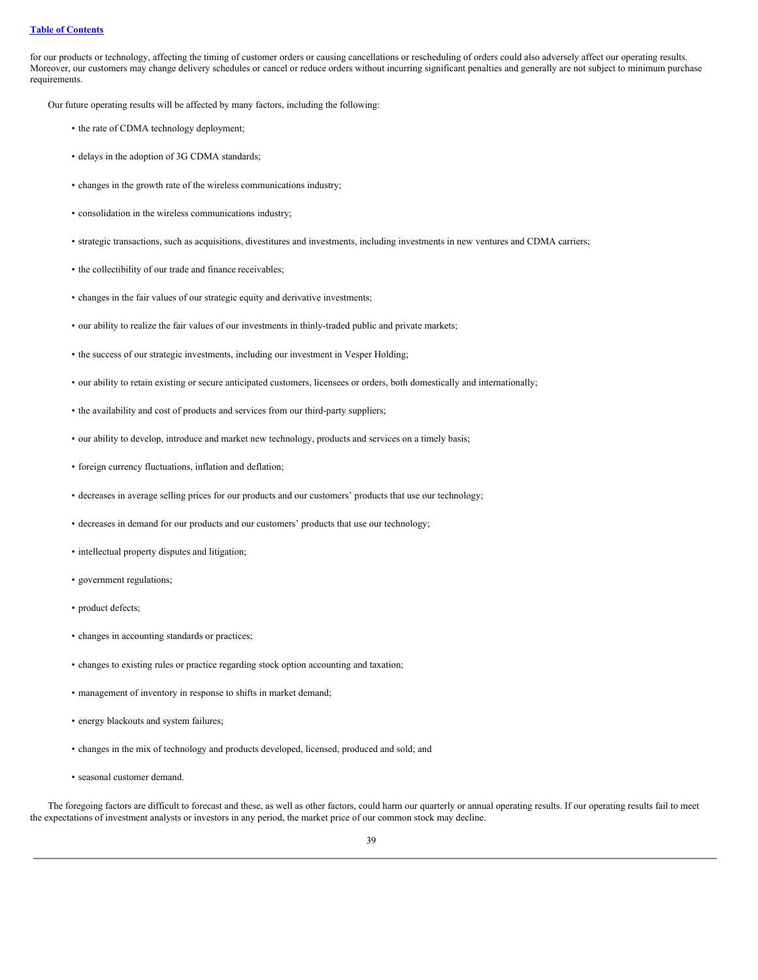for our products or technology, affecting the timing of customer orders or causing cancellations or rescheduling of orders could also adversely affect our operating results. Moreover, our customers may change delivery schedules or cancel or reduce orders without incurring significant penalties and generally are not subject to minimum purchase requirements.

Our future operating results will be affected by many factors, including the following:

- the rate of CDMA technology deployment;
- delays in the adoption of 3G CDMA standards;
- changes in the growth rate of the wireless communications industry;
- consolidation in the wireless communications industry;
- strategic transactions, such as acquisitions, divestitures and investments, including investments in new ventures and CDMA carriers;
- the collectibility of our trade and finance receivables;
- changes in the fair values of our strategic equity and derivative investments;
- our ability to realize the fair values of our investments in thinly-traded public and private markets;
- the success of our strategic investments, including our investment in Vesper Holding;
- our ability to retain existing or secure anticipated customers, licensees or orders, both domestically and internationally;
- the availability and cost of products and services from our third-party suppliers;
- our ability to develop, introduce and market new technology, products and services on a timely basis;
- foreign currency fluctuations, inflation and deflation;
- decreases in average selling prices for our products and our customers' products that use our technology;
- decreases in demand for our products and our customers' products that use our technology;
- intellectual property disputes and litigation;
- government regulations;
- product defects;
- changes in accounting standards or practices;
- changes to existing rules or practice regarding stock option accounting and taxation;
- management of inventory in response to shifts in market demand;
- energy blackouts and system failures;
- changes in the mix of technology and products developed, licensed, produced and sold; and
- seasonal customer demand.

The foregoing factors are difficult to forecast and these, as well as other factors, could harm our quarterly or annual operating results. If our operating results fail to meet the expectations of investment analysts or investors in any period, the market price of our common stock may decline.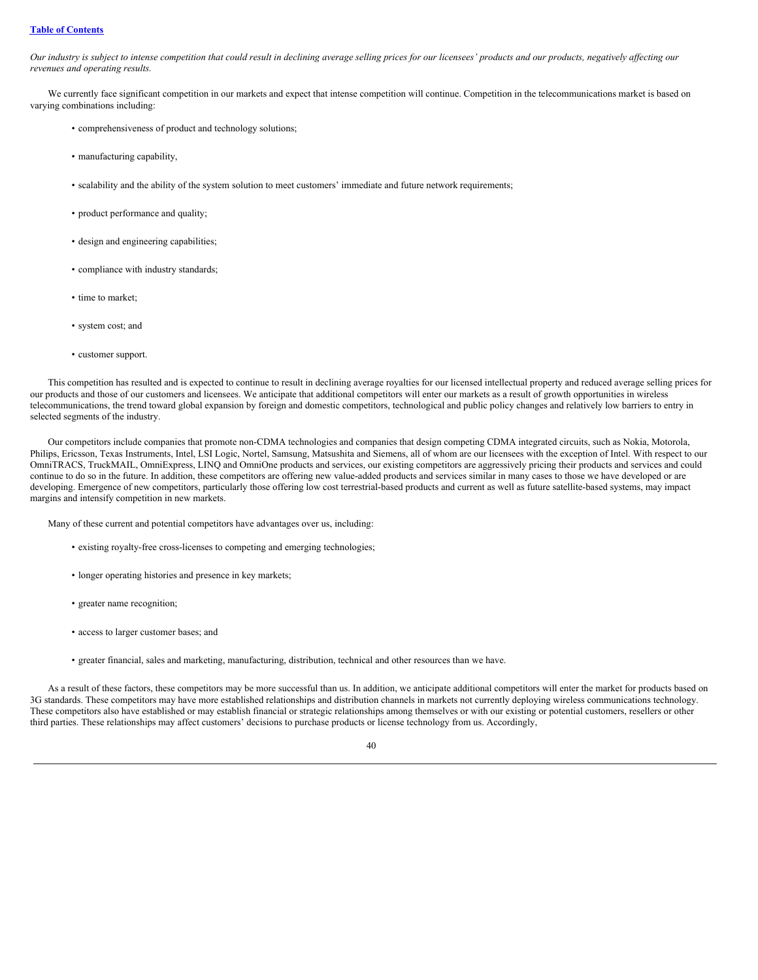# **Table of [Contents](#page-0-0)**

Our industry is subject to intense competition that could result in declining average selling prices for our licensees' products and our products, negatively affecting our *revenues and operating results.*

We currently face significant competition in our markets and expect that intense competition will continue. Competition in the telecommunications market is based on varying combinations including:

- comprehensiveness of product and technology solutions;
- manufacturing capability,
- scalability and the ability of the system solution to meet customers' immediate and future network requirements;
- product performance and quality;
- design and engineering capabilities;
- compliance with industry standards;
- time to market;
- system cost; and
- customer support.

This competition has resulted and is expected to continue to result in declining average royalties for our licensed intellectual property and reduced average selling prices for our products and those of our customers and licensees. We anticipate that additional competitors will enter our markets as a result of growth opportunities in wireless telecommunications, the trend toward global expansion by foreign and domestic competitors, technological and public policy changes and relatively low barriers to entry in selected segments of the industry.

Our competitors include companies that promote non-CDMA technologies and companies that design competing CDMA integrated circuits, such as Nokia, Motorola, Philips, Ericsson, Texas Instruments, Intel, LSI Logic, Nortel, Samsung, Matsushita and Siemens, all of whom are our licensees with the exception of Intel. With respect to our OmniTRACS, TruckMAIL, OmniExpress, LINQ and OmniOne products and services, our existing competitors are aggressively pricing their products and services and could continue to do so in the future. In addition, these competitors are offering new value-added products and services similar in many cases to those we have developed or are developing. Emergence of new competitors, particularly those offering low cost terrestrial-based products and current as well as future satellite-based systems, may impact margins and intensify competition in new markets.

Many of these current and potential competitors have advantages over us, including:

- existing royalty-free cross-licenses to competing and emerging technologies;
- longer operating histories and presence in key markets;
- greater name recognition;
- access to larger customer bases; and
- greater financial, sales and marketing, manufacturing, distribution, technical and other resources than we have.

As a result of these factors, these competitors may be more successful than us. In addition, we anticipate additional competitors will enter the market for products based on 3G standards. These competitors may have more established relationships and distribution channels in markets not currently deploying wireless communications technology. These competitors also have established or may establish financial or strategic relationships among themselves or with our existing or potential customers, resellers or other third parties. These relationships may affect customers' decisions to purchase products or license technology from us. Accordingly,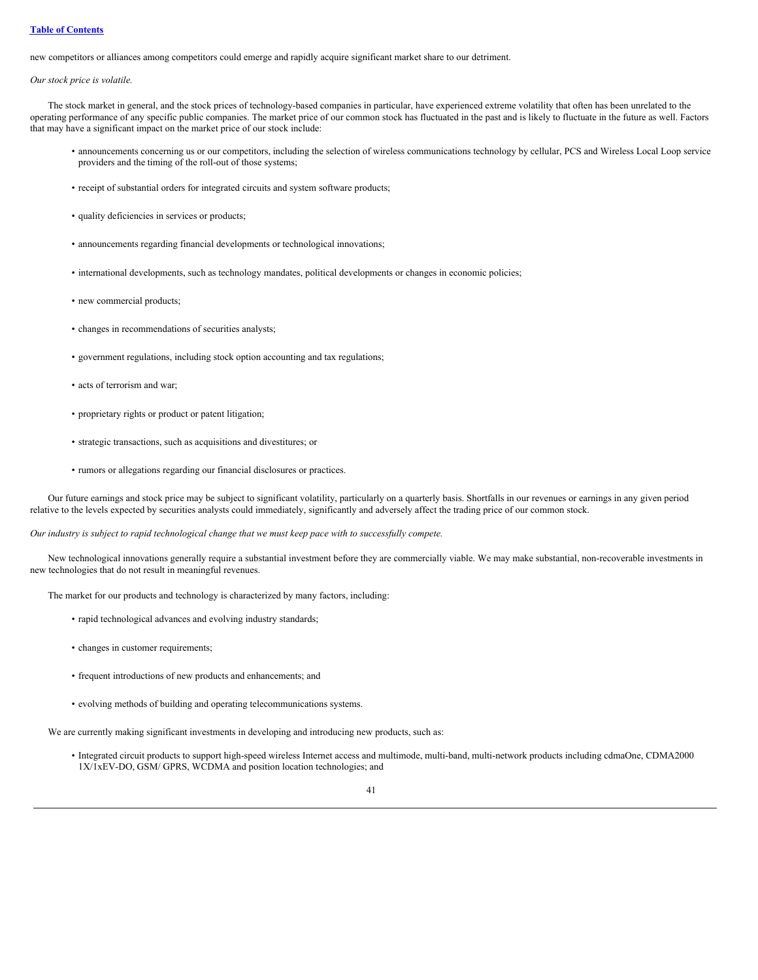# **Table of [Contents](#page-0-0)**

new competitors or alliances among competitors could emerge and rapidly acquire significant market share to our detriment.

*Our stock price is volatile.*

The stock market in general, and the stock prices of technology-based companies in particular, have experienced extreme volatility that often has been unrelated to the operating performance of any specific public companies. The market price of our common stock has fluctuated in the past and is likely to fluctuate in the future as well. Factors that may have a significant impact on the market price of our stock include:

- announcements concerning us or our competitors, including the selection of wireless communications technology by cellular, PCS and Wireless Local Loop service providers and the timing of the roll-out of those systems;
- receipt of substantial orders for integrated circuits and system software products;
- quality deficiencies in services or products;
- announcements regarding financial developments or technological innovations;
- international developments, such as technology mandates, political developments or changes in economic policies;
- new commercial products;
- changes in recommendations of securities analysts;
- government regulations, including stock option accounting and tax regulations;
- acts of terrorism and war;
- proprietary rights or product or patent litigation;
- strategic transactions, such as acquisitions and divestitures; or
- rumors or allegations regarding our financial disclosures or practices.

Our future earnings and stock price may be subject to significant volatility, particularly on a quarterly basis. Shortfalls in our revenues or earnings in any given period relative to the levels expected by securities analysts could immediately, significantly and adversely affect the trading price of our common stock.

Our industry is subject to rapid technological change that we must keep pace with to successfully compete.

New technological innovations generally require a substantial investment before they are commercially viable. We may make substantial, non-recoverable investments in new technologies that do not result in meaningful revenues.

The market for our products and technology is characterized by many factors, including:

- rapid technological advances and evolving industry standards;
- changes in customer requirements;
- frequent introductions of new products and enhancements; and
- evolving methods of building and operating telecommunications systems.

We are currently making significant investments in developing and introducing new products, such as:

• Integrated circuit products to support high-speed wireless Internet access and multimode, multi-band, multi-network products including cdmaOne, CDMA2000 1X/1xEV-DO, GSM/ GPRS, WCDMA and position location technologies; and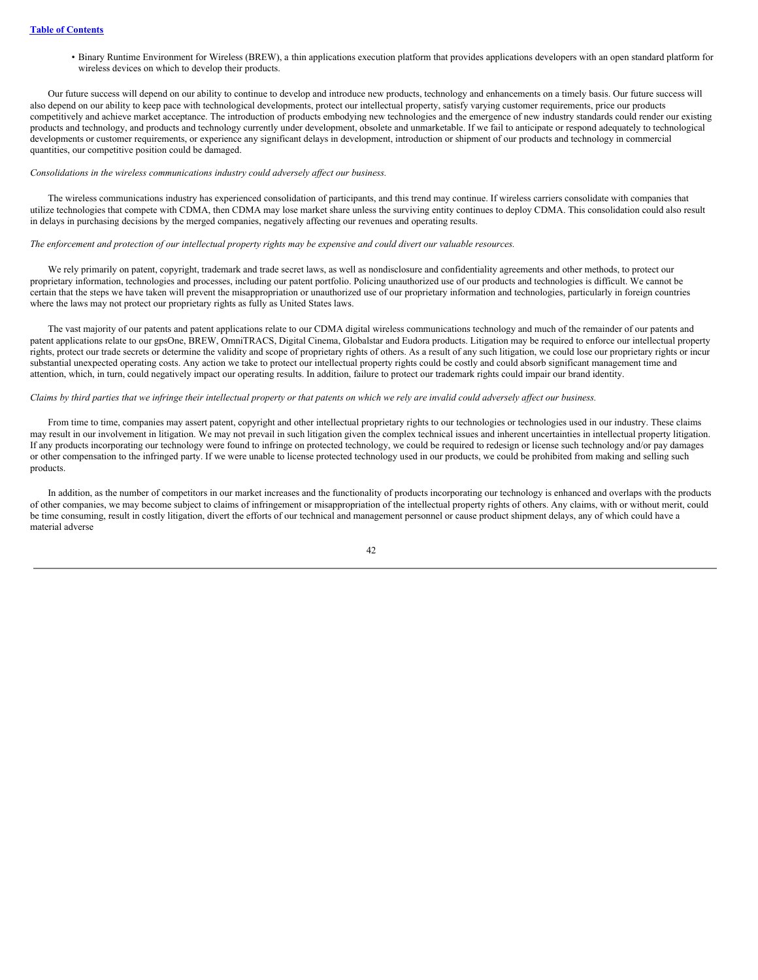• Binary Runtime Environment for Wireless (BREW), a thin applications execution platform that provides applications developers with an open standard platform for wireless devices on which to develop their products.

Our future success will depend on our ability to continue to develop and introduce new products, technology and enhancements on a timely basis. Our future success will also depend on our ability to keep pace with technological developments, protect our intellectual property, satisfy varying customer requirements, price our products competitively and achieve market acceptance. The introduction of products embodying new technologies and the emergence of new industry standards could render our existing products and technology, and products and technology currently under development, obsolete and unmarketable. If we fail to anticipate or respond adequately to technological developments or customer requirements, or experience any significant delays in development, introduction or shipment of our products and technology in commercial quantities, our competitive position could be damaged.

#### *Consolidations in the wireless communications industry could adversely af ect our business.*

The wireless communications industry has experienced consolidation of participants, and this trend may continue. If wireless carriers consolidate with companies that utilize technologies that compete with CDMA, then CDMA may lose market share unless the surviving entity continues to deploy CDMA. This consolidation could also result in delays in purchasing decisions by the merged companies, negatively affecting our revenues and operating results.

## The enforcement and protection of our intellectual property rights may be expensive and could divert our valuable resources.

We rely primarily on patent, copyright, trademark and trade secret laws, as well as nondisclosure and confidentiality agreements and other methods, to protect our proprietary information, technologies and processes, including our patent portfolio. Policing unauthorized use of our products and technologies is difficult. We cannot be certain that the steps we have taken will prevent the misappropriation or unauthorized use of our proprietary information and technologies, particularly in foreign countries where the laws may not protect our proprietary rights as fully as United States laws.

The vast majority of our patents and patent applications relate to our CDMA digital wireless communications technology and much of the remainder of our patents and patent applications relate to our gpsOne, BREW, OmniTRACS, Digital Cinema, Globalstar and Eudora products. Litigation may be required to enforce our intellectual property rights, protect our trade secrets or determine the validity and scope of proprietary rights of others. As a result of any such litigation, we could lose our proprietary rights or incur substantial unexpected operating costs. Any action we take to protect our intellectual property rights could be costly and could absorb significant management time and attention, which, in turn, could negatively impact our operating results. In addition, failure to protect our trademark rights could impair our brand identity.

#### Claims by third parties that we infringe their intellectual property or that patents on which we rely are invalid could adversely affect our business.

From time to time, companies may assert patent, copyright and other intellectual proprietary rights to our technologies or technologies used in our industry. These claims may result in our involvement in litigation. We may not prevail in such litigation given the complex technical issues and inherent uncertainties in intellectual property litigation. If any products incorporating our technology were found to infringe on protected technology, we could be required to redesign or license such technology and/or pay damages or other compensation to the infringed party. If we were unable to license protected technology used in our products, we could be prohibited from making and selling such products.

In addition, as the number of competitors in our market increases and the functionality of products incorporating our technology is enhanced and overlaps with the products of other companies, we may become subject to claims of infringement or misappropriation of the intellectual property rights of others. Any claims, with or without merit, could be time consuming, result in costly litigation, divert the efforts of our technical and management personnel or cause product shipment delays, any of which could have a material adverse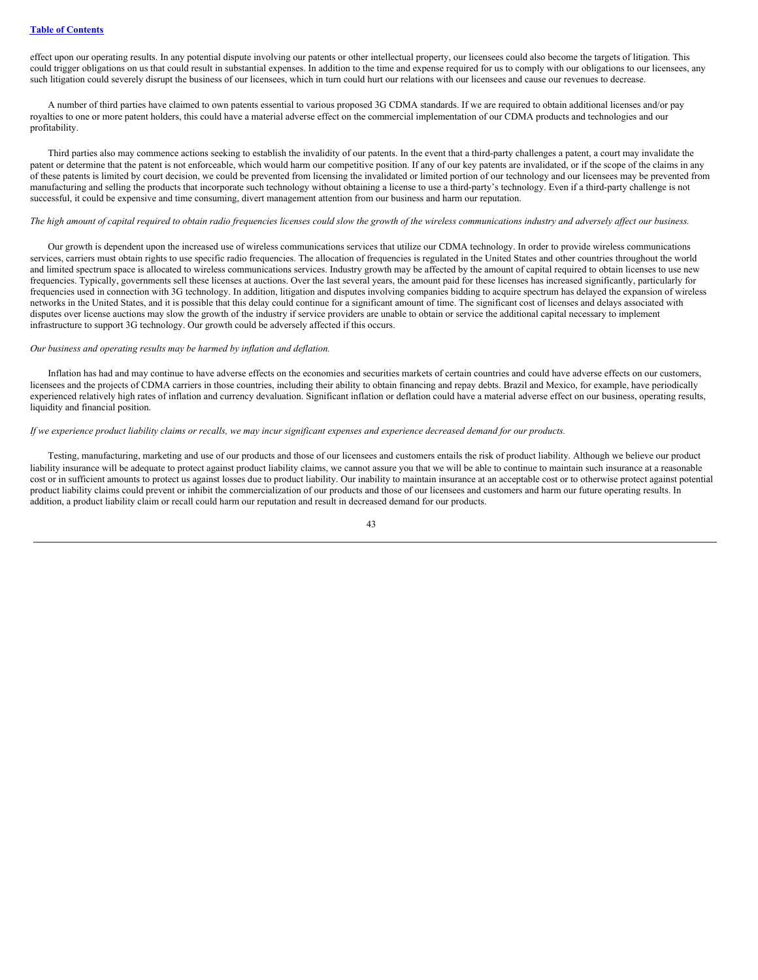effect upon our operating results. In any potential dispute involving our patents or other intellectual property, our licensees could also become the targets of litigation. This could trigger obligations on us that could result in substantial expenses. In addition to the time and expense required for us to comply with our obligations to our licensees, any such litigation could severely disrupt the business of our licensees, which in turn could hurt our relations with our licensees and cause our revenues to decrease.

A number of third parties have claimed to own patents essential to various proposed 3G CDMA standards. If we are required to obtain additional licenses and/or pay royalties to one or more patent holders, this could have a material adverse effect on the commercial implementation of our CDMA products and technologies and our profitability.

Third parties also may commence actions seeking to establish the invalidity of our patents. In the event that a third-party challenges a patent, a court may invalidate the patent or determine that the patent is not enforceable, which would harm our competitive position. If any of our key patents are invalidated, or if the scope of the claims in any of these patents is limited by court decision, we could be prevented from licensing the invalidated or limited portion of our technology and our licensees may be prevented from manufacturing and selling the products that incorporate such technology without obtaining a license to use a third-party's technology. Even if a third-party challenge is not successful, it could be expensive and time consuming, divert management attention from our business and harm our reputation.

### The high amount of capital required to obtain radio frequencies licenses could slow the growth of the wireless communications industry and adversely affect our business.

Our growth is dependent upon the increased use of wireless communications services that utilize our CDMA technology. In order to provide wireless communications services, carriers must obtain rights to use specific radio frequencies. The allocation of frequencies is regulated in the United States and other countries throughout the world and limited spectrum space is allocated to wireless communications services. Industry growth may be affected by the amount of capital required to obtain licenses to use new frequencies. Typically, governments sell these licenses at auctions. Over the last several years, the amount paid for these licenses has increased significantly, particularly for frequencies used in connection with 3G technology. In addition, litigation and disputes involving companies bidding to acquire spectrum has delayed the expansion of wireless networks in the United States, and it is possible that this delay could continue for a significant amount of time. The significant cost of licenses and delays associated with disputes over license auctions may slow the growth of the industry if service providers are unable to obtain or service the additional capital necessary to implement infrastructure to support 3G technology. Our growth could be adversely affected if this occurs.

#### *Our business and operating results may be harmed by inflation and deflation.*

Inflation has had and may continue to have adverse effects on the economies and securities markets of certain countries and could have adverse effects on our customers, licensees and the projects of CDMA carriers in those countries, including their ability to obtain financing and repay debts. Brazil and Mexico, for example, have periodically experienced relatively high rates of inflation and currency devaluation. Significant inflation or deflation could have a material adverse effect on our business, operating results, liquidity and financial position.

## If we experience product liability claims or recalls, we may incur significant expenses and experience decreased demand for our products.

Testing, manufacturing, marketing and use of our products and those of our licensees and customers entails the risk of product liability. Although we believe our product liability insurance will be adequate to protect against product liability claims, we cannot assure you that we will be able to continue to maintain such insurance at a reasonable cost or in sufficient amounts to protect us against losses due to product liability. Our inability to maintain insurance at an acceptable cost or to otherwise protect against potential product liability claims could prevent or inhibit the commercialization of our products and those of our licensees and customers and harm our future operating results. In addition, a product liability claim or recall could harm our reputation and result in decreased demand for our products.

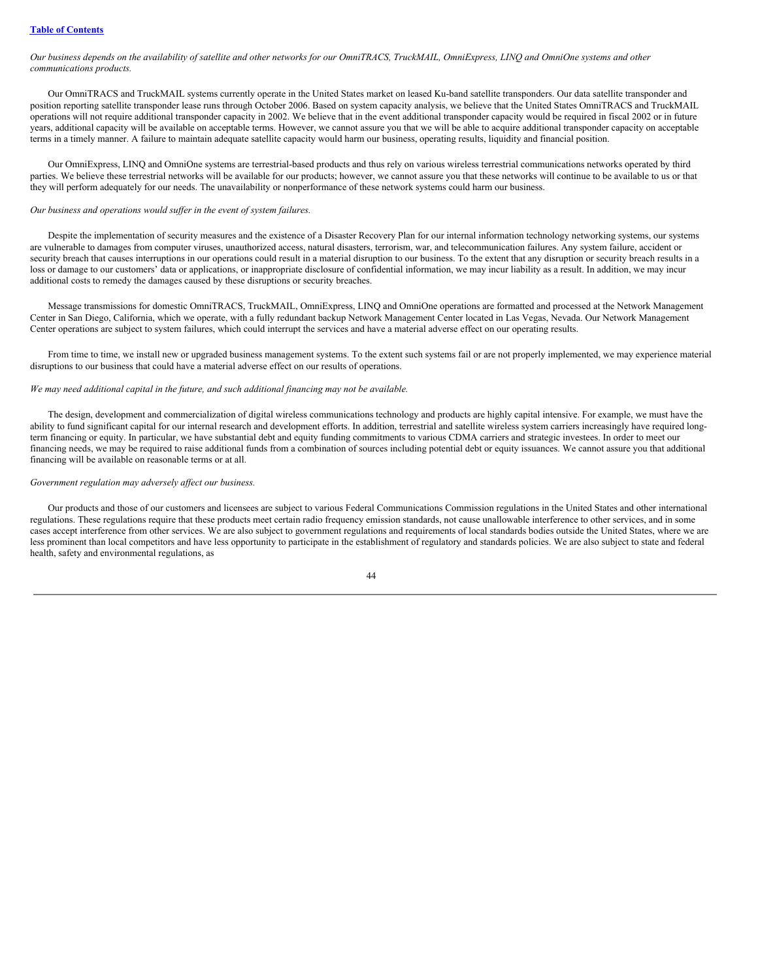## Our business depends on the availability of satellite and other networks for our OmniTRACS, TruckMAIL, OmniExpress, LINQ and OmniOne systems and other *communications products.*

Our OmniTRACS and TruckMAIL systems currently operate in the United States market on leased Ku-band satellite transponders. Our data satellite transponder and position reporting satellite transponder lease runs through October 2006. Based on system capacity analysis, we believe that the United States OmniTRACS and TruckMAIL operations will not require additional transponder capacity in 2002. We believe that in the event additional transponder capacity would be required in fiscal 2002 or in future years, additional capacity will be available on acceptable terms. However, we cannot assure you that we will be able to acquire additional transponder capacity on acceptable terms in a timely manner. A failure to maintain adequate satellite capacity would harm our business, operating results, liquidity and financial position.

Our OmniExpress, LINQ and OmniOne systems are terrestrial-based products and thus rely on various wireless terrestrial communications networks operated by third parties. We believe these terrestrial networks will be available for our products; however, we cannot assure you that these networks will continue to be available to us or that they will perform adequately for our needs. The unavailability or nonperformance of these network systems could harm our business.

# *Our business and operations would suf er in the event of system failures.*

Despite the implementation of security measures and the existence of a Disaster Recovery Plan for our internal information technology networking systems, our systems are vulnerable to damages from computer viruses, unauthorized access, natural disasters, terrorism, war, and telecommunication failures. Any system failure, accident or security breach that causes interruptions in our operations could result in a material disruption to our business. To the extent that any disruption or security breach results in a loss or damage to our customers' data or applications, or inappropriate disclosure of confidential information, we may incur liability as a result. In addition, we may incur additional costs to remedy the damages caused by these disruptions or security breaches.

Message transmissions for domestic OmniTRACS, TruckMAIL, OmniExpress, LINQ and OmniOne operations are formatted and processed at the Network Management Center in San Diego, California, which we operate, with a fully redundant backup Network Management Center located in Las Vegas, Nevada. Our Network Management Center operations are subject to system failures, which could interrupt the services and have a material adverse effect on our operating results.

From time to time, we install new or upgraded business management systems. To the extent such systems fail or are not properly implemented, we may experience material disruptions to our business that could have a material adverse effect on our results of operations.

## *We may need additional capital in the future, and such additional financing may not be available.*

The design, development and commercialization of digital wireless communications technology and products are highly capital intensive. For example, we must have the ability to fund significant capital for our internal research and development efforts. In addition, terrestrial and satellite wireless system carriers increasingly have required longterm financing or equity. In particular, we have substantial debt and equity funding commitments to various CDMA carriers and strategic investees. In order to meet our financing needs, we may be required to raise additional funds from a combination of sources including potential debt or equity issuances. We cannot assure you that additional financing will be available on reasonable terms or at all.

## *Government regulation may adversely af ect our business.*

Our products and those of our customers and licensees are subject to various Federal Communications Commission regulations in the United States and other international regulations. These regulations require that these products meet certain radio frequency emission standards, not cause unallowable interference to other services, and in some cases accept interference from other services. We are also subject to government regulations and requirements of local standards bodies outside the United States, where we are less prominent than local competitors and have less opportunity to participate in the establishment of regulatory and standards policies. We are also subject to state and federal health, safety and environmental regulations, as

44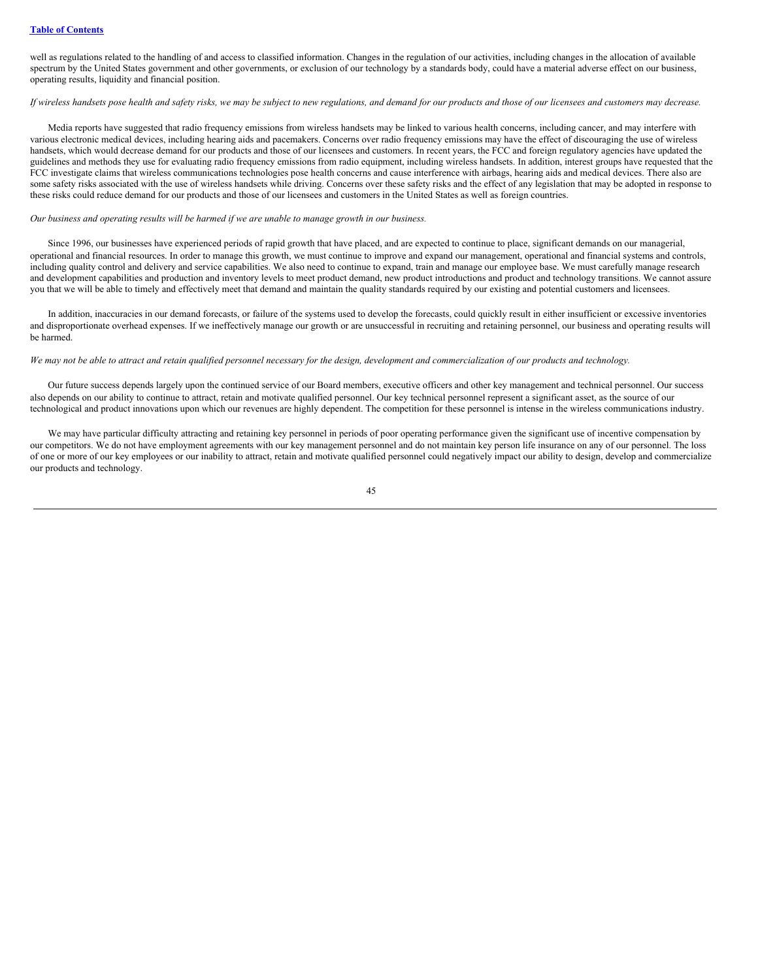### **Table of [Contents](#page-0-0)**

well as regulations related to the handling of and access to classified information. Changes in the regulation of our activities, including changes in the allocation of available spectrum by the United States government and other governments, or exclusion of our technology by a standards body, could have a material adverse effect on our business, operating results, liquidity and financial position.

### If wireless handsets pose health and safety risks, we may be subject to new regulations, and demand for our products and those of our licensees and customers may decrease.

Media reports have suggested that radio frequency emissions from wireless handsets may be linked to various health concerns, including cancer, and may interfere with various electronic medical devices, including hearing aids and pacemakers. Concerns over radio frequency emissions may have the effect of discouraging the use of wireless handsets, which would decrease demand for our products and those of our licensees and customers. In recent years, the FCC and foreign regulatory agencies have updated the guidelines and methods they use for evaluating radio frequency emissions from radio equipment, including wireless handsets. In addition, interest groups have requested that the FCC investigate claims that wireless communications technologies pose health concerns and cause interference with airbags, hearing aids and medical devices. There also are some safety risks associated with the use of wireless handsets while driving. Concerns over these safety risks and the effect of any legislation that may be adopted in response to these risks could reduce demand for our products and those of our licensees and customers in the United States as well as foreign countries.

## Our business and operating results will be harmed if we are unable to manage growth in our business.

Since 1996, our businesses have experienced periods of rapid growth that have placed, and are expected to continue to place, significant demands on our managerial, operational and financial resources. In order to manage this growth, we must continue to improve and expand our management, operational and financial systems and controls, including quality control and delivery and service capabilities. We also need to continue to expand, train and manage our employee base. We must carefully manage research and development capabilities and production and inventory levels to meet product demand, new product introductions and product and technology transitions. We cannot assure you that we will be able to timely and effectively meet that demand and maintain the quality standards required by our existing and potential customers and licensees.

In addition, inaccuracies in our demand forecasts, or failure of the systems used to develop the forecasts, could quickly result in either insufficient or excessive inventories and disproportionate overhead expenses. If we ineffectively manage our growth or are unsuccessful in recruiting and retaining personnel, our business and operating results will be harmed.

## We may not be able to attract and retain qualified personnel necessary for the design, development and commercialization of our products and technology.

Our future success depends largely upon the continued service of our Board members, executive officers and other key management and technical personnel. Our success also depends on our ability to continue to attract, retain and motivate qualified personnel. Our key technical personnel represent a significant asset, as the source of our technological and product innovations upon which our revenues are highly dependent. The competition for these personnel is intense in the wireless communications industry.

We may have particular difficulty attracting and retaining key personnel in periods of poor operating performance given the significant use of incentive compensation by our competitors. We do not have employment agreements with our key management personnel and do not maintain key person life insurance on any of our personnel. The loss of one or more of our key employees or our inability to attract, retain and motivate qualified personnel could negatively impact our ability to design, develop and commercialize our products and technology.

### 45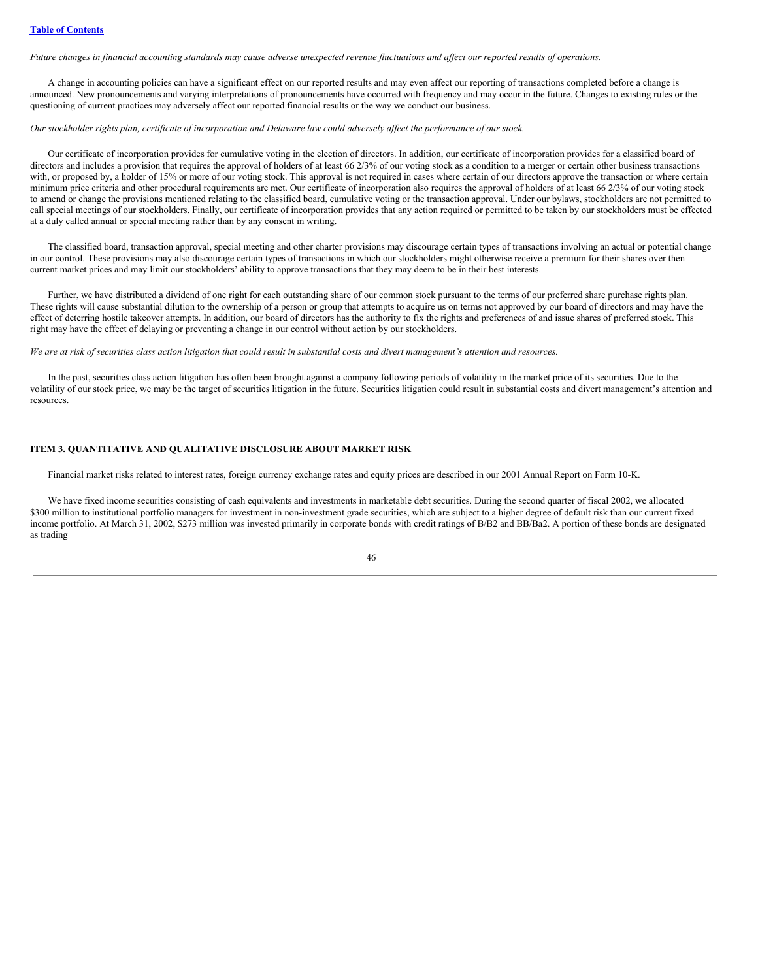Future changes in financial accounting standards may cause adverse unexpected revenue fluctuations and affect our reported results of operations.

A change in accounting policies can have a significant effect on our reported results and may even affect our reporting of transactions completed before a change is announced. New pronouncements and varying interpretations of pronouncements have occurred with frequency and may occur in the future. Changes to existing rules or the questioning of current practices may adversely affect our reported financial results or the way we conduct our business.

# Our stockholder rights plan, certificate of incorporation and Delaware law could adversely affect the performance of our stock.

Our certificate of incorporation provides for cumulative voting in the election of directors. In addition, our certificate of incorporation provides for a classified board of directors and includes a provision that requires the approval of holders of at least 66 2/3% of our voting stock as a condition to a merger or certain other business transactions with, or proposed by, a holder of 15% or more of our voting stock. This approval is not required in cases where certain of our directors approve the transaction or where certain minimum price criteria and other procedural requirements are met. Our certificate of incorporation also requires the approval of holders of at least 66 2/3% of our voting stock to amend or change the provisions mentioned relating to the classified board, cumulative voting or the transaction approval. Under our bylaws, stockholders are not permitted to call special meetings of our stockholders. Finally, our certificate of incorporation provides that any action required or permitted to be taken by our stockholders must be effected at a duly called annual or special meeting rather than by any consent in writing.

The classified board, transaction approval, special meeting and other charter provisions may discourage certain types of transactions involving an actual or potential change in our control. These provisions may also discourage certain types of transactions in which our stockholders might otherwise receive a premium for their shares over then current market prices and may limit our stockholders' ability to approve transactions that they may deem to be in their best interests.

Further, we have distributed a dividend of one right for each outstanding share of our common stock pursuant to the terms of our preferred share purchase rights plan. These rights will cause substantial dilution to the ownership of a person or group that attempts to acquire us on terms not approved by our board of directors and may have the effect of deterring hostile takeover attempts. In addition, our board of directors has the authority to fix the rights and preferences of and issue shares of preferred stock. This right may have the effect of delaying or preventing a change in our control without action by our stockholders.

We are at risk of securities class action litigation that could result in substantial costs and divert management's attention and resources.

In the past, securities class action litigation has often been brought against a company following periods of volatility in the market price of its securities. Due to the volatility of our stock price, we may be the target of securities litigation in the future. Securities litigation could result in substantial costs and divert management's attention and resources.

# **ITEM 3. QUANTITATIVE AND QUALITATIVE DISCLOSURE ABOUT MARKET RISK**

Financial market risks related to interest rates, foreign currency exchange rates and equity prices are described in our 2001 Annual Report on Form 10-K.

We have fixed income securities consisting of cash equivalents and investments in marketable debt securities. During the second quarter of fiscal 2002, we allocated \$300 million to institutional portfolio managers for investment in non-investment grade securities, which are subject to a higher degree of default risk than our current fixed income portfolio. At March 31, 2002, \$273 million was invested primarily in corporate bonds with credit ratings of B/B2 and BB/Ba2. A portion of these bonds are designated as trading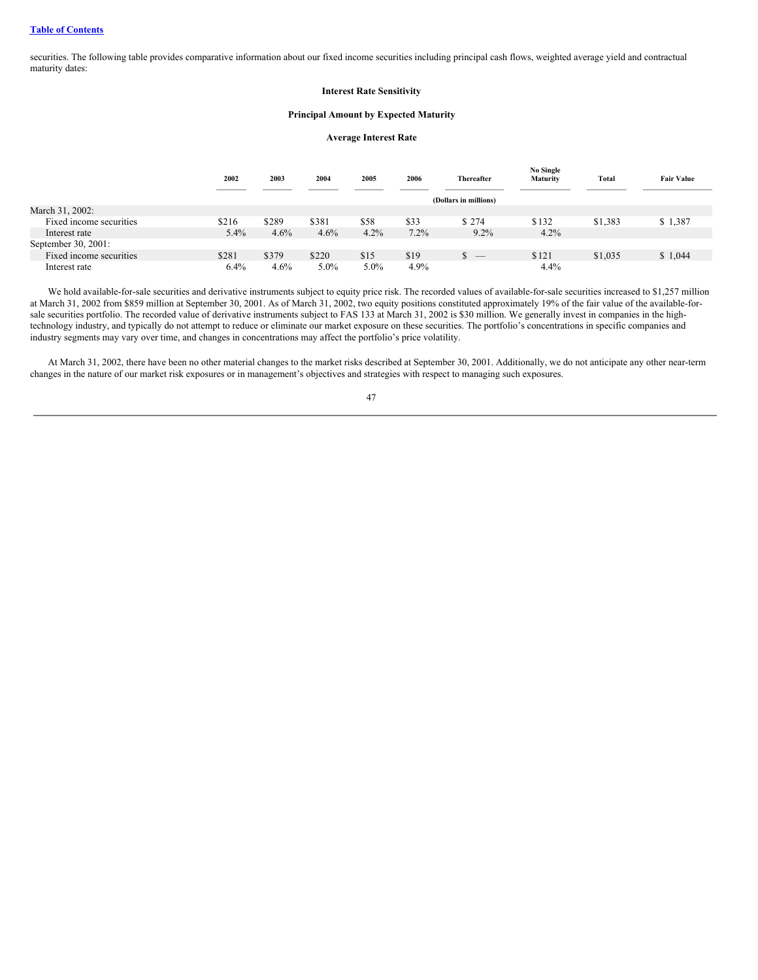securities. The following table provides comparative information about our fixed income securities including principal cash flows, weighted average yield and contractual maturity dates:

## **Interest Rate Sensitivity**

# **Principal Amount by Expected Maturity**

# **Average Interest Rate**

|                         | 2002                  | 2003  | 2004    | 2005    | 2006 | <b>Thereafter</b> | No Single<br>Maturity | <b>Total</b> | <b>Fair Value</b> |
|-------------------------|-----------------------|-------|---------|---------|------|-------------------|-----------------------|--------------|-------------------|
|                         | (Dollars in millions) |       |         |         |      |                   |                       |              |                   |
| March 31, 2002:         |                       |       |         |         |      |                   |                       |              |                   |
| Fixed income securities | \$216                 | \$289 | \$381   | \$58    | \$33 | \$274             | \$132                 | \$1,383      | \$1,387           |
| Interest rate           | 5.4%                  | 4.6%  | 4.6%    | $4.2\%$ | 7.2% | $9.2\%$           | $4.2\%$               |              |                   |
| September 30, 2001:     |                       |       |         |         |      |                   |                       |              |                   |
| Fixed income securities | \$281                 | \$379 | \$220   | \$15    | \$19 | $s -$             | \$121                 | \$1,035      | \$1,044           |
| Interest rate           | 6.4%                  | 4.6%  | $5.0\%$ | $5.0\%$ | 4.9% |                   | 4.4%                  |              |                   |

We hold available-for-sale securities and derivative instruments subject to equity price risk. The recorded values of available-for-sale securities increased to \$1,257 million at March 31, 2002 from \$859 million at September 30, 2001. As of March 31, 2002, two equity positions constituted approximately 19% of the fair value of the available-forsale securities portfolio. The recorded value of derivative instruments subject to FAS 133 at March 31, 2002 is \$30 million. We generally invest in companies in the hightechnology industry, and typically do not attempt to reduce or eliminate our market exposure on these securities. The portfolio's concentrations in specific companies and industry segments may vary over time, and changes in concentrations may affect the portfolio's price volatility.

At March 31, 2002, there have been no other material changes to the market risks described at September 30, 2001. Additionally, we do not anticipate any other near-term changes in the nature of our market risk exposures or in management's objectives and strategies with respect to managing such exposures.

## 47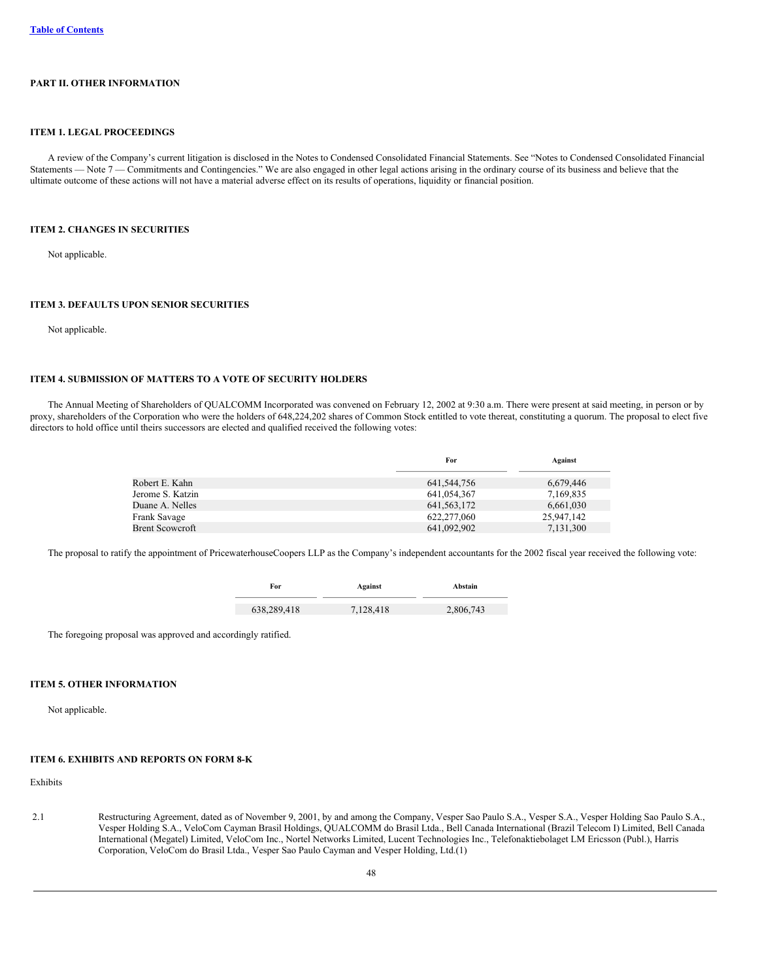# **PART II. OTHER INFORMATION**

# **ITEM 1. LEGAL PROCEEDINGS**

A review of the Company's current litigation is disclosed in the Notes to Condensed Consolidated Financial Statements. See "Notes to Condensed Consolidated Financial Statements — Note 7 — Commitments and Contingencies." We are also engaged in other legal actions arising in the ordinary course of its business and believe that the ultimate outcome of these actions will not have a material adverse effect on its results of operations, liquidity or financial position.

# **ITEM 2. CHANGES IN SECURITIES**

Not applicable.

# **ITEM 3. DEFAULTS UPON SENIOR SECURITIES**

Not applicable.

## **ITEM 4. SUBMISSION OF MATTERS TO A VOTE OF SECURITY HOLDERS**

The Annual Meeting of Shareholders of QUALCOMM Incorporated was convened on February 12, 2002 at 9:30 a.m. There were present at said meeting, in person or by proxy, shareholders of the Corporation who were the holders of 648,224,202 shares of Common Stock entitled to vote thereat, constituting a quorum. The proposal to elect five directors to hold office until theirs successors are elected and qualified received the following votes:

|                        | For           | Against    |
|------------------------|---------------|------------|
| Robert E. Kahn         | 641, 544, 756 | 6,679,446  |
| Jerome S. Katzin       | 641,054,367   | 7,169,835  |
| Duane A. Nelles        | 641, 563, 172 | 6,661,030  |
| Frank Savage           | 622,277,060   | 25,947,142 |
| <b>Brent Scowcroft</b> | 641,092,902   | 7,131,300  |

The proposal to ratify the appointment of PricewaterhouseCoopers LLP as the Company's independent accountants for the 2002 fiscal year received the following vote:

| For         | Against   | Abstain   |  |  |
|-------------|-----------|-----------|--|--|
| 638,289,418 | 7,128,418 | 2,806,743 |  |  |

The foregoing proposal was approved and accordingly ratified.

# **ITEM 5. OTHER INFORMATION**

Not applicable.

# **ITEM 6. EXHIBITS AND REPORTS ON FORM 8-K**

Exhibits

2.1 Restructuring Agreement, dated as of November 9, 2001, by and among the Company, Vesper Sao Paulo S.A., Vesper S.A., Vesper Holding Sao Paulo S.A., Vesper Holding S.A., VeloCom Cayman Brasil Holdings, QUALCOMM do Brasil Ltda., Bell Canada International (Brazil Telecom I) Limited, Bell Canada International (Megatel) Limited, VeloCom Inc., Nortel Networks Limited, Lucent Technologies Inc., Telefonaktiebolaget LM Ericsson (Publ.), Harris Corporation, VeloCom do Brasil Ltda., Vesper Sao Paulo Cayman and Vesper Holding, Ltd.(1)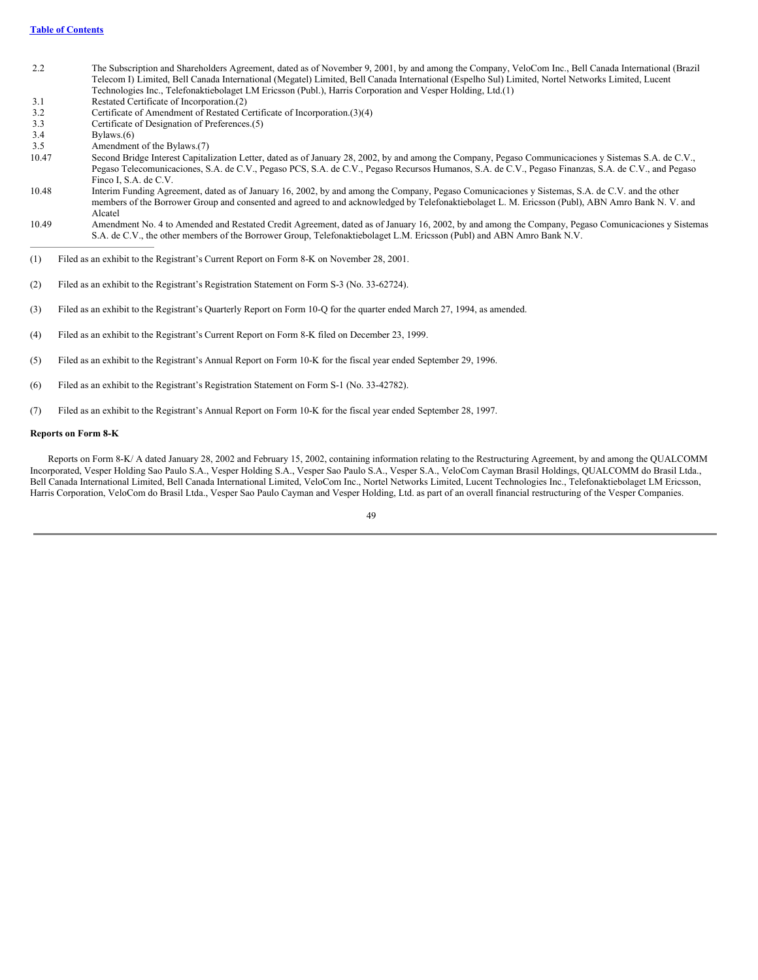- 2.2 The Subscription and Shareholders Agreement, dated as of November 9, 2001, by and among the Company, VeloCom Inc., Bell Canada International (Brazil Telecom I) Limited, Bell Canada International (Megatel) Limited, Bell Canada International (Espelho Sul) Limited, Nortel Networks Limited, Lucent Technologies Inc., Telefonaktiebolaget LM Ericsson (Publ.), Harris Corporation and Vesper Holding, Ltd.(1)
- 3.1 Restated Certificate of Incorporation.(2)
- 3.2 Certificate of Amendment of Restated Certificate of Incorporation.(3)(4)<br>3.3 Certificate of Designation of Preferences.(5)
- 3.3 Certificate of Designation of Preferences.(5)<br>3.4 Bylaws (6)
- $Bvlaws.(6)$
- 3.5 Amendment of the Bylaws.(7)<br>10.47 Second Bridge Interest Capital
- 10.47 Second Bridge Interest Capitalization Letter, dated as of January 28, 2002, by and among the Company, Pegaso Communicaciones y Sistemas S.A. de C.V., Pegaso Telecomunicaciones, S.A. de C.V., Pegaso PCS, S.A. de C.V., Pegaso Recursos Humanos, S.A. de C.V., Pegaso Finanzas, S.A. de C.V., and Pegaso Finco I, S.A. de C.V.
- 10.48 Interim Funding Agreement, dated as of January 16, 2002, by and among the Company, Pegaso Comunicaciones y Sistemas, S.A. de C.V. and the other members of the Borrower Group and consented and agreed to and acknowledged by Telefonaktiebolaget L. M. Ericsson (Publ), ABN Amro Bank N. V. and Alcatel
- 10.49 Amendment No. 4 to Amended and Restated Credit Agreement, dated as of January 16, 2002, by and among the Company, Pegaso Comunicaciones y Sistemas S.A. de C.V., the other members of the Borrower Group, Telefonaktiebolaget L.M. Ericsson (Publ) and ABN Amro Bank N.V.
- (1) Filed as an exhibit to the Registrant's Current Report on Form 8-K on November 28, 2001.
- (2) Filed as an exhibit to the Registrant's Registration Statement on Form S-3 (No. 33-62724).
- (3) Filed as an exhibit to the Registrant's Quarterly Report on Form 10-Q for the quarter ended March 27, 1994, as amended.
- (4) Filed as an exhibit to the Registrant's Current Report on Form 8-K filed on December 23, 1999.
- (5) Filed as an exhibit to the Registrant's Annual Report on Form 10-K for the fiscal year ended September 29, 1996.
- (6) Filed as an exhibit to the Registrant's Registration Statement on Form S-1 (No. 33-42782).
- (7) Filed as an exhibit to the Registrant's Annual Report on Form 10-K for the fiscal year ended September 28, 1997.

## **Reports on Form 8-K**

Reports on Form 8-K/ A dated January 28, 2002 and February 15, 2002, containing information relating to the Restructuring Agreement, by and among the QUALCOMM Incorporated, Vesper Holding Sao Paulo S.A., Vesper Holding S.A., Vesper Sao Paulo S.A., Vesper S.A., VeloCom Cayman Brasil Holdings, QUALCOMM do Brasil Ltda., Bell Canada International Limited, Bell Canada International Limited, VeloCom Inc., Nortel Networks Limited, Lucent Technologies Inc., Telefonaktiebolaget LM Ericsson, Harris Corporation, VeloCom do Brasil Ltda., Vesper Sao Paulo Cayman and Vesper Holding, Ltd. as part of an overall financial restructuring of the Vesper Companies.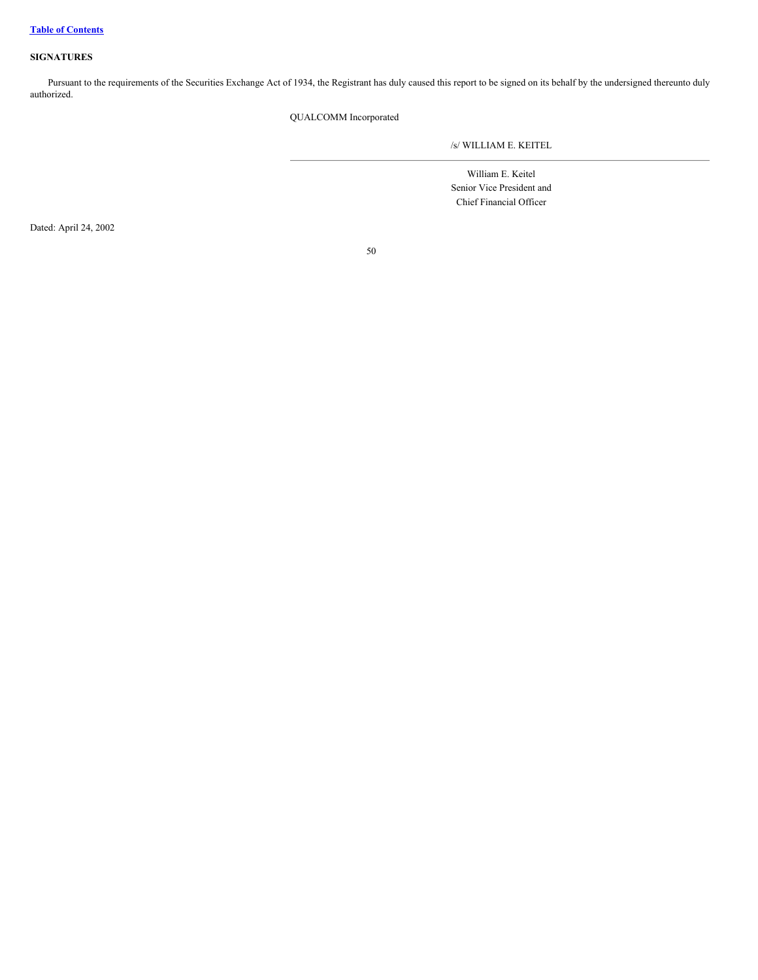# **SIGNATURES**

Pursuant to the requirements of the Securities Exchange Act of 1934, the Registrant has duly caused this report to be signed on its behalf by the undersigned thereunto duly authorized.

QUALCOMM Incorporated

/s/ WILLIAM E. KEITEL

William E. Keitel Senior Vice President and Chief Financial Officer

Dated: April 24, 2002

50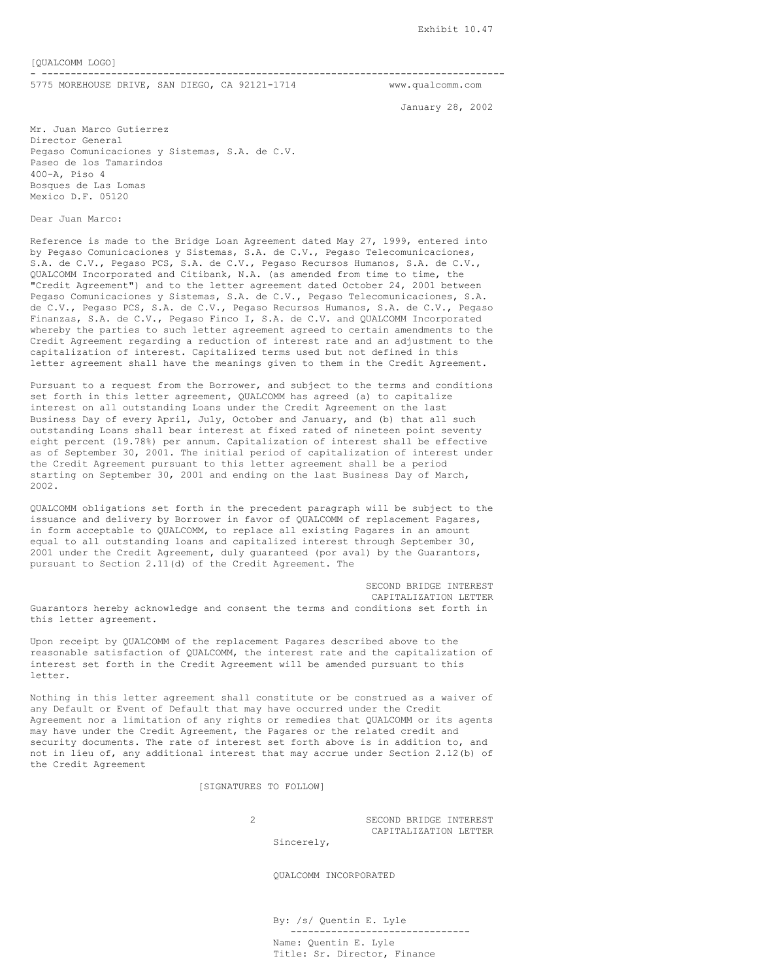Exhibit 10.47

[QUALCOMM LOGO]

- -------------------------------------------------------------------------------- 5775 MOREHOUSE DRIVE, SAN DIEGO, CA 92121-1714

January 28, 2002

Mr. Juan Marco Gutierrez Director General Pegaso Comunicaciones y Sistemas, S.A. de C.V. Paseo de los Tamarindos 400-A, Piso 4 Bosques de Las Lomas Mexico D.F. 05120

### Dear Juan Marco:

Reference is made to the Bridge Loan Agreement dated May 27, 1999, entered into by Pegaso Comunicaciones y Sistemas, S.A. de C.V., Pegaso Telecomunicaciones, S.A. de C.V., Pegaso PCS, S.A. de C.V., Pegaso Recursos Humanos, S.A. de C.V., QUALCOMM Incorporated and Citibank, N.A. (as amended from time to time, the "Credit Agreement") and to the letter agreement dated October 24, 2001 between Pegaso Comunicaciones y Sistemas, S.A. de C.V., Pegaso Telecomunicaciones, S.A. de C.V., Pegaso PCS, S.A. de C.V., Pegaso Recursos Humanos, S.A. de C.V., Pegaso Finanzas, S.A. de C.V., Pegaso Finco I, S.A. de C.V. and QUALCOMM Incorporated whereby the parties to such letter agreement agreed to certain amendments to the Credit Agreement regarding a reduction of interest rate and an adjustment to the capitalization of interest. Capitalized terms used but not defined in this letter agreement shall have the meanings given to them in the Credit Agreement.

Pursuant to a request from the Borrower, and subject to the terms and conditions set forth in this letter agreement, QUALCOMM has agreed (a) to capitalize interest on all outstanding Loans under the Credit Agreement on the last Business Day of every April, July, October and January, and (b) that all such outstanding Loans shall bear interest at fixed rated of nineteen point seventy eight percent (19.78%) per annum. Capitalization of interest shall be effective as of September 30, 2001. The initial period of capitalization of interest under the Credit Agreement pursuant to this letter agreement shall be a period starting on September 30, 2001 and ending on the last Business Day of March, 2002.

QUALCOMM obligations set forth in the precedent paragraph will be subject to the issuance and delivery by Borrower in favor of QUALCOMM of replacement Pagares, in form acceptable to QUALCOMM, to replace all existing Pagares in an amount equal to all outstanding loans and capitalized interest through September 30, 2001 under the Credit Agreement, duly guaranteed (por aval) by the Guarantors, pursuant to Section 2.11(d) of the Credit Agreement. The

SECOND BRIDGE INTEREST CAPITALIZATION LETTER Guarantors hereby acknowledge and consent the terms and conditions set forth in this letter agreement.

Upon receipt by QUALCOMM of the replacement Pagares described above to the reasonable satisfaction of QUALCOMM, the interest rate and the capitalization of interest set forth in the Credit Agreement will be amended pursuant to this letter.

Nothing in this letter agreement shall constitute or be construed as a waiver of any Default or Event of Default that may have occurred under the Credit Agreement nor a limitation of any rights or remedies that QUALCOMM or its agents may have under the Credit Agreement, the Pagares or the related credit and security documents. The rate of interest set forth above is in addition to, and not in lieu of, any additional interest that may accrue under Section 2.12(b) of the Credit Agreement

[SIGNATURES TO FOLLOW]

2 SECOND BRIDGE INTEREST Sincerely,

CAPITALIZATION LETTER

QUALCOMM INCORPORATED

By: /s/ Quentin E. Lyle

------------------------------- Name: Quentin E. Lyle

Title: Sr. Director, Finance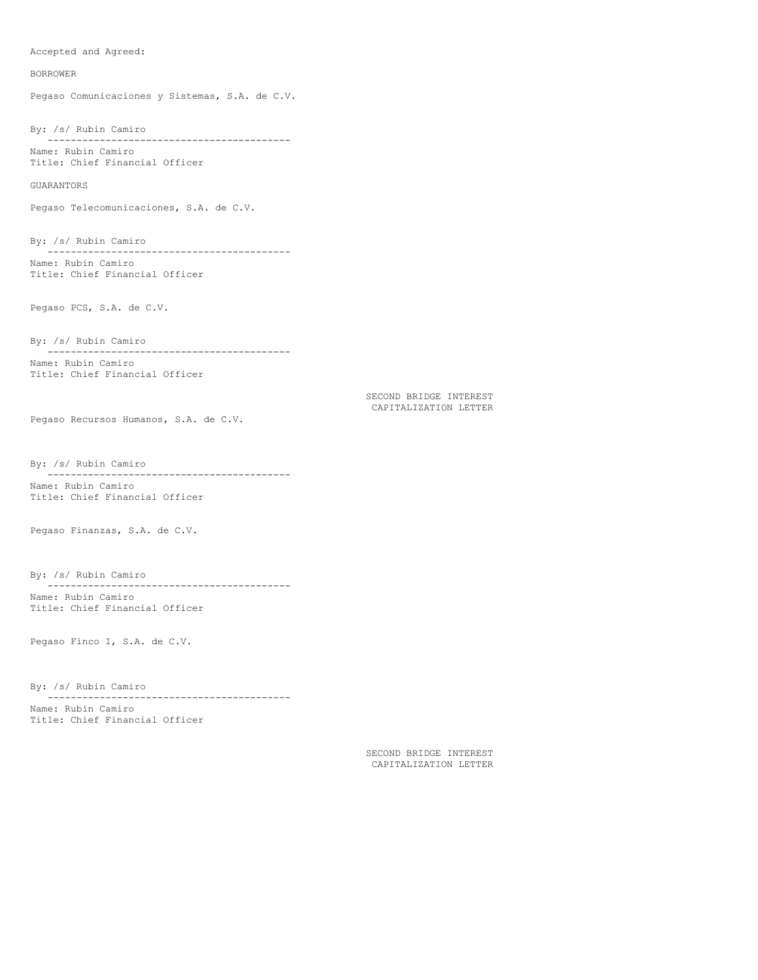Accepted and Agreed:

BORROWER

Pegaso Comunicaciones y Sistemas, S.A. de C.V.

By: /s/ Rubin Camiro

------------------------------------------ Name: Rubin Camiro Title: Chief Financial Officer

GUARANTORS

Pegaso Telecomunicaciones, S.A. de C.V.

By: /s/ Rubin Camiro

------------------------------------------ Name: Rubin Camiro Title: Chief Financial Officer

Pegaso PCS, S.A. de C.V.

By: /s/ Rubin Camiro

------------------------------------------ Name: Rubin Camiro Title: Chief Financial Officer

> SECOND BRIDGE INTEREST CAPITALIZATION LETTER

Pegaso Recursos Humanos, S.A. de C.V.

By: /s/ Rubin Camiro

------------------------------------------ Name: Rubin Camiro Title: Chief Financial Officer

Pegaso Finanzas, S.A. de C.V.

By: /s/ Rubin Camiro

------------------------------------------ Name: Rubin Camiro Title: Chief Financial Officer

Pegaso Finco I, S.A. de C.V.

By: /s/ Rubin Camiro

------------------------------------------ Name: Rubin Camiro Title: Chief Financial Officer

> SECOND BRIDGE INTEREST CAPITALIZATION LETTER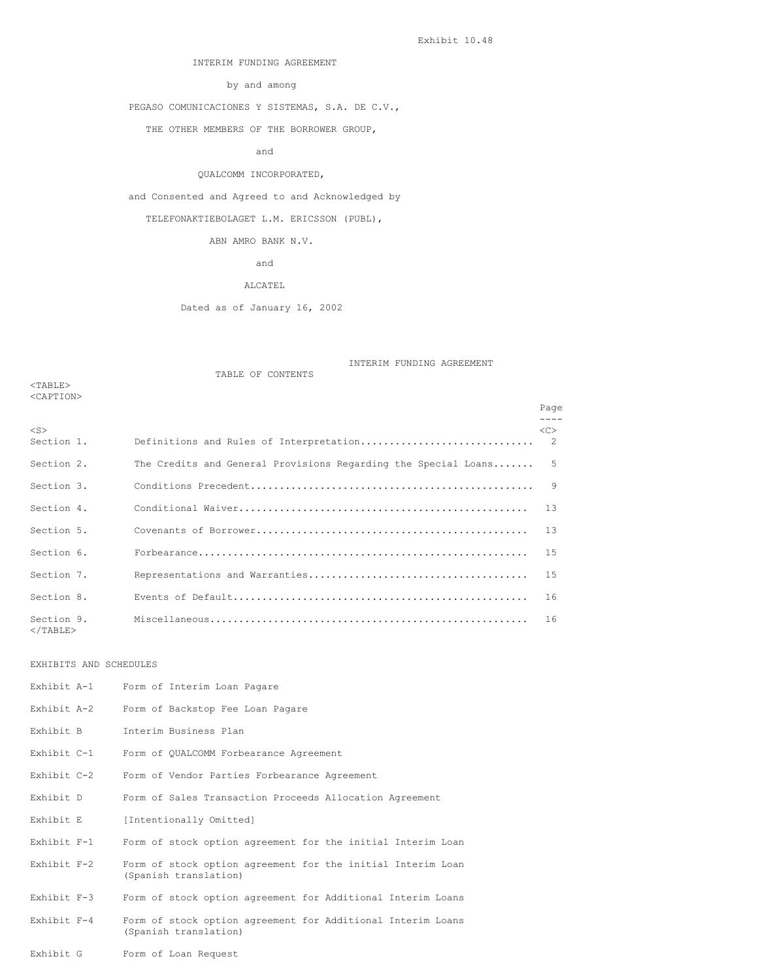# INTERIM FUNDING AGREEMENT

by and among

PEGASO COMUNICACIONES Y SISTEMAS, S.A. DE C.V.,

THE OTHER MEMBERS OF THE BORROWER GROUP,

and

# QUALCOMM INCORPORATED,

and Consented and Agreed to and Acknowledged by

TELEFONAKTIEBOLAGET L.M. ERICSSON (PUBL),

# ABN AMRO BANK N.V.

and

# ALCATEL

Dated as of January 16, 2002

TABLE OF CONTENTS

INTERIM FUNDING AGREEMENT

<TABLE> <CAPTION>

|                           |                                                                | Page         |
|---------------------------|----------------------------------------------------------------|--------------|
| $<$ S><br>Section 1.      |                                                                | <<>          |
| Section 2.                | The Credits and General Provisions Regarding the Special Loans | 5            |
| Section 3.                |                                                                | $\mathsf{Q}$ |
| Section 4.                |                                                                | 13           |
| Section 5.                |                                                                | 13           |
| Section 6.                |                                                                | 1.5          |
| Section 7.                |                                                                | -1.5         |
| Section 8.                |                                                                | 16           |
| Section 9.<br>$<$ /TABLE> |                                                                | 16           |

# EXHIBITS AND SCHEDULES

| Exhibit A-1     | Form of Interim Loan Pagare                                                          |
|-----------------|--------------------------------------------------------------------------------------|
| Exhibit A-2     | Form of Backstop Fee Loan Pagare                                                     |
| Exhibit B       | Interim Business Plan                                                                |
| Exhibit C-1     | Form of QUALCOMM Forbearance Agreement                                               |
| Exhibit C-2     | Form of Vendor Parties Forbearance Agreement                                         |
| Exhibit D       | Form of Sales Transaction Proceeds Allocation Agreement                              |
| Exhibit E       | [Intentionally Omitted]                                                              |
| Exhibit F-1     | Form of stock option agreement for the initial Interim Loan                          |
| Exhibit F-2     | Form of stock option agreement for the initial Interim Loan<br>(Spanish translation) |
| $Exhibit$ $F-3$ | Form of stock option agreement for Additional Interim Loans                          |
| $Exhibit$ $F-4$ | Form of stock option agreement for Additional Interim Loans<br>(Spanish translation) |
| Exhibit G       | Form of Loan Request                                                                 |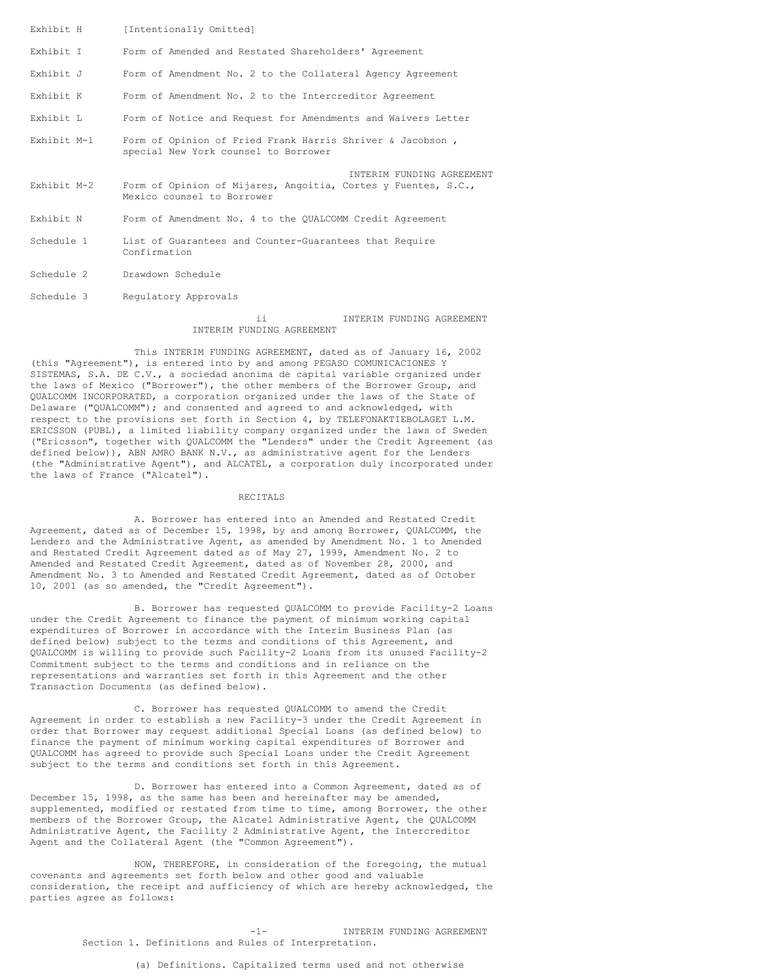| Exhibit H   | [Intentionally Omitted]                                                                                                  |
|-------------|--------------------------------------------------------------------------------------------------------------------------|
| Exhibit T   | Form of Amended and Restated Shareholders' Agreement                                                                     |
| Exhibit J   | Form of Amendment No. 2 to the Collateral Agency Agreement                                                               |
| Exhibit K   | Form of Amendment No. 2 to the Intercreditor Agreement                                                                   |
| Exhibit L   | Form of Notice and Request for Amendments and Waivers Letter                                                             |
| Exhibit M-1 | Form of Opinion of Fried Frank Harris Shriver & Jacobson,<br>special New York counsel to Borrower                        |
|             |                                                                                                                          |
| Exhibit M-2 | INTERIM FUNDING AGREEMENT<br>Form of Opinion of Mijares, Angoitia, Cortes y Fuentes, S.C.,<br>Mexico counsel to Borrower |
| Exhibit N   | Form of Amendment No. 4 to the QUALCOMM Credit Agreement                                                                 |
| Schedule 1  | List of Guarantees and Counter-Guarantees that Require<br>Confirmation                                                   |
| Schedule 2  | Drawdown Schedule                                                                                                        |

ii INTERIM FUNDING AGREEMENT INTERIM FUNDING AGREEMENT

This INTERIM FUNDING AGREEMENT, dated as of January 16, 2002 (this "Agreement"), is entered into by and among PEGASO COMUNICACIONES Y SISTEMAS, S.A. DE C.V., a sociedad anonima de capital variable organized under the laws of Mexico ("Borrower"), the other members of the Borrower Group, and QUALCOMM INCORPORATED, a corporation organized under the laws of the State of Delaware ("QUALCOMM"); and consented and agreed to and acknowledged, with respect to the provisions set forth in Section 4, by TELEFONAKTIEBOLAGET L.M. ERICSSON (PUBL), a limited liability company organized under the laws of Sweden ("Ericsson", together with QUALCOMM the "Lenders" under the Credit Agreement (as defined below)), ABN AMRO BANK N.V., as administrative agent for the Lenders (the "Administrative Agent"), and ALCATEL, a corporation duly incorporated under the laws of France ("Alcatel").

### RECITALS

A. Borrower has entered into an Amended and Restated Credit Agreement, dated as of December 15, 1998, by and among Borrower, QUALCOMM, the Lenders and the Administrative Agent, as amended by Amendment No. 1 to Amended and Restated Credit Agreement dated as of May 27, 1999, Amendment No. 2 to Amended and Restated Credit Agreement, dated as of November 28, 2000, and Amendment No. 3 to Amended and Restated Credit Agreement, dated as of October 10, 2001 (as so amended, the "Credit Agreement").

B. Borrower has requested QUALCOMM to provide Facility-2 Loans under the Credit Agreement to finance the payment of minimum working capital expenditures of Borrower in accordance with the Interim Business Plan (as defined below) subject to the terms and conditions of this Agreement, and QUALCOMM is willing to provide such Facility-2 Loans from its unused Facility-2 Commitment subject to the terms and conditions and in reliance on the representations and warranties set forth in this Agreement and the other Transaction Documents (as defined below).

C. Borrower has requested QUALCOMM to amend the Credit Agreement in order to establish a new Facility-3 under the Credit Agreement in order that Borrower may request additional Special Loans (as defined below) to finance the payment of minimum working capital expenditures of Borrower and QUALCOMM has agreed to provide such Special Loans under the Credit Agreement subject to the terms and conditions set forth in this Agreement.

D. Borrower has entered into a Common Agreement, dated as of December 15, 1998, as the same has been and hereinafter may be amended, supplemented, modified or restated from time to time, among Borrower, the other members of the Borrower Group, the Alcatel Administrative Agent, the QUALCOMM Administrative Agent, the Facility 2 Administrative Agent, the Intercreditor Agent and the Collateral Agent (the "Common Agreement").

NOW, THEREFORE, in consideration of the foregoing, the mutual covenants and agreements set forth below and other good and valuable consideration, the receipt and sufficiency of which are hereby acknowledged, the parties agree as follows:

> -1- INTERIM FUNDING AGREEMENT Section 1. Definitions and Rules of Interpretation.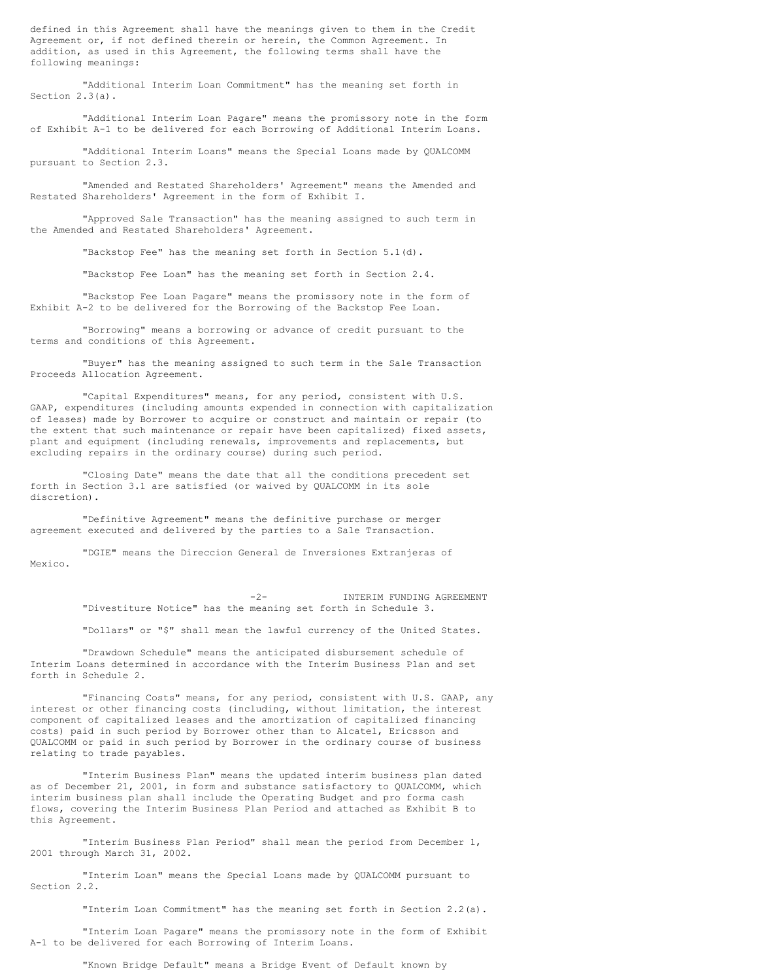defined in this Agreement shall have the meanings given to them in the Credit Agreement or, if not defined therein or herein, the Common Agreement. In addition, as used in this Agreement, the following terms shall have the following meanings:

"Additional Interim Loan Commitment" has the meaning set forth in Section 2.3(a).

"Additional Interim Loan Pagare" means the promissory note in the form of Exhibit A-1 to be delivered for each Borrowing of Additional Interim Loans.

"Additional Interim Loans" means the Special Loans made by QUALCOMM pursuant to Section 2.3.

"Amended and Restated Shareholders' Agreement" means the Amended and Restated Shareholders' Agreement in the form of Exhibit I.

"Approved Sale Transaction" has the meaning assigned to such term in the Amended and Restated Shareholders' Agreement.

"Backstop Fee" has the meaning set forth in Section 5.1(d).

"Backstop Fee Loan" has the meaning set forth in Section 2.4.

"Backstop Fee Loan Pagare" means the promissory note in the form of Exhibit A-2 to be delivered for the Borrowing of the Backstop Fee Loan.

"Borrowing" means a borrowing or advance of credit pursuant to the terms and conditions of this Agreement.

"Buyer" has the meaning assigned to such term in the Sale Transaction Proceeds Allocation Agreement.

"Capital Expenditures" means, for any period, consistent with U.S. GAAP, expenditures (including amounts expended in connection with capitalization of leases) made by Borrower to acquire or construct and maintain or repair (to the extent that such maintenance or repair have been capitalized) fixed assets, plant and equipment (including renewals, improvements and replacements, but excluding repairs in the ordinary course) during such period.

"Closing Date" means the date that all the conditions precedent set forth in Section 3.1 are satisfied (or waived by QUALCOMM in its sole discretion).

"Definitive Agreement" means the definitive purchase or merger agreement executed and delivered by the parties to a Sale Transaction.

"DGIE" means the Direccion General de Inversiones Extranjeras of Mexico.

> -2- INTERIM FUNDING AGREEMENT "Divestiture Notice" has the meaning set forth in Schedule 3.

"Dollars" or "\$" shall mean the lawful currency of the United States.

"Drawdown Schedule" means the anticipated disbursement schedule of Interim Loans determined in accordance with the Interim Business Plan and set forth in Schedule 2.

"Financing Costs" means, for any period, consistent with U.S. GAAP, any interest or other financing costs (including, without limitation, the interest component of capitalized leases and the amortization of capitalized financing costs) paid in such period by Borrower other than to Alcatel, Ericsson and QUALCOMM or paid in such period by Borrower in the ordinary course of business relating to trade payables.

"Interim Business Plan" means the updated interim business plan dated as of December 21, 2001, in form and substance satisfactory to QUALCOMM, which interim business plan shall include the Operating Budget and pro forma cash flows, covering the Interim Business Plan Period and attached as Exhibit B to this Agreement.

"Interim Business Plan Period" shall mean the period from December 1, 2001 through March 31, 2002.

"Interim Loan" means the Special Loans made by QUALCOMM pursuant to Section 2.2.

"Interim Loan Commitment" has the meaning set forth in Section 2.2(a).

"Interim Loan Pagare" means the promissory note in the form of Exhibit A-1 to be delivered for each Borrowing of Interim Loans.

"Known Bridge Default" means a Bridge Event of Default known by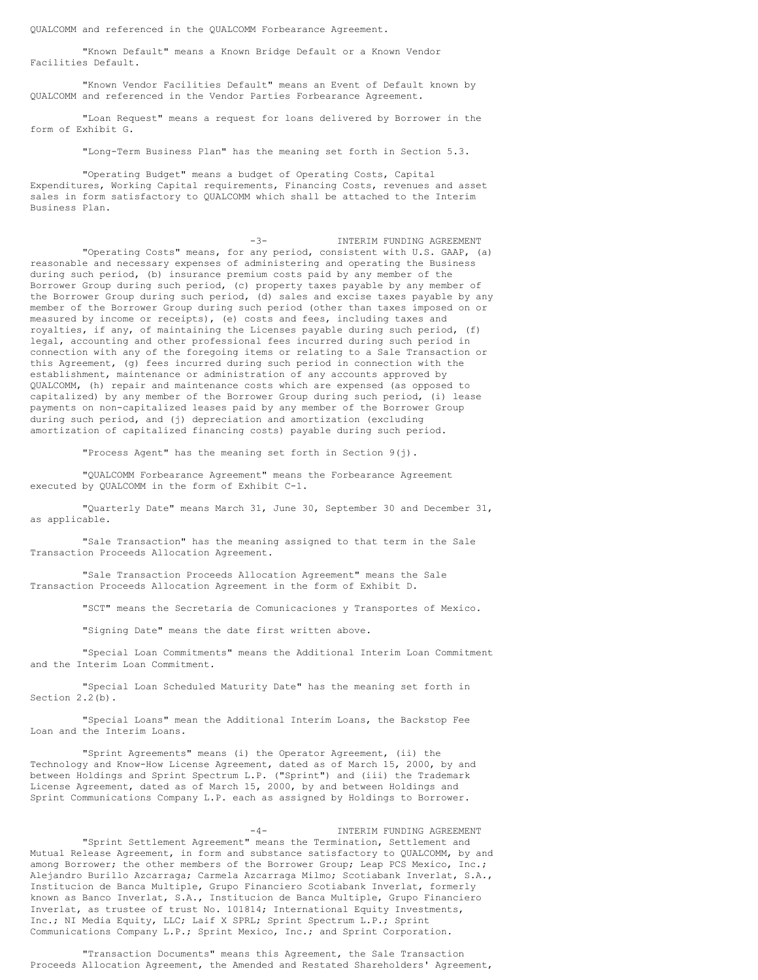QUALCOMM and referenced in the QUALCOMM Forbearance Agreement.

"Known Default" means a Known Bridge Default or a Known Vendor Facilities Default.

"Known Vendor Facilities Default" means an Event of Default known by QUALCOMM and referenced in the Vendor Parties Forbearance Agreement.

"Loan Request" means a request for loans delivered by Borrower in the form of Exhibit G.

"Long-Term Business Plan" has the meaning set forth in Section 5.3.

"Operating Budget" means a budget of Operating Costs, Capital Expenditures, Working Capital requirements, Financing Costs, revenues and asset sales in form satisfactory to QUALCOMM which shall be attached to the Interim Business Plan.

-3- INTERIM FUNDING AGREEMENT "Operating Costs" means, for any period, consistent with U.S. GAAP, (a) reasonable and necessary expenses of administering and operating the Business during such period, (b) insurance premium costs paid by any member of the Borrower Group during such period, (c) property taxes payable by any member of the Borrower Group during such period, (d) sales and excise taxes payable by any member of the Borrower Group during such period (other than taxes imposed on or measured by income or receipts), (e) costs and fees, including taxes and royalties, if any, of maintaining the Licenses payable during such period, (f) legal, accounting and other professional fees incurred during such period in connection with any of the foregoing items or relating to a Sale Transaction or this Agreement, (g) fees incurred during such period in connection with the establishment, maintenance or administration of any accounts approved by QUALCOMM, (h) repair and maintenance costs which are expensed (as opposed to capitalized) by any member of the Borrower Group during such period, (i) lease payments on non-capitalized leases paid by any member of the Borrower Group during such period, and (j) depreciation and amortization (excluding amortization of capitalized financing costs) payable during such period.

"Process Agent" has the meaning set forth in Section 9(j).

"QUALCOMM Forbearance Agreement" means the Forbearance Agreement executed by QUALCOMM in the form of Exhibit C-1.

"Quarterly Date" means March 31, June 30, September 30 and December 31, as applicable.

"Sale Transaction" has the meaning assigned to that term in the Sale Transaction Proceeds Allocation Agreement.

"Sale Transaction Proceeds Allocation Agreement" means the Sale Transaction Proceeds Allocation Agreement in the form of Exhibit D.

"SCT" means the Secretaria de Comunicaciones y Transportes of Mexico.

"Signing Date" means the date first written above.

"Special Loan Commitments" means the Additional Interim Loan Commitment and the Interim Loan Commitment.

"Special Loan Scheduled Maturity Date" has the meaning set forth in Section 2.2(b).

"Special Loans" mean the Additional Interim Loans, the Backstop Fee Loan and the Interim Loans.

"Sprint Agreements" means (i) the Operator Agreement, (ii) the Technology and Know-How License Agreement, dated as of March 15, 2000, by and between Holdings and Sprint Spectrum L.P. ("Sprint") and (iii) the Trademark License Agreement, dated as of March 15, 2000, by and between Holdings and Sprint Communications Company L.P. each as assigned by Holdings to Borrower.

-4- INTERIM FUNDING AGREEMENT "Sprint Settlement Agreement" means the Termination, Settlement and Mutual Release Agreement, in form and substance satisfactory to QUALCOMM, by and among Borrower; the other members of the Borrower Group; Leap PCS Mexico, Inc.; Alejandro Burillo Azcarraga; Carmela Azcarraga Milmo; Scotiabank Inverlat, S.A., Institucion de Banca Multiple, Grupo Financiero Scotiabank Inverlat, formerly known as Banco Inverlat, S.A., Institucion de Banca Multiple, Grupo Financiero Inverlat, as trustee of trust No. 101814; International Equity Investments, Inc.; NI Media Equity, LLC; Laif X SPRL; Sprint Spectrum L.P.; Sprint Communications Company L.P.; Sprint Mexico, Inc.; and Sprint Corporation.

"Transaction Documents" means this Agreement, the Sale Transaction Proceeds Allocation Agreement, the Amended and Restated Shareholders' Agreement,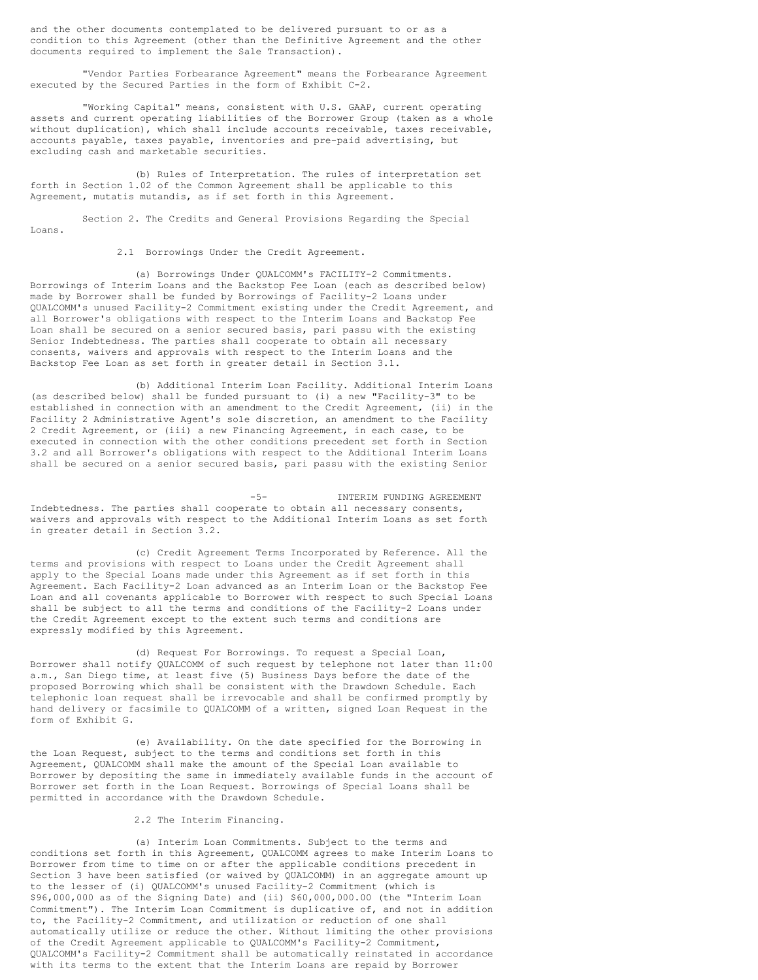and the other documents contemplated to be delivered pursuant to or as a condition to this Agreement (other than the Definitive Agreement and the other documents required to implement the Sale Transaction).

"Vendor Parties Forbearance Agreement" means the Forbearance Agreement executed by the Secured Parties in the form of Exhibit C-2.

"Working Capital" means, consistent with U.S. GAAP, current operating assets and current operating liabilities of the Borrower Group (taken as a whole without duplication), which shall include accounts receivable, taxes receivable, accounts payable, taxes payable, inventories and pre-paid advertising, but excluding cash and marketable securities.

(b) Rules of Interpretation. The rules of interpretation set forth in Section 1.02 of the Common Agreement shall be applicable to this Agreement, mutatis mutandis, as if set forth in this Agreement.

Section 2. The Credits and General Provisions Regarding the Special Loans.

2.1 Borrowings Under the Credit Agreement.

(a) Borrowings Under QUALCOMM's FACILITY-2 Commitments. Borrowings of Interim Loans and the Backstop Fee Loan (each as described below) made by Borrower shall be funded by Borrowings of Facility-2 Loans under QUALCOMM's unused Facility-2 Commitment existing under the Credit Agreement, and all Borrower's obligations with respect to the Interim Loans and Backstop Fee Loan shall be secured on a senior secured basis, pari passu with the existing Senior Indebtedness. The parties shall cooperate to obtain all necessary consents, waivers and approvals with respect to the Interim Loans and the Backstop Fee Loan as set forth in greater detail in Section 3.1.

(b) Additional Interim Loan Facility. Additional Interim Loans (as described below) shall be funded pursuant to (i) a new "Facility-3" to be established in connection with an amendment to the Credit Agreement, (ii) in the Facility 2 Administrative Agent's sole discretion, an amendment to the Facility 2 Credit Agreement, or (iii) a new Financing Agreement, in each case, to be executed in connection with the other conditions precedent set forth in Section 3.2 and all Borrower's obligations with respect to the Additional Interim Loans shall be secured on a senior secured basis, pari passu with the existing Senior

-5- INTERIM FUNDING AGREEMENT Indebtedness. The parties shall cooperate to obtain all necessary consents, waivers and approvals with respect to the Additional Interim Loans as set forth in greater detail in Section 3.2.

(c) Credit Agreement Terms Incorporated by Reference. All the terms and provisions with respect to Loans under the Credit Agreement shall apply to the Special Loans made under this Agreement as if set forth in this Agreement. Each Facility-2 Loan advanced as an Interim Loan or the Backstop Fee Loan and all covenants applicable to Borrower with respect to such Special Loans shall be subject to all the terms and conditions of the Facility-2 Loans under the Credit Agreement except to the extent such terms and conditions are expressly modified by this Agreement.

(d) Request For Borrowings. To request a Special Loan, Borrower shall notify QUALCOMM of such request by telephone not later than 11:00 a.m., San Diego time, at least five (5) Business Days before the date of the proposed Borrowing which shall be consistent with the Drawdown Schedule. Each telephonic loan request shall be irrevocable and shall be confirmed promptly by hand delivery or facsimile to QUALCOMM of a written, signed Loan Request in the form of Exhibit G.

(e) Availability. On the date specified for the Borrowing in the Loan Request, subject to the terms and conditions set forth in this Agreement, QUALCOMM shall make the amount of the Special Loan available to Borrower by depositing the same in immediately available funds in the account of Borrower set forth in the Loan Request. Borrowings of Special Loans shall be permitted in accordance with the Drawdown Schedule.

### 2.2 The Interim Financing.

(a) Interim Loan Commitments. Subject to the terms and conditions set forth in this Agreement, QUALCOMM agrees to make Interim Loans to Borrower from time to time on or after the applicable conditions precedent in Section 3 have been satisfied (or waived by QUALCOMM) in an aggregate amount up to the lesser of (i) QUALCOMM's unused Facility-2 Commitment (which is \$96,000,000 as of the Signing Date) and (ii) \$60,000,000.00 (the "Interim Loan Commitment"). The Interim Loan Commitment is duplicative of, and not in addition to, the Facility-2 Commitment, and utilization or reduction of one shall automatically utilize or reduce the other. Without limiting the other provisions of the Credit Agreement applicable to QUALCOMM's Facility-2 Commitment, QUALCOMM's Facility-2 Commitment shall be automatically reinstated in accordance with its terms to the extent that the Interim Loans are repaid by Borrower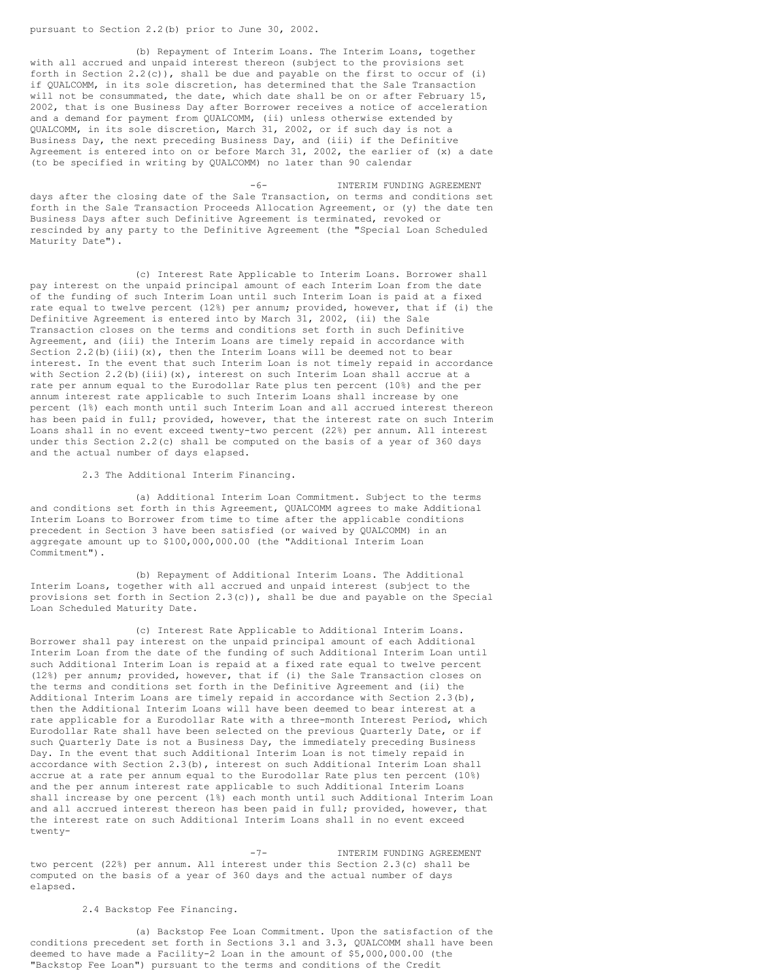pursuant to Section 2.2(b) prior to June 30, 2002.

(b) Repayment of Interim Loans. The Interim Loans, together with all accrued and unpaid interest thereon (subject to the provisions set forth in Section  $2.2(c)$ ), shall be due and payable on the first to occur of (i) if QUALCOMM, in its sole discretion, has determined that the Sale Transaction will not be consummated, the date, which date shall be on or after February 15, 2002, that is one Business Day after Borrower receives a notice of acceleration and a demand for payment from QUALCOMM, (ii) unless otherwise extended by QUALCOMM, in its sole discretion, March 31, 2002, or if such day is not a Business Day, the next preceding Business Day, and (iii) if the Definitive Agreement is entered into on or before March 31, 2002, the earlier of (x) a date (to be specified in writing by QUALCOMM) no later than 90 calendar

-6- INTERIM FUNDING AGREEMENT days after the closing date of the Sale Transaction, on terms and conditions set forth in the Sale Transaction Proceeds Allocation Agreement, or (y) the date ten Business Days after such Definitive Agreement is terminated, revoked or rescinded by any party to the Definitive Agreement (the "Special Loan Scheduled Maturity Date").

(c) Interest Rate Applicable to Interim Loans. Borrower shall pay interest on the unpaid principal amount of each Interim Loan from the date of the funding of such Interim Loan until such Interim Loan is paid at a fixed rate equal to twelve percent (12%) per annum; provided, however, that if (i) the Definitive Agreement is entered into by March 31, 2002, (ii) the Sale Transaction closes on the terms and conditions set forth in such Definitive Agreement, and (iii) the Interim Loans are timely repaid in accordance with Section 2.2(b)(iii)(x), then the Interim Loans will be deemed not to bear interest. In the event that such Interim Loan is not timely repaid in accordance with Section 2.2(b)(iii)(x), interest on such Interim Loan shall accrue at a rate per annum equal to the Eurodollar Rate plus ten percent (10%) and the per annum interest rate applicable to such Interim Loans shall increase by one percent (1%) each month until such Interim Loan and all accrued interest thereon has been paid in full; provided, however, that the interest rate on such Interim Loans shall in no event exceed twenty-two percent (22%) per annum. All interest under this Section 2.2(c) shall be computed on the basis of a year of 360 days and the actual number of days elapsed.

2.3 The Additional Interim Financing.

(a) Additional Interim Loan Commitment. Subject to the terms and conditions set forth in this Agreement, QUALCOMM agrees to make Additional Interim Loans to Borrower from time to time after the applicable conditions precedent in Section 3 have been satisfied (or waived by QUALCOMM) in an aggregate amount up to \$100,000,000.00 (the "Additional Interim Loan Commitment").

(b) Repayment of Additional Interim Loans. The Additional Interim Loans, together with all accrued and unpaid interest (subject to the provisions set forth in Section  $2.3(c)$ ), shall be due and payable on the Special .<br>Loan Scheduled Maturity Date.

(c) Interest Rate Applicable to Additional Interim Loans. Borrower shall pay interest on the unpaid principal amount of each Additional Interim Loan from the date of the funding of such Additional Interim Loan until such Additional Interim Loan is repaid at a fixed rate equal to twelve percent (12%) per annum; provided, however, that if (i) the Sale Transaction closes on the terms and conditions set forth in the Definitive Agreement and (ii) the Additional Interim Loans are timely repaid in accordance with Section 2.3(b), then the Additional Interim Loans will have been deemed to bear interest at a rate applicable for a Eurodollar Rate with a three-month Interest Period, which Eurodollar Rate shall have been selected on the previous Quarterly Date, or if such Quarterly Date is not a Business Day, the immediately preceding Business Day. In the event that such Additional Interim Loan is not timely repaid in accordance with Section 2.3(b), interest on such Additional Interim Loan shall accrue at a rate per annum equal to the Eurodollar Rate plus ten percent (10%) and the per annum interest rate applicable to such Additional Interim Loans shall increase by one percent (1%) each month until such Additional Interim Loan and all accrued interest thereon has been paid in full; provided, however, that the interest rate on such Additional Interim Loans shall in no event exceed twenty-

-7- INTERIM FUNDING AGREEMENT two percent (22%) per annum. All interest under this Section 2.3(c) shall be computed on the basis of a year of 360 days and the actual number of days elapsed.

2.4 Backstop Fee Financing.

(a) Backstop Fee Loan Commitment. Upon the satisfaction of the conditions precedent set forth in Sections 3.1 and 3.3, QUALCOMM shall have been deemed to have made a Facility-2 Loan in the amount of \$5,000,000.00 (the "Backstop Fee Loan") pursuant to the terms and conditions of the Credit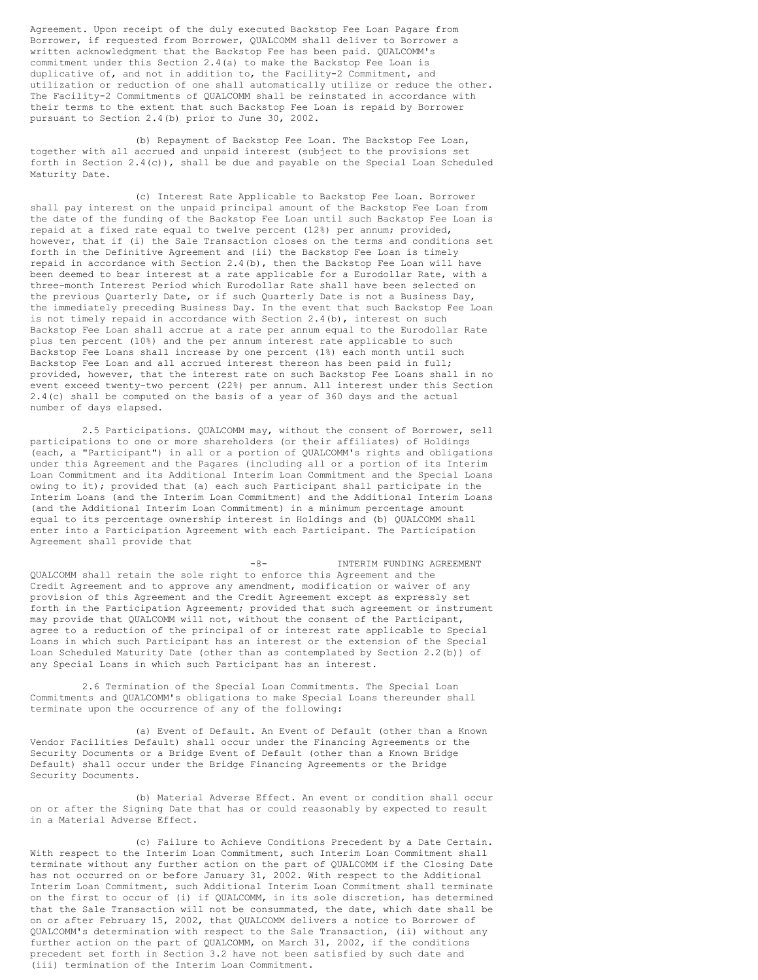Agreement. Upon receipt of the duly executed Backstop Fee Loan Pagare from Borrower, if requested from Borrower, QUALCOMM shall deliver to Borrower a written acknowledgment that the Backstop Fee has been paid. QUALCOMM's commitment under this Section 2.4(a) to make the Backstop Fee Loan is duplicative of, and not in addition to, the Facility-2 Commitment, and utilization or reduction of one shall automatically utilize or reduce the other. The Facility-2 Commitments of QUALCOMM shall be reinstated in accordance with their terms to the extent that such Backstop Fee Loan is repaid by Borrower pursuant to Section 2.4(b) prior to June 30, 2002.

(b) Repayment of Backstop Fee Loan. The Backstop Fee Loan, together with all accrued and unpaid interest (subject to the provisions set forth in Section 2.4(c)), shall be due and payable on the Special Loan Scheduled Maturity Date.

(c) Interest Rate Applicable to Backstop Fee Loan. Borrower shall pay interest on the unpaid principal amount of the Backstop Fee Loan from the date of the funding of the Backstop Fee Loan until such Backstop Fee Loan is repaid at a fixed rate equal to twelve percent (12%) per annum; provided, however, that if (i) the Sale Transaction closes on the terms and conditions set forth in the Definitive Agreement and (ii) the Backstop Fee Loan is timely repaid in accordance with Section 2.4(b), then the Backstop Fee Loan will have been deemed to bear interest at a rate applicable for a Eurodollar Rate, with a three-month Interest Period which Eurodollar Rate shall have been selected on the previous Quarterly Date, or if such Quarterly Date is not a Business Day, the immediately preceding Business Day. In the event that such Backstop Fee Loan is not timely repaid in accordance with Section 2.4(b), interest on such Backstop Fee Loan shall accrue at a rate per annum equal to the Eurodollar Rate plus ten percent (10%) and the per annum interest rate applicable to such Backstop Fee Loans shall increase by one percent (1%) each month until such Backstop Fee Loan and all accrued interest thereon has been paid in full; provided, however, that the interest rate on such Backstop Fee Loans shall in no event exceed twenty-two percent (22%) per annum. All interest under this Section 2.4(c) shall be computed on the basis of a year of 360 days and the actual number of days elapsed.

2.5 Participations. QUALCOMM may, without the consent of Borrower, sell participations to one or more shareholders (or their affiliates) of Holdings (each, a "Participant") in all or a portion of QUALCOMM's rights and obligations under this Agreement and the Pagares (including all or a portion of its Interim Loan Commitment and its Additional Interim Loan Commitment and the Special Loans owing to it); provided that (a) each such Participant shall participate in the Interim Loans (and the Interim Loan Commitment) and the Additional Interim Loans (and the Additional Interim Loan Commitment) in a minimum percentage amount equal to its percentage ownership interest in Holdings and (b) QUALCOMM shall enter into a Participation Agreement with each Participant. The Participation Agreement shall provide that

-8- INTERIM FUNDING AGREEMENT QUALCOMM shall retain the sole right to enforce this Agreement and the Credit Agreement and to approve any amendment, modification or waiver of any provision of this Agreement and the Credit Agreement except as expressly set forth in the Participation Agreement; provided that such agreement or instrument may provide that QUALCOMM will not, without the consent of the Participant, agree to a reduction of the principal of or interest rate applicable to Special Loans in which such Participant has an interest or the extension of the Special Loan Scheduled Maturity Date (other than as contemplated by Section 2.2(b)) of any Special Loans in which such Participant has an interest.

2.6 Termination of the Special Loan Commitments. The Special Loan Commitments and QUALCOMM's obligations to make Special Loans thereunder shall terminate upon the occurrence of any of the following:

(a) Event of Default. An Event of Default (other than a Known Vendor Facilities Default) shall occur under the Financing Agreements or the Security Documents or a Bridge Event of Default (other than a Known Bridge Default) shall occur under the Bridge Financing Agreements or the Bridge Security Documents.

(b) Material Adverse Effect. An event or condition shall occur on or after the Signing Date that has or could reasonably by expected to result in a Material Adverse Effect.

(c) Failure to Achieve Conditions Precedent by a Date Certain. With respect to the Interim Loan Commitment, such Interim Loan Commitment shall terminate without any further action on the part of QUALCOMM if the Closing Date has not occurred on or before January 31, 2002. With respect to the Additional Interim Loan Commitment, such Additional Interim Loan Commitment shall terminate on the first to occur of (i) if QUALCOMM, in its sole discretion, has determined that the Sale Transaction will not be consummated, the date, which date shall be on or after February 15, 2002, that QUALCOMM delivers a notice to Borrower of QUALCOMM's determination with respect to the Sale Transaction, (ii) without any further action on the part of QUALCOMM, on March 31, 2002, if the conditions precedent set forth in Section 3.2 have not been satisfied by such date and (iii) termination of the Interim Loan Commitment.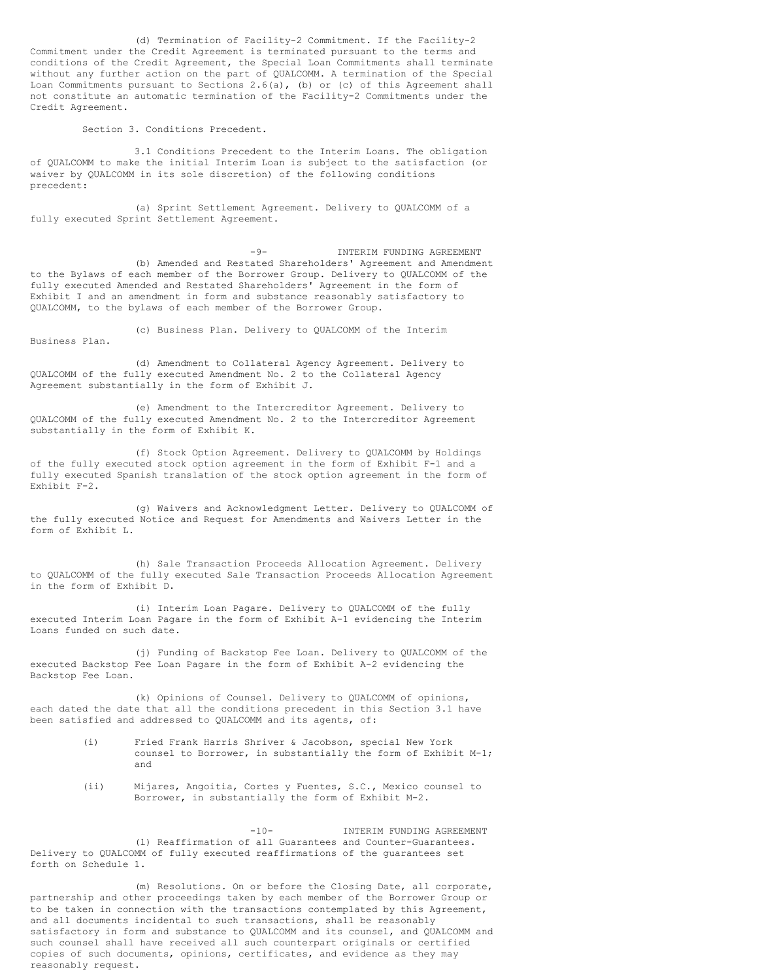(d) Termination of Facility-2 Commitment. If the Facility-2 Commitment under the Credit Agreement is terminated pursuant to the terms and conditions of the Credit Agreement, the Special Loan Commitments shall terminate without any further action on the part of QUALCOMM. A termination of the Special Loan Commitments pursuant to Sections 2.6(a), (b) or (c) of this Agreement shall not constitute an automatic termination of the Facility-2 Commitments under the Credit Agreement.

Section 3. Conditions Precedent.

3.1 Conditions Precedent to the Interim Loans. The obligation of QUALCOMM to make the initial Interim Loan is subject to the satisfaction (or waiver by QUALCOMM in its sole discretion) of the following conditions precedent:

(a) Sprint Settlement Agreement. Delivery to QUALCOMM of a fully executed Sprint Settlement Agreement.

-9- INTERIM FUNDING AGREEMENT (b) Amended and Restated Shareholders' Agreement and Amendment to the Bylaws of each member of the Borrower Group. Delivery to QUALCOMM of the fully executed Amended and Restated Shareholders' Agreement in the form of Exhibit I and an amendment in form and substance reasonably satisfactory to QUALCOMM, to the bylaws of each member of the Borrower Group.

(c) Business Plan. Delivery to QUALCOMM of the Interim Business Plan.

(d) Amendment to Collateral Agency Agreement. Delivery to QUALCOMM of the fully executed Amendment No. 2 to the Collateral Agency Agreement substantially in the form of Exhibit J.

(e) Amendment to the Intercreditor Agreement. Delivery to QUALCOMM of the fully executed Amendment No. 2 to the Intercreditor Agreement substantially in the form of Exhibit K.

(f) Stock Option Agreement. Delivery to QUALCOMM by Holdings of the fully executed stock option agreement in the form of Exhibit F-1 and a fully executed Spanish translation of the stock option agreement in the form of Exhibit F-2.

(g) Waivers and Acknowledgment Letter. Delivery to QUALCOMM of the fully executed Notice and Request for Amendments and Waivers Letter in the form of Exhibit L.

(h) Sale Transaction Proceeds Allocation Agreement. Delivery to QUALCOMM of the fully executed Sale Transaction Proceeds Allocation Agreement in the form of Exhibit D.

(i) Interim Loan Pagare. Delivery to QUALCOMM of the fully executed Interim Loan Pagare in the form of Exhibit A-1 evidencing the Interim Loans funded on such date.

(j) Funding of Backstop Fee Loan. Delivery to QUALCOMM of the executed Backstop Fee Loan Pagare in the form of Exhibit A-2 evidencing the Backstop Fee Loan.

(k) Opinions of Counsel. Delivery to QUALCOMM of opinions, each dated the date that all the conditions precedent in this Section 3.1 have been satisfied and addressed to QUALCOMM and its agents, of:

- (i) Fried Frank Harris Shriver & Jacobson, special New York counsel to Borrower, in substantially the form of Exhibit M-1; and
- (ii) Mijares, Angoitia, Cortes y Fuentes, S.C., Mexico counsel to Borrower, in substantially the form of Exhibit M-2.

-10- INTERIM FUNDING AGREEMENT (l) Reaffirmation of all Guarantees and Counter-Guarantees. Delivery to QUALCOMM of fully executed reaffirmations of the guarantees set forth on Schedule 1.

(m) Resolutions. On or before the Closing Date, all corporate, partnership and other proceedings taken by each member of the Borrower Group or to be taken in connection with the transactions contemplated by this Agreement, and all documents incidental to such transactions, shall be reasonably satisfactory in form and substance to QUALCOMM and its counsel, and QUALCOMM and such counsel shall have received all such counterpart originals or certified copies of such documents, opinions, certificates, and evidence as they may reasonably request.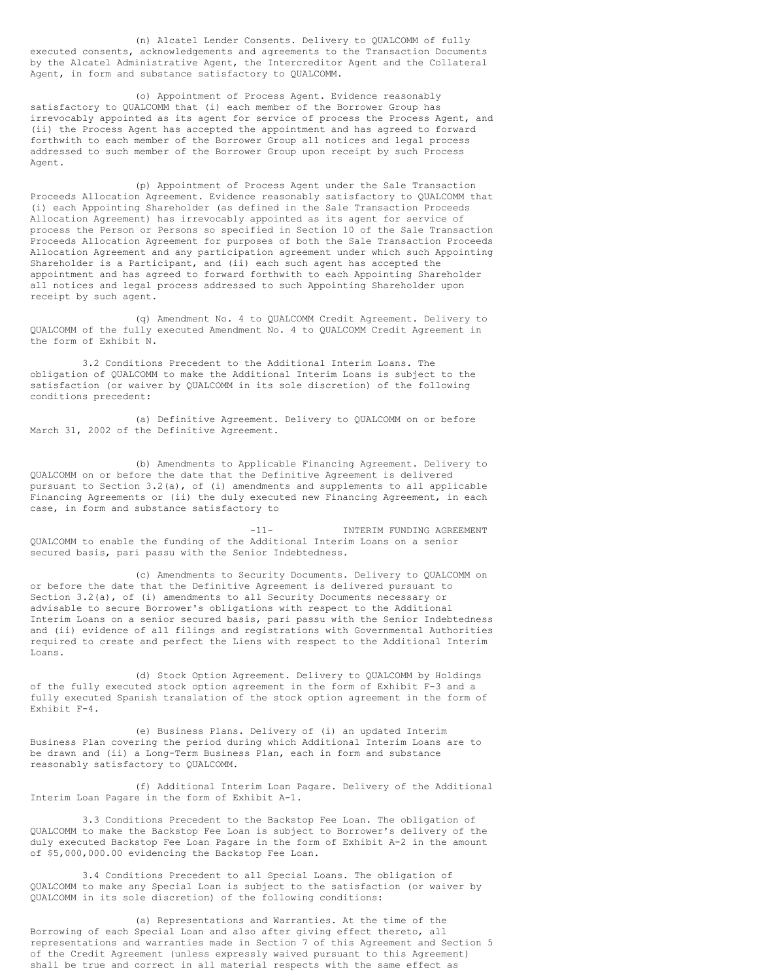(n) Alcatel Lender Consents. Delivery to QUALCOMM of fully executed consents, acknowledgements and agreements to the Transaction Documents by the Alcatel Administrative Agent, the Intercreditor Agent and the Collateral Agent, in form and substance satisfactory to QUALCOMM.

(o) Appointment of Process Agent. Evidence reasonably satisfactory to QUALCOMM that (i) each member of the Borrower Group has irrevocably appointed as its agent for service of process the Process Agent, and (ii) the Process Agent has accepted the appointment and has agreed to forward forthwith to each member of the Borrower Group all notices and legal process addressed to such member of the Borrower Group upon receipt by such Process Agent.

(p) Appointment of Process Agent under the Sale Transaction Proceeds Allocation Agreement. Evidence reasonably satisfactory to QUALCOMM that (i) each Appointing Shareholder (as defined in the Sale Transaction Proceeds Allocation Agreement) has irrevocably appointed as its agent for service of process the Person or Persons so specified in Section 10 of the Sale Transaction Proceeds Allocation Agreement for purposes of both the Sale Transaction Proceeds Allocation Agreement and any participation agreement under which such Appointing Shareholder is a Participant, and (ii) each such agent has accepted the appointment and has agreed to forward forthwith to each Appointing Shareholder all notices and legal process addressed to such Appointing Shareholder upon receipt by such agent.

(q) Amendment No. 4 to QUALCOMM Credit Agreement. Delivery to QUALCOMM of the fully executed Amendment No. 4 to QUALCOMM Credit Agreement in the form of Exhibit N.

3.2 Conditions Precedent to the Additional Interim Loans. The obligation of QUALCOMM to make the Additional Interim Loans is subject to the satisfaction (or waiver by QUALCOMM in its sole discretion) of the following conditions precedent:

(a) Definitive Agreement. Delivery to QUALCOMM on or before March 31, 2002 of the Definitive Agreement.

(b) Amendments to Applicable Financing Agreement. Delivery to QUALCOMM on or before the date that the Definitive Agreement is delivered pursuant to Section 3.2(a), of (i) amendments and supplements to all applicable Financing Agreements or (ii) the duly executed new Financing Agreement, in each case, in form and substance satisfactory to

-11- INTERIM FUNDING AGREEMENT QUALCOMM to enable the funding of the Additional Interim Loans on a senior secured basis, pari passu with the Senior Indebtedness.

(c) Amendments to Security Documents. Delivery to QUALCOMM on or before the date that the Definitive Agreement is delivered pursuant to Section 3.2(a), of (i) amendments to all Security Documents necessary or advisable to secure Borrower's obligations with respect to the Additional Interim Loans on a senior secured basis, pari passu with the Senior Indebtedness and (ii) evidence of all filings and registrations with Governmental Authorities required to create and perfect the Liens with respect to the Additional Interim Loans.

(d) Stock Option Agreement. Delivery to QUALCOMM by Holdings of the fully executed stock option agreement in the form of Exhibit F-3 and a fully executed Spanish translation of the stock option agreement in the form of Exhibit F-4.

(e) Business Plans. Delivery of (i) an updated Interim Business Plan covering the period during which Additional Interim Loans are to be drawn and (ii) a Long-Term Business Plan, each in form and substance reasonably satisfactory to QUALCOMM.

(f) Additional Interim Loan Pagare. Delivery of the Additional Interim Loan Pagare in the form of Exhibit A-1.

3.3 Conditions Precedent to the Backstop Fee Loan. The obligation of QUALCOMM to make the Backstop Fee Loan is subject to Borrower's delivery of the duly executed Backstop Fee Loan Pagare in the form of Exhibit A-2 in the amount of \$5,000,000.00 evidencing the Backstop Fee Loan.

3.4 Conditions Precedent to all Special Loans. The obligation of QUALCOMM to make any Special Loan is subject to the satisfaction (or waiver by QUALCOMM in its sole discretion) of the following conditions:

(a) Representations and Warranties. At the time of the Borrowing of each Special Loan and also after giving effect thereto, all representations and warranties made in Section 7 of this Agreement and Section 5 of the Credit Agreement (unless expressly waived pursuant to this Agreement) shall be true and correct in all material respects with the same effect as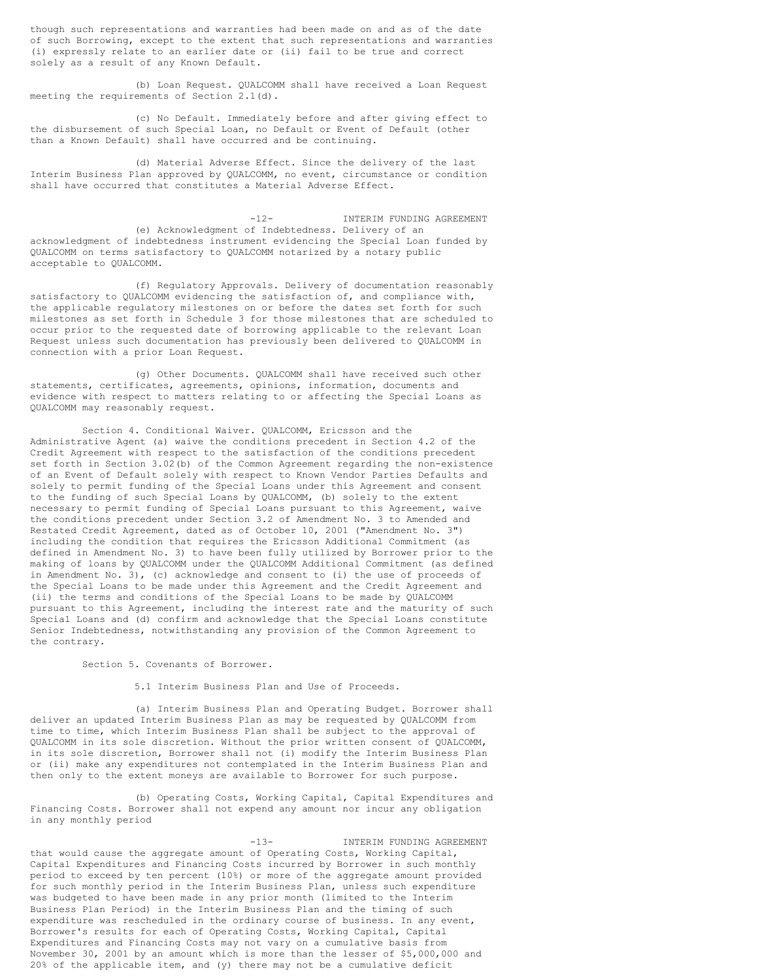though such representations and warranties had been made on and as of the date of such Borrowing, except to the extent that such representations and warranties (i) expressly relate to an earlier date or (ii) fail to be true and correct solely as a result of any Known Default.

(b) Loan Request. QUALCOMM shall have received a Loan Request meeting the requirements of Section 2.1(d).

(c) No Default. Immediately before and after giving effect to the disbursement of such Special Loan, no Default or Event of Default (other than a Known Default) shall have occurred and be continuing.

(d) Material Adverse Effect. Since the delivery of the last Interim Business Plan approved by QUALCOMM, no event, circumstance or condition shall have occurred that constitutes a Material Adverse Effect.

-12- INTERIM FUNDING AGREEMENT (e) Acknowledgment of Indebtedness. Delivery of an acknowledgment of indebtedness instrument evidencing the Special Loan funded by QUALCOMM on terms satisfactory to QUALCOMM notarized by a notary public acceptable to QUALCOMM.

(f) Regulatory Approvals. Delivery of documentation reasonably satisfactory to QUALCOMM evidencing the satisfaction of, and compliance with, the applicable regulatory milestones on or before the dates set forth for such milestones as set forth in Schedule 3 for those milestones that are scheduled to occur prior to the requested date of borrowing applicable to the relevant Loan Request unless such documentation has previously been delivered to QUALCOMM in connection with a prior Loan Request.

(g) Other Documents. QUALCOMM shall have received such other statements, certificates, agreements, opinions, information, documents and evidence with respect to matters relating to or affecting the Special Loans as QUALCOMM may reasonably request.

Section 4. Conditional Waiver. QUALCOMM, Ericsson and the Administrative Agent (a) waive the conditions precedent in Section 4.2 of the Credit Agreement with respect to the satisfaction of the conditions precedent set forth in Section 3.02(b) of the Common Agreement regarding the non-existence of an Event of Default solely with respect to Known Vendor Parties Defaults and solely to permit funding of the Special Loans under this Agreement and consent to the funding of such Special Loans by QUALCOMM, (b) solely to the extent necessary to permit funding of Special Loans pursuant to this Agreement, waive the conditions precedent under Section 3.2 of Amendment No. 3 to Amended and Restated Credit Agreement, dated as of October 10, 2001 ("Amendment No. 3") including the condition that requires the Ericsson Additional Commitment (as defined in Amendment No. 3) to have been fully utilized by Borrower prior to the making of loans by QUALCOMM under the QUALCOMM Additional Commitment (as defined in Amendment No. 3), (c) acknowledge and consent to (i) the use of proceeds of the Special Loans to be made under this Agreement and the Credit Agreement and (ii) the terms and conditions of the Special Loans to be made by QUALCOMM pursuant to this Agreement, including the interest rate and the maturity of such Special Loans and (d) confirm and acknowledge that the Special Loans constitute Senior Indebtedness, notwithstanding any provision of the Common Agreement to the contrary.

Section 5. Covenants of Borrower.

5.1 Interim Business Plan and Use of Proceeds.

(a) Interim Business Plan and Operating Budget. Borrower shall deliver an updated Interim Business Plan as may be requested by QUALCOMM from time to time, which Interim Business Plan shall be subject to the approval of QUALCOMM in its sole discretion. Without the prior written consent of QUALCOMM, in its sole discretion, Borrower shall not (i) modify the Interim Business Plan or (ii) make any expenditures not contemplated in the Interim Business Plan and then only to the extent moneys are available to Borrower for such purpose.

(b) Operating Costs, Working Capital, Capital Expenditures and Financing Costs. Borrower shall not expend any amount nor incur any obligation in any monthly period

-13- INTERIM FUNDING AGREEMENT that would cause the aggregate amount of Operating Costs, Working Capital, Capital Expenditures and Financing Costs incurred by Borrower in such monthly period to exceed by ten percent (10%) or more of the aggregate amount provided for such monthly period in the Interim Business Plan, unless such expenditure was budgeted to have been made in any prior month (limited to the Interim Business Plan Period) in the Interim Business Plan and the timing of such expenditure was rescheduled in the ordinary course of business. In any event, Borrower's results for each of Operating Costs, Working Capital, Capital Expenditures and Financing Costs may not vary on a cumulative basis from November 30, 2001 by an amount which is more than the lesser of \$5,000,000 and 20% of the applicable item, and (y) there may not be a cumulative deficit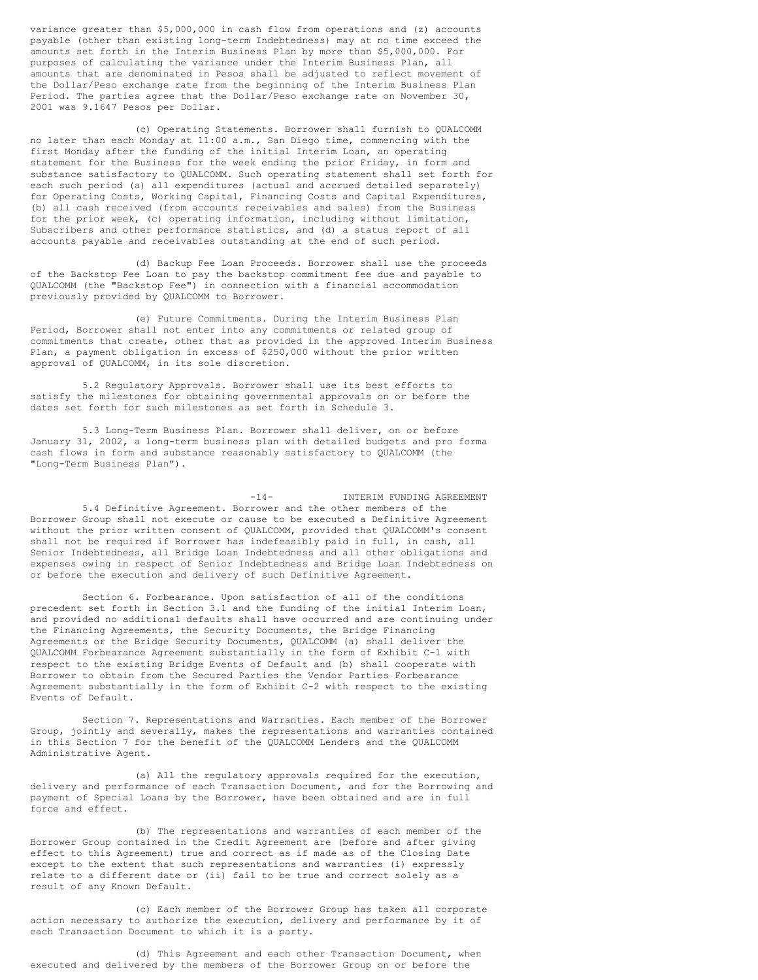variance greater than \$5,000,000 in cash flow from operations and (z) accounts payable (other than existing long-term Indebtedness) may at no time exceed the amounts set forth in the Interim Business Plan by more than \$5,000,000. For purposes of calculating the variance under the Interim Business Plan, all amounts that are denominated in Pesos shall be adjusted to reflect movement of the Dollar/Peso exchange rate from the beginning of the Interim Business Plan Period. The parties agree that the Dollar/Peso exchange rate on November 30, 2001 was 9.1647 Pesos per Dollar.

(c) Operating Statements. Borrower shall furnish to QUALCOMM no later than each Monday at 11:00 a.m., San Diego time, commencing with the first Monday after the funding of the initial Interim Loan, an operating statement for the Business for the week ending the prior Friday, in form and substance satisfactory to QUALCOMM. Such operating statement shall set forth for each such period (a) all expenditures (actual and accrued detailed separately) for Operating Costs, Working Capital, Financing Costs and Capital Expenditures, (b) all cash received (from accounts receivables and sales) from the Business for the prior week, (c) operating information, including without limitation, Subscribers and other performance statistics, and (d) a status report of all accounts payable and receivables outstanding at the end of such period.

(d) Backup Fee Loan Proceeds. Borrower shall use the proceeds of the Backstop Fee Loan to pay the backstop commitment fee due and payable to QUALCOMM (the "Backstop Fee") in connection with a financial accommodation previously provided by QUALCOMM to Borrower.

(e) Future Commitments. During the Interim Business Plan Period, Borrower shall not enter into any commitments or related group of commitments that create, other that as provided in the approved Interim Business Plan, a payment obligation in excess of \$250,000 without the prior written approval of QUALCOMM, in its sole discretion.

5.2 Regulatory Approvals. Borrower shall use its best efforts to satisfy the milestones for obtaining governmental approvals on or before the dates set forth for such milestones as set forth in Schedule 3.

5.3 Long-Term Business Plan. Borrower shall deliver, on or before January 31, 2002, a long-term business plan with detailed budgets and pro forma cash flows in form and substance reasonably satisfactory to QUALCOMM (the "Long-Term Business Plan").

-14- INTERIM FUNDING AGREEMENT 5.4 Definitive Agreement. Borrower and the other members of the Borrower Group shall not execute or cause to be executed a Definitive Agreement without the prior written consent of QUALCOMM, provided that QUALCOMM's consent shall not be required if Borrower has indefeasibly paid in full, in cash, all Senior Indebtedness, all Bridge Loan Indebtedness and all other obligations and expenses owing in respect of Senior Indebtedness and Bridge Loan Indebtedness on or before the execution and delivery of such Definitive Agreement.

Section 6. Forbearance. Upon satisfaction of all of the conditions precedent set forth in Section 3.1 and the funding of the initial Interim Loan, and provided no additional defaults shall have occurred and are continuing under the Financing Agreements, the Security Documents, the Bridge Financing Agreements or the Bridge Security Documents, QUALCOMM (a) shall deliver the QUALCOMM Forbearance Agreement substantially in the form of Exhibit C-1 with respect to the existing Bridge Events of Default and (b) shall cooperate with Borrower to obtain from the Secured Parties the Vendor Parties Forbearance Agreement substantially in the form of Exhibit C-2 with respect to the existing Events of Default.

Section 7. Representations and Warranties. Each member of the Borrower Group, jointly and severally, makes the representations and warranties contained in this Section 7 for the benefit of the QUALCOMM Lenders and the QUALCOMM Administrative Agent.

(a) All the regulatory approvals required for the execution, delivery and performance of each Transaction Document, and for the Borrowing and payment of Special Loans by the Borrower, have been obtained and are in full force and effect.

(b) The representations and warranties of each member of the Borrower Group contained in the Credit Agreement are (before and after giving effect to this Agreement) true and correct as if made as of the Closing Date except to the extent that such representations and warranties (i) expressly relate to a different date or (ii) fail to be true and correct solely as a result of any Known Default.

(c) Each member of the Borrower Group has taken all corporate action necessary to authorize the execution, delivery and performance by it of each Transaction Document to which it is a party.

(d) This Agreement and each other Transaction Document, when executed and delivered by the members of the Borrower Group on or before the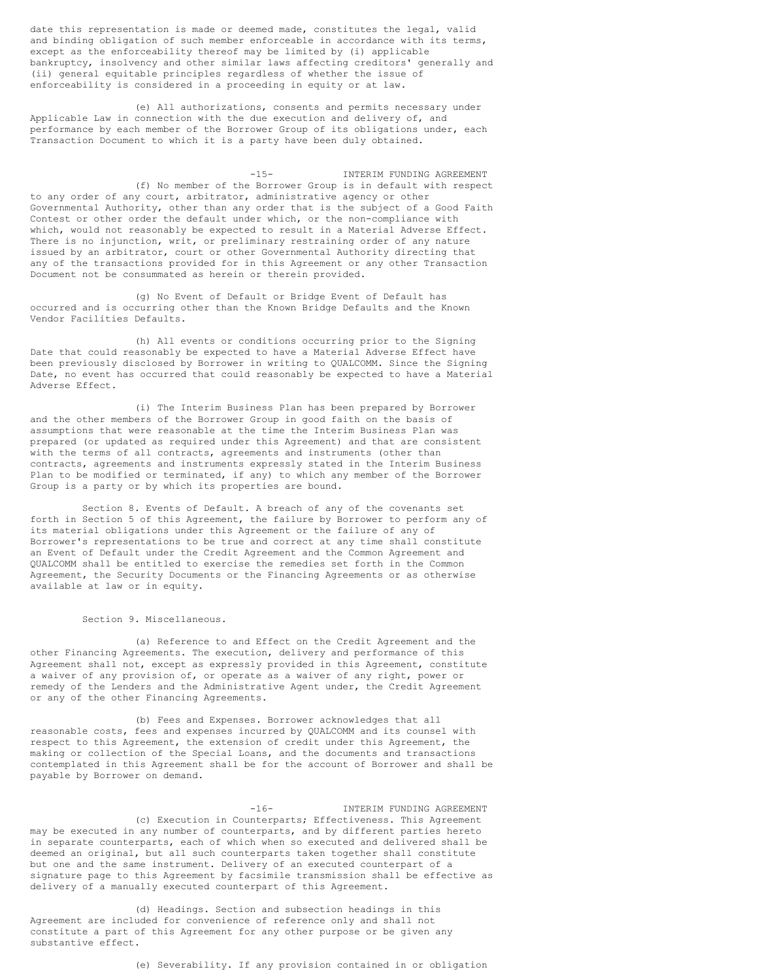date this representation is made or deemed made, constitutes the legal, valid and binding obligation of such member enforceable in accordance with its terms, except as the enforceability thereof may be limited by (i) applicable bankruptcy, insolvency and other similar laws affecting creditors' generally and (ii) general equitable principles regardless of whether the issue of enforceability is considered in a proceeding in equity or at law.

(e) All authorizations, consents and permits necessary under Applicable Law in connection with the due execution and delivery of, and performance by each member of the Borrower Group of its obligations under, each Transaction Document to which it is a party have been duly obtained.

-15- INTERIM FUNDING AGREEMENT (f) No member of the Borrower Group is in default with respect to any order of any court, arbitrator, administrative agency or other Governmental Authority, other than any order that is the subject of a Good Faith Contest or other order the default under which, or the non-compliance with which, would not reasonably be expected to result in a Material Adverse Effect. There is no injunction, writ, or preliminary restraining order of any nature issued by an arbitrator, court or other Governmental Authority directing that any of the transactions provided for in this Agreement or any other Transaction Document not be consummated as herein or therein provided.

(g) No Event of Default or Bridge Event of Default has occurred and is occurring other than the Known Bridge Defaults and the Known Vendor Facilities Defaults.

(h) All events or conditions occurring prior to the Signing Date that could reasonably be expected to have a Material Adverse Effect have been previously disclosed by Borrower in writing to QUALCOMM. Since the Signing Date, no event has occurred that could reasonably be expected to have a Material Adverse Effect.

(i) The Interim Business Plan has been prepared by Borrower and the other members of the Borrower Group in good faith on the basis of assumptions that were reasonable at the time the Interim Business Plan was prepared (or updated as required under this Agreement) and that are consistent with the terms of all contracts, agreements and instruments (other than contracts, agreements and instruments expressly stated in the Interim Business Plan to be modified or terminated, if any) to which any member of the Borrower Group is a party or by which its properties are bound.

Section 8. Events of Default. A breach of any of the covenants set forth in Section 5 of this Agreement, the failure by Borrower to perform any of its material obligations under this Agreement or the failure of any of Borrower's representations to be true and correct at any time shall constitute an Event of Default under the Credit Agreement and the Common Agreement and QUALCOMM shall be entitled to exercise the remedies set forth in the Common Agreement, the Security Documents or the Financing Agreements or as otherwise available at law or in equity.

## Section 9. Miscellaneous.

(a) Reference to and Effect on the Credit Agreement and the other Financing Agreements. The execution, delivery and performance of this Agreement shall not, except as expressly provided in this Agreement, constitute a waiver of any provision of, or operate as a waiver of any right, power or remedy of the Lenders and the Administrative Agent under, the Credit Agreement or any of the other Financing Agreements.

(b) Fees and Expenses. Borrower acknowledges that all reasonable costs, fees and expenses incurred by QUALCOMM and its counsel with respect to this Agreement, the extension of credit under this Agreement, the making or collection of the Special Loans, and the documents and transactions contemplated in this Agreement shall be for the account of Borrower and shall be payable by Borrower on demand.

-16- INTERIM FUNDING AGREEMENT (c) Execution in Counterparts; Effectiveness. This Agreement may be executed in any number of counterparts, and by different parties hereto in separate counterparts, each of which when so executed and delivered shall be deemed an original, but all such counterparts taken together shall constitute but one and the same instrument. Delivery of an executed counterpart of a signature page to this Agreement by facsimile transmission shall be effective as delivery of a manually executed counterpart of this Agreement.

(d) Headings. Section and subsection headings in this Agreement are included for convenience of reference only and shall not constitute a part of this Agreement for any other purpose or be given any substantive effect.

(e) Severability. If any provision contained in or obligation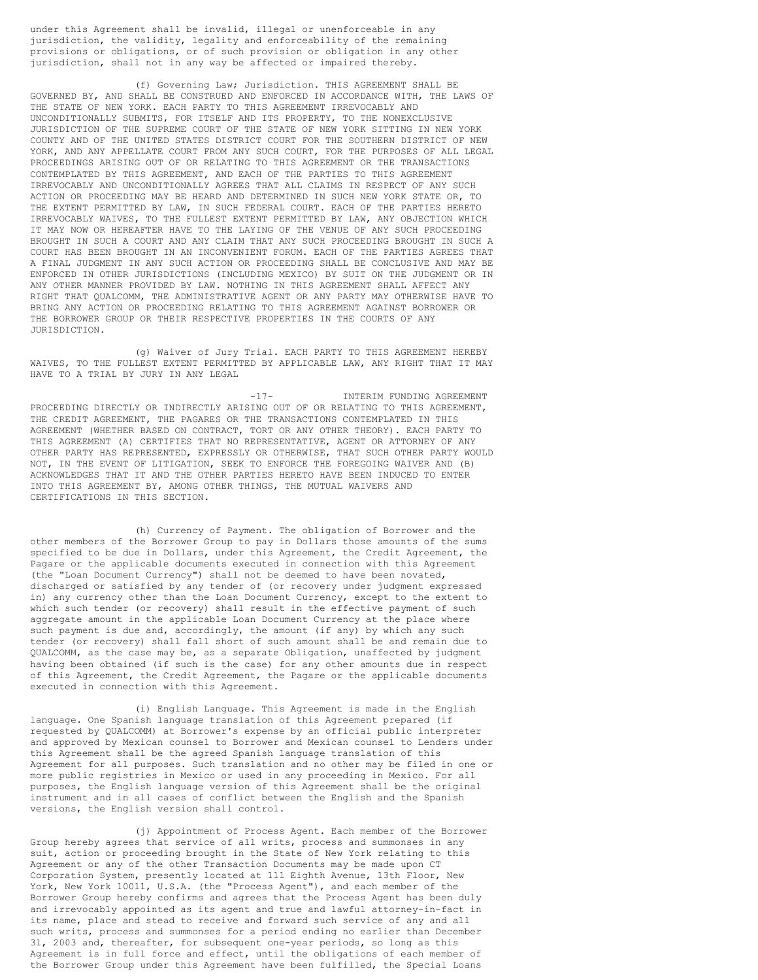under this Agreement shall be invalid, illegal or unenforceable in any jurisdiction, the validity, legality and enforceability of the remaining provisions or obligations, or of such provision or obligation in any other jurisdiction, shall not in any way be affected or impaired thereby.

(f) Governing Law; Jurisdiction. THIS AGREEMENT SHALL BE GOVERNED BY, AND SHALL BE CONSTRUED AND ENFORCED IN ACCORDANCE WITH, THE LAWS OF THE STATE OF NEW YORK. EACH PARTY TO THIS AGREEMENT IRREVOCABLY AND UNCONDITIONALLY SUBMITS, FOR ITSELF AND ITS PROPERTY, TO THE NONEXCLUSIVE JURISDICTION OF THE SUPREME COURT OF THE STATE OF NEW YORK SITTING IN NEW YORK COUNTY AND OF THE UNITED STATES DISTRICT COURT FOR THE SOUTHERN DISTRICT OF NEW YORK, AND ANY APPELLATE COURT FROM ANY SUCH COURT, FOR THE PURPOSES OF ALL LEGAL PROCEEDINGS ARISING OUT OF OR RELATING TO THIS AGREEMENT OR THE TRANSACTIONS CONTEMPLATED BY THIS AGREEMENT, AND EACH OF THE PARTIES TO THIS AGREEMENT IRREVOCABLY AND UNCONDITIONALLY AGREES THAT ALL CLAIMS IN RESPECT OF ANY SUCH ACTION OR PROCEEDING MAY BE HEARD AND DETERMINED IN SUCH NEW YORK STATE OR, TO THE EXTENT PERMITTED BY LAW, IN SUCH FEDERAL COURT. EACH OF THE PARTIES HERETO IRREVOCABLY WAIVES, TO THE FULLEST EXTENT PERMITTED BY LAW, ANY OBJECTION WHICH IT MAY NOW OR HEREAFTER HAVE TO THE LAYING OF THE VENUE OF ANY SUCH PROCEEDING BROUGHT IN SUCH A COURT AND ANY CLAIM THAT ANY SUCH PROCEEDING BROUGHT IN SUCH A COURT HAS BEEN BROUGHT IN AN INCONVENIENT FORUM. EACH OF THE PARTIES AGREES THAT A FINAL JUDGMENT IN ANY SUCH ACTION OR PROCEEDING SHALL BE CONCLUSIVE AND MAY BE ENFORCED IN OTHER JURISDICTIONS (INCLUDING MEXICO) BY SUIT ON THE JUDGMENT OR IN ANY OTHER MANNER PROVIDED BY LAW. NOTHING IN THIS AGREEMENT SHALL AFFECT ANY RIGHT THAT QUALCOMM, THE ADMINISTRATIVE AGENT OR ANY PARTY MAY OTHERWISE HAVE TO BRING ANY ACTION OR PROCEEDING RELATING TO THIS AGREEMENT AGAINST BORROWER OR THE BORROWER GROUP OR THEIR RESPECTIVE PROPERTIES IN THE COURTS OF ANY JURISDICTION.

(g) Waiver of Jury Trial. EACH PARTY TO THIS AGREEMENT HEREBY WAIVES, TO THE FULLEST EXTENT PERMITTED BY APPLICABLE LAW, ANY RIGHT THAT IT MAY HAVE TO A TRIAL BY JURY IN ANY LEGAL

-17- INTERIM FUNDING AGREEMENT PROCEEDING DIRECTLY OR INDIRECTLY ARISING OUT OF OR RELATING TO THIS AGREEMENT, THE CREDIT AGREEMENT, THE PAGARES OR THE TRANSACTIONS CONTEMPLATED IN THIS AGREEMENT (WHETHER BASED ON CONTRACT, TORT OR ANY OTHER THEORY). EACH PARTY TO THIS AGREEMENT (A) CERTIFIES THAT NO REPRESENTATIVE, AGENT OR ATTORNEY OF ANY OTHER PARTY HAS REPRESENTED, EXPRESSLY OR OTHERWISE, THAT SUCH OTHER PARTY WOULD NOT, IN THE EVENT OF LITIGATION, SEEK TO ENFORCE THE FOREGOING WAIVER AND (B) ACKNOWLEDGES THAT IT AND THE OTHER PARTIES HERETO HAVE BEEN INDUCED TO ENTER INTO THIS AGREEMENT BY, AMONG OTHER THINGS, THE MUTUAL WAIVERS AND CERTIFICATIONS IN THIS SECTION.

(h) Currency of Payment. The obligation of Borrower and the other members of the Borrower Group to pay in Dollars those amounts of the sums specified to be due in Dollars, under this Agreement, the Credit Agreement, the Pagare or the applicable documents executed in connection with this Agreement (the "Loan Document Currency") shall not be deemed to have been novated, discharged or satisfied by any tender of (or recovery under judgment expressed in) any currency other than the Loan Document Currency, except to the extent to which such tender (or recovery) shall result in the effective payment of such aggregate amount in the applicable Loan Document Currency at the place where such payment is due and, accordingly, the amount (if any) by which any such tender (or recovery) shall fall short of such amount shall be and remain due to QUALCOMM, as the case may be, as a separate Obligation, unaffected by judgment having been obtained (if such is the case) for any other amounts due in respect of this Agreement, the Credit Agreement, the Pagare or the applicable documents executed in connection with this Agreement.

(i) English Language. This Agreement is made in the English language. One Spanish language translation of this Agreement prepared (if requested by QUALCOMM) at Borrower's expense by an official public interpreter and approved by Mexican counsel to Borrower and Mexican counsel to Lenders under this Agreement shall be the agreed Spanish language translation of this Agreement for all purposes. Such translation and no other may be filed in one or more public registries in Mexico or used in any proceeding in Mexico. For all purposes, the English language version of this Agreement shall be the original instrument and in all cases of conflict between the English and the Spanish versions, the English version shall control.

(j) Appointment of Process Agent. Each member of the Borrower Group hereby agrees that service of all writs, process and summonses in any suit, action or proceeding brought in the State of New York relating to this Agreement or any of the other Transaction Documents may be made upon CT Corporation System, presently located at 111 Eighth Avenue, 13th Floor, New York, New York 10011, U.S.A. (the "Process Agent"), and each member of the Borrower Group hereby confirms and agrees that the Process Agent has been duly and irrevocably appointed as its agent and true and lawful attorney-in-fact in its name, place and stead to receive and forward such service of any and all such writs, process and summonses for a period ending no earlier than December 31, 2003 and, thereafter, for subsequent one-year periods, so long as this Agreement is in full force and effect, until the obligations of each member of the Borrower Group under this Agreement have been fulfilled, the Special Loans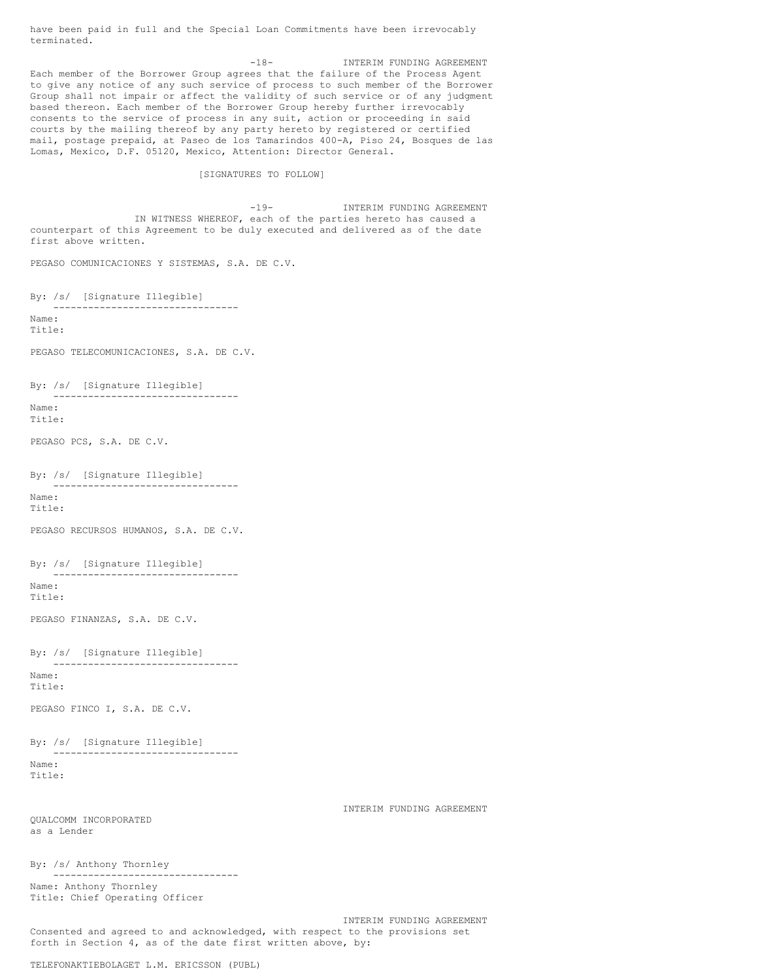have been paid in full and the Special Loan Commitments have been irrevocably terminated.

-18- INTERIM FUNDING AGREEMENT Each member of the Borrower Group agrees that the failure of the Process Agent to give any notice of any such service of process to such member of the Borrower Group shall not impair or affect the validity of such service or of any judgment based thereon. Each member of the Borrower Group hereby further irrevocably consents to the service of process in any suit, action or proceeding in said courts by the mailing thereof by any party hereto by registered or certified mail, postage prepaid, at Paseo de los Tamarindos 400-A, Piso 24, Bosques de las Lomas, Mexico, D.F. 05120, Mexico, Attention: Director General.

[SIGNATURES TO FOLLOW]

-19- INTERIM FUNDING AGREEMENT IN WITNESS WHEREOF, each of the parties hereto has caused a counterpart of this Agreement to be duly executed and delivered as of the date first above written.

PEGASO COMUNICACIONES Y SISTEMAS, S.A. DE C.V.

By: /s/ [Signature Illegible]

-------------------------------- Name:

Title:

PEGASO TELECOMUNICACIONES, S.A. DE C.V.

By: /s/ [Signature Illegible] --------------------------------

Name: Title:

PEGASO PCS, S.A. DE C.V.

By: /s/ [Signature Illegible] -------------------------------- Name:

Title:

PEGASO RECURSOS HUMANOS, S.A. DE C.V.

By: /s/ [Signature Illegible]<br>---------------------------------

-------------------------------- Name: Title:

PEGASO FINANZAS, S.A. DE C.V.

By: /s/ [Signature Illegible] -------------------------------- Name: Title:

PEGASO FINCO I, S.A. DE C.V.

By: /s/ [Signature Illegible] --------------------------------

Name:

Title:

QUALCOMM INCORPORATED as a Lender

INTERIM FUNDING AGREEMENT

By: /s/ Anthony Thornley

-------------------------------- Name: Anthony Thornley Title: Chief Operating Officer

INTERIM FUNDING AGREEMENT Consented and agreed to and acknowledged, with respect to the provisions set forth in Section 4, as of the date first written above, by: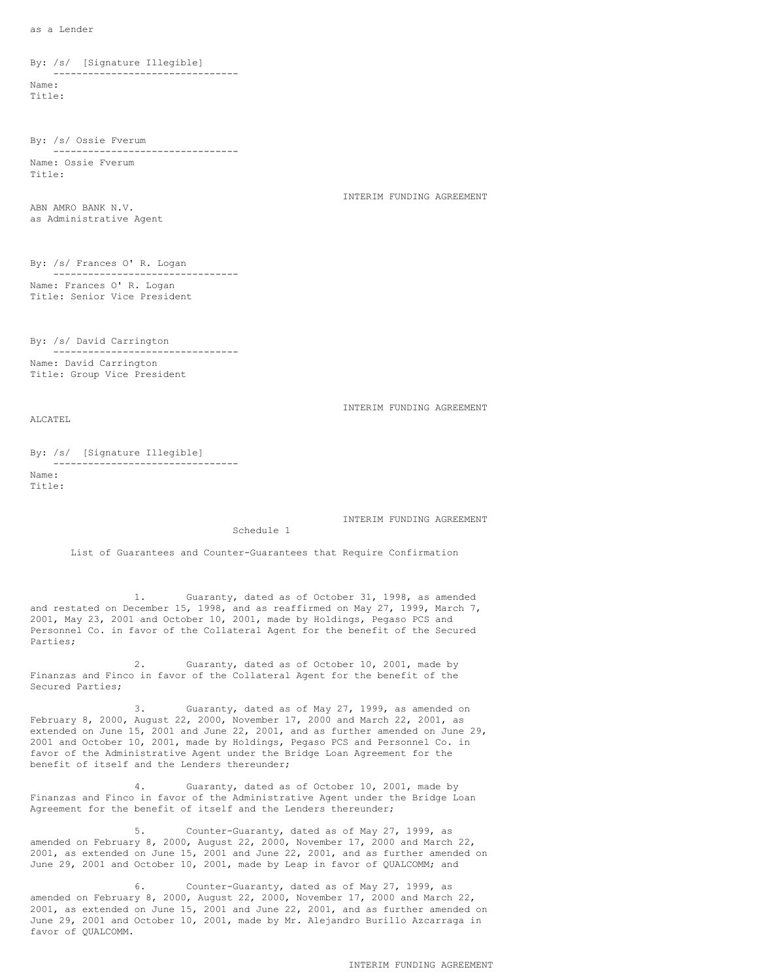By: /s/ [Signature Illegible] -------------------------------- Name: Title:

--------------------------------

By: /s/ Ossie Fverum

Name: Ossie Fverum Title:

INTERIM FUNDING AGREEMENT

ABN AMRO BANK N.V. as Administrative Agent

By: /s/ Frances O' R. Logan --------------------------------

Name: Frances O' R. Logan Title: Senior Vice President

By: /s/ David Carrington

-------------------------------- Name: David Carrington Title: Group Vice President

INTERIM FUNDING AGREEMENT

ALCATEL

By: /s/ [Signature Illegible]<br>----------------------------------------------------------------- Name:

Title:

INTERIM FUNDING AGREEMENT

Schedule 1

List of Guarantees and Counter-Guarantees that Require Confirmation

1. Guaranty, dated as of October 31, 1998, as amended and restated on December 15, 1998, and as reaffirmed on May 27, 1999, March 7, 2001, May 23, 2001 and October 10, 2001, made by Holdings, Pegaso PCS and Personnel Co. in favor of the Collateral Agent for the benefit of the Secured Parties;

2. Guaranty, dated as of October 10, 2001, made by Finanzas and Finco in favor of the Collateral Agent for the benefit of the Secured Parties;

3. Guaranty, dated as of May 27, 1999, as amended on February 8, 2000, August 22, 2000, November 17, 2000 and March 22, 2001, as extended on June 15, 2001 and June 22, 2001, and as further amended on June 29, 2001 and October 10, 2001, made by Holdings, Pegaso PCS and Personnel Co. in favor of the Administrative Agent under the Bridge Loan Agreement for the benefit of itself and the Lenders thereunder;

4. Guaranty, dated as of October 10, 2001, made by Finanzas and Finco in favor of the Administrative Agent under the Bridge Loan Agreement for the benefit of itself and the Lenders thereunder;

5. Counter-Guaranty, dated as of May 27, 1999, as amended on February 8, 2000, August 22, 2000, November 17, 2000 and March 22, 2001, as extended on June 15, 2001 and June 22, 2001, and as further amended on June 29, 2001 and October 10, 2001, made by Leap in favor of QUALCOMM; and

6. Counter-Guaranty, dated as of May 27, 1999, as amended on February 8, 2000, August 22, 2000, November 17, 2000 and March 22, 2001, as extended on June 15, 2001 and June 22, 2001, and as further amended on June 29, 2001 and October 10, 2001, made by Mr. Alejandro Burillo Azcarraga in favor of QUALCOMM.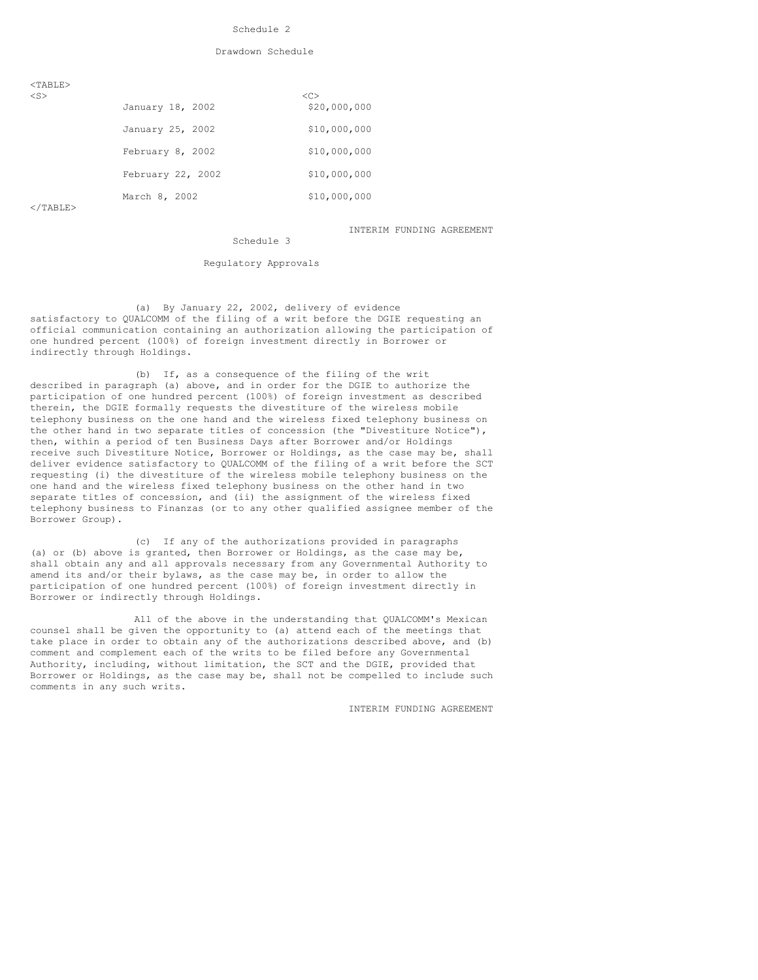### Schedule 2

#### Drawdown Schedule

| ۰. |  |
|----|--|
|    |  |

| $<$ S $>$ |                   | <c></c>      |
|-----------|-------------------|--------------|
|           | January 18, 2002  | \$20,000,000 |
|           | January 25, 2002  | \$10,000,000 |
|           | February 8, 2002  | \$10,000,000 |
|           | February 22, 2002 | \$10,000,000 |
|           | March 8, 2002     | \$10,000,000 |

 $\langle$ /TABLE>

### INTERIM FUNDING AGREEMENT

Schedule 3

# Regulatory Approvals

(a) By January 22, 2002, delivery of evidence satisfactory to QUALCOMM of the filing of a writ before the DGIE requesting an official communication containing an authorization allowing the participation of one hundred percent (100%) of foreign investment directly in Borrower or indirectly through Holdings.

(b) If, as a consequence of the filing of the writ described in paragraph (a) above, and in order for the DGIE to authorize the participation of one hundred percent (100%) of foreign investment as described therein, the DGIE formally requests the divestiture of the wireless mobile telephony business on the one hand and the wireless fixed telephony business on the other hand in two separate titles of concession (the "Divestiture Notice"), then, within a period of ten Business Days after Borrower and/or Holdings receive such Divestiture Notice, Borrower or Holdings, as the case may be, shall deliver evidence satisfactory to QUALCOMM of the filing of a writ before the SCT requesting (i) the divestiture of the wireless mobile telephony business on the one hand and the wireless fixed telephony business on the other hand in two separate titles of concession, and (ii) the assignment of the wireless fixed telephony business to Finanzas (or to any other qualified assignee member of the Borrower Group).

(c) If any of the authorizations provided in paragraphs (a) or (b) above is granted, then Borrower or Holdings, as the case may be, shall obtain any and all approvals necessary from any Governmental Authority to amend its and/or their bylaws, as the case may be, in order to allow the participation of one hundred percent (100%) of foreign investment directly in Borrower or indirectly through Holdings.

All of the above in the understanding that QUALCOMM's Mexican counsel shall be given the opportunity to (a) attend each of the meetings that take place in order to obtain any of the authorizations described above, and (b) comment and complement each of the writs to be filed before any Governmental Authority, including, without limitation, the SCT and the DGIE, provided that Borrower or Holdings, as the case may be, shall not be compelled to include such comments in any such writs.

INTERIM FUNDING AGREEMENT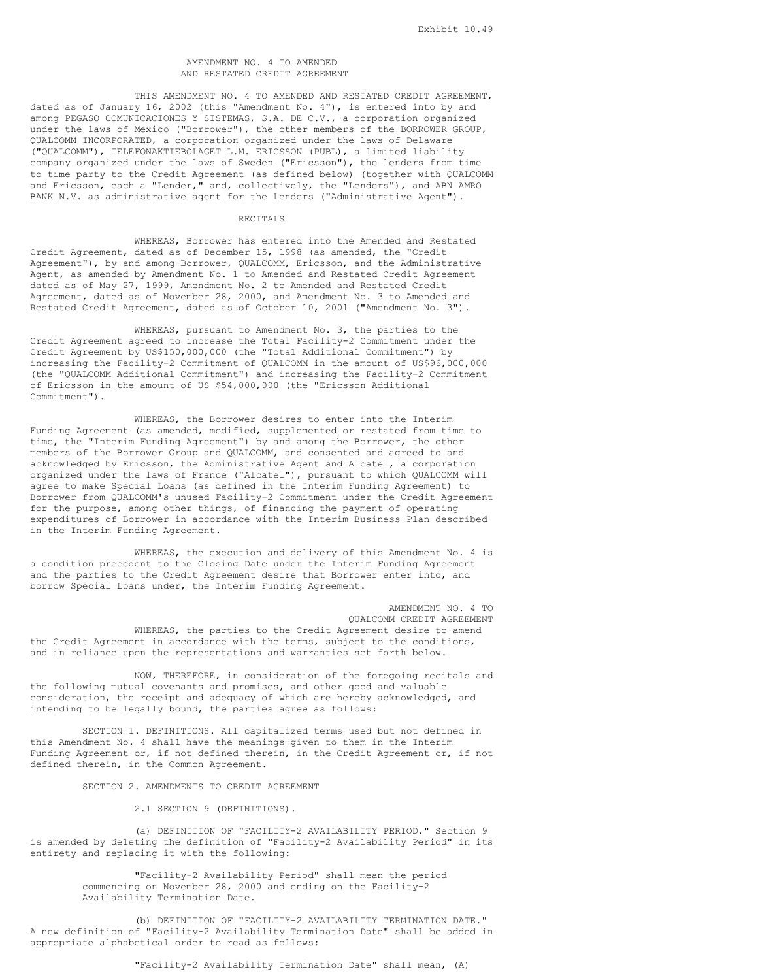## AMENDMENT NO. 4 TO AMENDED AND RESTATED CREDIT AGREEMENT

THIS AMENDMENT NO. 4 TO AMENDED AND RESTATED CREDIT AGREEMENT, dated as of January 16, 2002 (this "Amendment No. 4"), is entered into by and among PEGASO COMUNICACIONES Y SISTEMAS, S.A. DE C.V., a corporation organized under the laws of Mexico ("Borrower"), the other members of the BORROWER GROUP, QUALCOMM INCORPORATED, a corporation organized under the laws of Delaware ("QUALCOMM"), TELEFONAKTIEBOLAGET L.M. ERICSSON (PUBL), a limited liability company organized under the laws of Sweden ("Ericsson"), the lenders from time to time party to the Credit Agreement (as defined below) (together with QUALCOMM and Ericsson, each a "Lender," and, collectively, the "Lenders"), and ABN AMRO BANK N.V. as administrative agent for the Lenders ("Administrative Agent").

### RECITALS

WHEREAS, Borrower has entered into the Amended and Restated Credit Agreement, dated as of December 15, 1998 (as amended, the "Credit Agreement"), by and among Borrower, QUALCOMM, Ericsson, and the Administrative Agent, as amended by Amendment No. 1 to Amended and Restated Credit Agreement dated as of May 27, 1999, Amendment No. 2 to Amended and Restated Credit Agreement, dated as of November 28, 2000, and Amendment No. 3 to Amended and Restated Credit Agreement, dated as of October 10, 2001 ("Amendment No. 3").

WHEREAS, pursuant to Amendment No. 3, the parties to the Credit Agreement agreed to increase the Total Facility-2 Commitment under the Credit Agreement by US\$150,000,000 (the "Total Additional Commitment") by increasing the Facility-2 Commitment of QUALCOMM in the amount of US\$96,000,000 (the "QUALCOMM Additional Commitment") and increasing the Facility-2 Commitment of Ericsson in the amount of US \$54,000,000 (the "Ericsson Additional Commitment").

WHEREAS, the Borrower desires to enter into the Interim Funding Agreement (as amended, modified, supplemented or restated from time to time, the "Interim Funding Agreement") by and among the Borrower, the other members of the Borrower Group and QUALCOMM, and consented and agreed to and acknowledged by Ericsson, the Administrative Agent and Alcatel, a corporation organized under the laws of France ("Alcatel"), pursuant to which QUALCOMM will agree to make Special Loans (as defined in the Interim Funding Agreement) to Borrower from QUALCOMM's unused Facility-2 Commitment under the Credit Agreement for the purpose, among other things, of financing the payment of operating expenditures of Borrower in accordance with the Interim Business Plan described in the Interim Funding Agreement.

WHEREAS, the execution and delivery of this Amendment No. 4 is a condition precedent to the Closing Date under the Interim Funding Agreement and the parties to the Credit Agreement desire that Borrower enter into, and borrow Special Loans under, the Interim Funding Agreement.

> AMENDMENT NO. 4 TO QUALCOMM CREDIT AGREEMENT

WHEREAS, the parties to the Credit Agreement desire to amend the Credit Agreement in accordance with the terms, subject to the conditions, and in reliance upon the representations and warranties set forth below.

NOW, THEREFORE, in consideration of the foregoing recitals and the following mutual covenants and promises, and other good and valuable consideration, the receipt and adequacy of which are hereby acknowledged, and intending to be legally bound, the parties agree as follows:

SECTION 1. DEFINITIONS. All capitalized terms used but not defined in this Amendment No. 4 shall have the meanings given to them in the Interim Funding Agreement or, if not defined therein, in the Credit Agreement or, if not defined therein, in the Common Agreement.

SECTION 2. AMENDMENTS TO CREDIT AGREEMENT

2.1 SECTION 9 (DEFINITIONS).

(a) DEFINITION OF "FACILITY-2 AVAILABILITY PERIOD." Section 9 is amended by deleting the definition of "Facility-2 Availability Period" in its entirety and replacing it with the following:

> "Facility-2 Availability Period" shall mean the period commencing on November 28, 2000 and ending on the Facility-2 Availability Termination Date.

(b) DEFINITION OF "FACILITY-2 AVAILABILITY TERMINATION DATE." A new definition of "Facility-2 Availability Termination Date" shall be added in appropriate alphabetical order to read as follows:

"Facility-2 Availability Termination Date" shall mean, (A)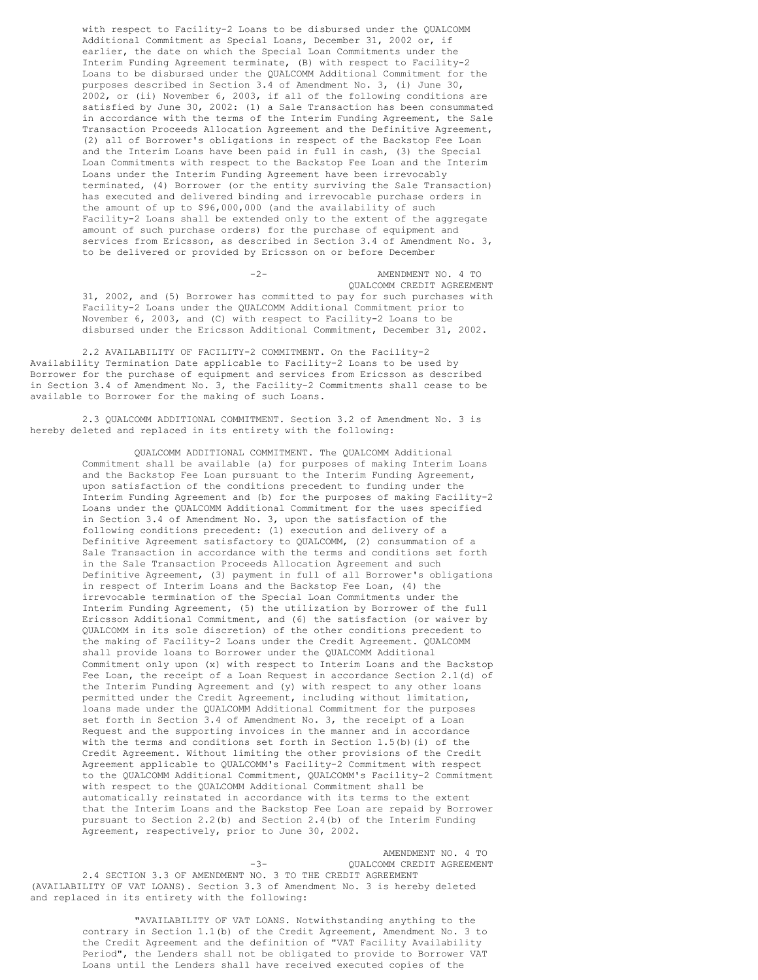with respect to Facility-2 Loans to be disbursed under the QUALCOMM Additional Commitment as Special Loans, December 31, 2002 or, if earlier, the date on which the Special Loan Commitments under the Interim Funding Agreement terminate, (B) with respect to Facility-2 Loans to be disbursed under the QUALCOMM Additional Commitment for the purposes described in Section 3.4 of Amendment No. 3, (i) June 30, 2002, or (ii) November 6, 2003, if all of the following conditions are satisfied by June 30, 2002: (1) a Sale Transaction has been consummated in accordance with the terms of the Interim Funding Agreement, the Sale Transaction Proceeds Allocation Agreement and the Definitive Agreement, (2) all of Borrower's obligations in respect of the Backstop Fee Loan and the Interim Loans have been paid in full in cash, (3) the Special Loan Commitments with respect to the Backstop Fee Loan and the Interim Loans under the Interim Funding Agreement have been irrevocably terminated, (4) Borrower (or the entity surviving the Sale Transaction) has executed and delivered binding and irrevocable purchase orders in the amount of up to \$96,000,000 (and the availability of such Facility-2 Loans shall be extended only to the extent of the aggregate amount of such purchase orders) for the purchase of equipment and services from Ericsson, as described in Section 3.4 of Amendment No. 3, to be delivered or provided by Ericsson on or before December

AMENDMENT NO. 4 TO QUALCOMM CREDIT AGREEMENT 31, 2002, and (5) Borrower has committed to pay for such purchases with Facility-2 Loans under the QUALCOMM Additional Commitment prior to November 6, 2003, and (C) with respect to Facility-2 Loans to be disbursed under the Ericsson Additional Commitment, December 31, 2002.

2.2 AVAILABILITY OF FACILITY-2 COMMITMENT. On the Facility-2 Availability Termination Date applicable to Facility-2 Loans to be used by Borrower for the purchase of equipment and services from Ericsson as described in Section 3.4 of Amendment No. 3, the Facility-2 Commitments shall cease to be available to Borrower for the making of such Loans.

2.3 QUALCOMM ADDITIONAL COMMITMENT. Section 3.2 of Amendment No. 3 is hereby deleted and replaced in its entirety with the following:

> QUALCOMM ADDITIONAL COMMITMENT. The QUALCOMM Additional Commitment shall be available (a) for purposes of making Interim Loans and the Backstop Fee Loan pursuant to the Interim Funding Agreement, upon satisfaction of the conditions precedent to funding under the Interim Funding Agreement and (b) for the purposes of making Facility-2 Loans under the QUALCOMM Additional Commitment for the uses specified in Section 3.4 of Amendment No. 3, upon the satisfaction of the following conditions precedent: (1) execution and delivery of a Definitive Agreement satisfactory to QUALCOMM, (2) consummation of a Sale Transaction in accordance with the terms and conditions set forth in the Sale Transaction Proceeds Allocation Agreement and such Definitive Agreement, (3) payment in full of all Borrower's obligations in respect of Interim Loans and the Backstop Fee Loan, (4) the irrevocable termination of the Special Loan Commitments under the Interim Funding Agreement, (5) the utilization by Borrower of the full Ericsson Additional Commitment, and (6) the satisfaction (or waiver by QUALCOMM in its sole discretion) of the other conditions precedent to the making of Facility-2 Loans under the Credit Agreement. QUALCOMM shall provide loans to Borrower under the QUALCOMM Additional Commitment only upon (x) with respect to Interim Loans and the Backstop Fee Loan, the receipt of a Loan Request in accordance Section 2.1(d) of the Interim Funding Agreement and (y) with respect to any other loans permitted under the Credit Agreement, including without limitation, loans made under the QUALCOMM Additional Commitment for the purposes set forth in Section 3.4 of Amendment No. 3, the receipt of a Loan Request and the supporting invoices in the manner and in accordance with the terms and conditions set forth in Section  $1.5(b)$  (i) of the Credit Agreement. Without limiting the other provisions of the Credit Agreement applicable to QUALCOMM's Facility-2 Commitment with respect to the QUALCOMM Additional Commitment, QUALCOMM's Facility-2 Commitment with respect to the QUALCOMM Additional Commitment shall be automatically reinstated in accordance with its terms to the extent that the Interim Loans and the Backstop Fee Loan are repaid by Borrower pursuant to Section 2.2(b) and Section 2.4(b) of the Interim Funding Agreement, respectively, prior to June 30, 2002.

AMENDMENT NO. 4 TO -3- QUALCOMM CREDIT AGREEMENT 2.4 SECTION 3.3 OF AMENDMENT NO. 3 TO THE CREDIT AGREEMENT (AVAILABILITY OF VAT LOANS). Section 3.3 of Amendment No. 3 is hereby deleted and replaced in its entirety with the following:

> "AVAILABILITY OF VAT LOANS. Notwithstanding anything to the contrary in Section 1.1(b) of the Credit Agreement, Amendment No. 3 to the Credit Agreement and the definition of "VAT Facility Availability Period", the Lenders shall not be obligated to provide to Borrower VAT Loans until the Lenders shall have received executed copies of the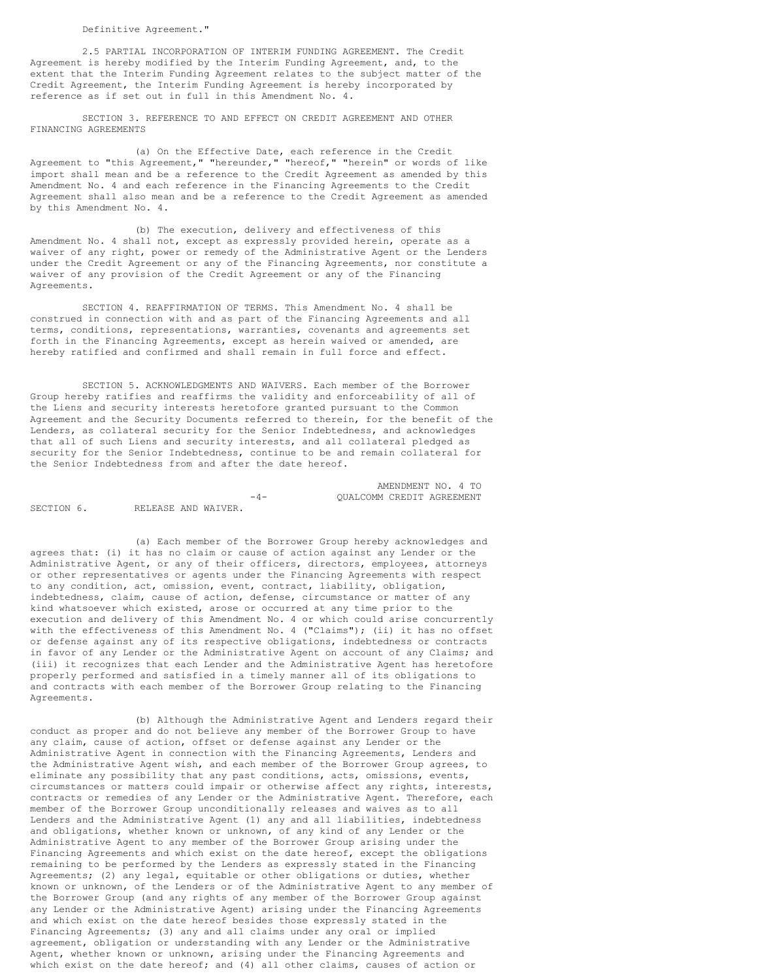#### Definitive Agreement."

2.5 PARTIAL INCORPORATION OF INTERIM FUNDING AGREEMENT. The Credit Agreement is hereby modified by the Interim Funding Agreement, and, to the extent that the Interim Funding Agreement relates to the subject matter of the Credit Agreement, the Interim Funding Agreement is hereby incorporated by reference as if set out in full in this Amendment No. 4.

SECTION 3. REFERENCE TO AND EFFECT ON CREDIT AGREEMENT AND OTHER FINANCING AGREEMENTS

(a) On the Effective Date, each reference in the Credit Agreement to "this Agreement," "hereunder," "hereof," "herein" or words of like import shall mean and be a reference to the Credit Agreement as amended by this Amendment No. 4 and each reference in the Financing Agreements to the Credit Agreement shall also mean and be a reference to the Credit Agreement as amended by this Amendment No. 4.

(b) The execution, delivery and effectiveness of this Amendment No. 4 shall not, except as expressly provided herein, operate as a waiver of any right, power or remedy of the Administrative Agent or the Lenders under the Credit Agreement or any of the Financing Agreements, nor constitute a waiver of any provision of the Credit Agreement or any of the Financing Agreements.

SECTION 4. REAFFIRMATION OF TERMS. This Amendment No. 4 shall be construed in connection with and as part of the Financing Agreements and all terms, conditions, representations, warranties, covenants and agreements set forth in the Financing Agreements, except as herein waived or amended, are hereby ratified and confirmed and shall remain in full force and effect.

SECTION 5. ACKNOWLEDGMENTS AND WAIVERS. Each member of the Borrower Group hereby ratifies and reaffirms the validity and enforceability of all of the Liens and security interests heretofore granted pursuant to the Common Agreement and the Security Documents referred to therein, for the benefit of the Lenders, as collateral security for the Senior Indebtedness, and acknowledges that all of such Liens and security interests, and all collateral pledged as security for the Senior Indebtedness, continue to be and remain collateral for the Senior Indebtedness from and after the date hereof.

AMENDMENT NO. 4 TO -4- QUALCOMM CREDIT AGREEMENT SECTION 6. RELEASE AND WAIVER.

(a) Each member of the Borrower Group hereby acknowledges and agrees that: (i) it has no claim or cause of action against any Lender or the Administrative Agent, or any of their officers, directors, employees, attorneys or other representatives or agents under the Financing Agreements with respect to any condition, act, omission, event, contract, liability, obligation, indebtedness, claim, cause of action, defense, circumstance or matter of any kind whatsoever which existed, arose or occurred at any time prior to the execution and delivery of this Amendment No. 4 or which could arise concurrently with the effectiveness of this Amendment No. 4 ("Claims"); (ii) it has no offset or defense against any of its respective obligations, indebtedness or contracts in favor of any Lender or the Administrative Agent on account of any Claims; and (iii) it recognizes that each Lender and the Administrative Agent has heretofore properly performed and satisfied in a timely manner all of its obligations to and contracts with each member of the Borrower Group relating to the Financing Agreements.

(b) Although the Administrative Agent and Lenders regard their conduct as proper and do not believe any member of the Borrower Group to have any claim, cause of action, offset or defense against any Lender or the Administrative Agent in connection with the Financing Agreements, Lenders and the Administrative Agent wish, and each member of the Borrower Group agrees, to eliminate any possibility that any past conditions, acts, omissions, events, circumstances or matters could impair or otherwise affect any rights, interests, contracts or remedies of any Lender or the Administrative Agent. Therefore, each member of the Borrower Group unconditionally releases and waives as to all Lenders and the Administrative Agent (1) any and all liabilities, indebtedness and obligations, whether known or unknown, of any kind of any Lender or the Administrative Agent to any member of the Borrower Group arising under the Financing Agreements and which exist on the date hereof, except the obligations remaining to be performed by the Lenders as expressly stated in the Financing Agreements; (2) any legal, equitable or other obligations or duties, whether known or unknown, of the Lenders or of the Administrative Agent to any member of the Borrower Group (and any rights of any member of the Borrower Group against any Lender or the Administrative Agent) arising under the Financing Agreements and which exist on the date hereof besides those expressly stated in the Financing Agreements; (3) any and all claims under any oral or implied agreement, obligation or understanding with any Lender or the Administrative Agent, whether known or unknown, arising under the Financing Agreements and which exist on the date hereof; and (4) all other claims, causes of action or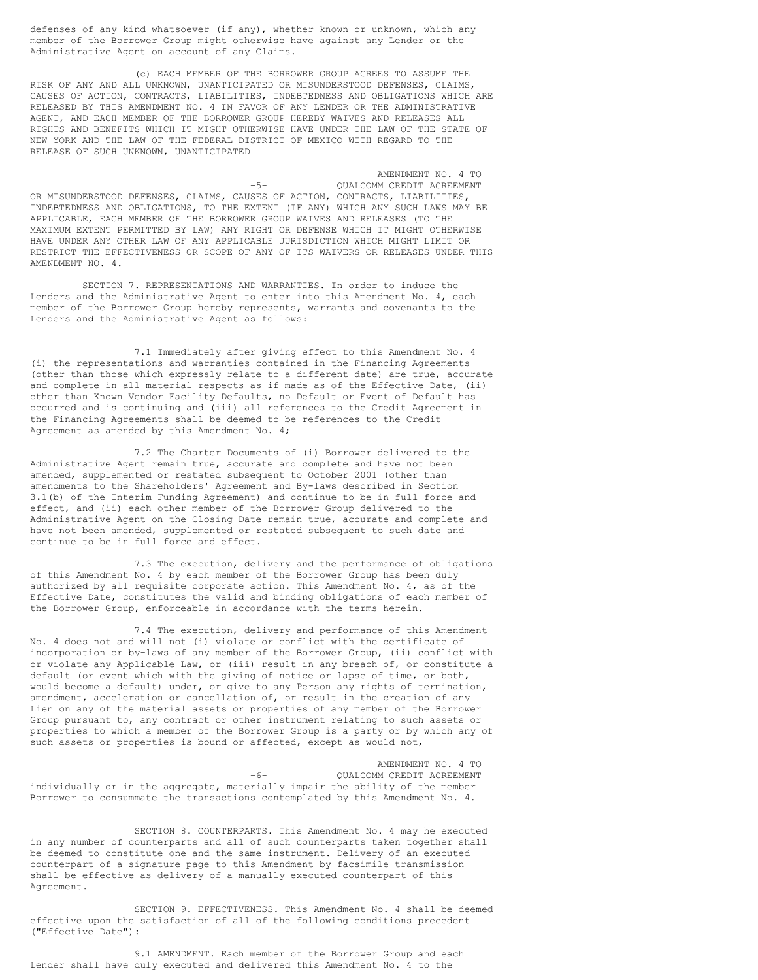defenses of any kind whatsoever (if any), whether known or unknown, which any member of the Borrower Group might otherwise have against any Lender or the Administrative Agent on account of any Claims.

(c) EACH MEMBER OF THE BORROWER GROUP AGREES TO ASSUME THE RISK OF ANY AND ALL UNKNOWN, UNANTICIPATED OR MISUNDERSTOOD DEFENSES, CLAIMS, CAUSES OF ACTION, CONTRACTS, LIABILITIES, INDEBTEDNESS AND OBLIGATIONS WHICH ARE RELEASED BY THIS AMENDMENT NO. 4 IN FAVOR OF ANY LENDER OR THE ADMINISTRATIVE AGENT, AND EACH MEMBER OF THE BORROWER GROUP HEREBY WAIVES AND RELEASES ALL RIGHTS AND BENEFITS WHICH IT MIGHT OTHERWISE HAVE UNDER THE LAW OF THE STATE OF NEW YORK AND THE LAW OF THE FEDERAL DISTRICT OF MEXICO WITH REGARD TO THE RELEASE OF SUCH UNKNOWN, UNANTICIPATED

AMENDMENT NO. 4 TO -5- QUALCOMM CREDIT AGREEMENT OR MISUNDERSTOOD DEFENSES, CLAIMS, CAUSES OF ACTION, CONTRACTS, LIABILITIES, INDEBTEDNESS AND OBLIGATIONS, TO THE EXTENT (IF ANY) WHICH ANY SUCH LAWS MAY BE APPLICABLE, EACH MEMBER OF THE BORROWER GROUP WAIVES AND RELEASES (TO THE MAXIMUM EXTENT PERMITTED BY LAW) ANY RIGHT OR DEFENSE WHICH IT MIGHT OTHERWISE HAVE UNDER ANY OTHER LAW OF ANY APPLICABLE JURISDICTION WHICH MIGHT LIMIT OR RESTRICT THE EFFECTIVENESS OR SCOPE OF ANY OF ITS WAIVERS OR RELEASES UNDER THIS AMENDMENT NO. 4.

SECTION 7. REPRESENTATIONS AND WARRANTIES. In order to induce the Lenders and the Administrative Agent to enter into this Amendment No. 4, each member of the Borrower Group hereby represents, warrants and covenants to the Lenders and the Administrative Agent as follows:

7.1 Immediately after giving effect to this Amendment No. 4 (i) the representations and warranties contained in the Financing Agreements (other than those which expressly relate to a different date) are true, accurate and complete in all material respects as if made as of the Effective Date, (ii) other than Known Vendor Facility Defaults, no Default or Event of Default has occurred and is continuing and (iii) all references to the Credit Agreement in the Financing Agreements shall be deemed to be references to the Credit Agreement as amended by this Amendment No. 4;

7.2 The Charter Documents of (i) Borrower delivered to the Administrative Agent remain true, accurate and complete and have not been amended, supplemented or restated subsequent to October 2001 (other than amendments to the Shareholders' Agreement and By-laws described in Section 3.1(b) of the Interim Funding Agreement) and continue to be in full force and effect, and (ii) each other member of the Borrower Group delivered to the Administrative Agent on the Closing Date remain true, accurate and complete and have not been amended, supplemented or restated subsequent to such date and continue to be in full force and effect.

7.3 The execution, delivery and the performance of obligations of this Amendment No. 4 by each member of the Borrower Group has been duly authorized by all requisite corporate action. This Amendment No. 4, as of the Effective Date, constitutes the valid and binding obligations of each member of the Borrower Group, enforceable in accordance with the terms herein.

7.4 The execution, delivery and performance of this Amendment No. 4 does not and will not (i) violate or conflict with the certificate of incorporation or by-laws of any member of the Borrower Group, (ii) conflict with or violate any Applicable Law, or (iii) result in any breach of, or constitute a default (or event which with the giving of notice or lapse of time, or both, would become a default) under, or give to any Person any rights of termination, amendment, acceleration or cancellation of, or result in the creation of any Lien on any of the material assets or properties of any member of the Borrower Group pursuant to, any contract or other instrument relating to such assets or properties to which a member of the Borrower Group is a party or by which any of such assets or properties is bound or affected, except as would not,

AMENDMENT NO. 4 TO -6- QUALCOMM CREDIT AGREEMENT individually or in the aggregate, materially impair the ability of the member Borrower to consummate the transactions contemplated by this Amendment No. 4.

SECTION 8. COUNTERPARTS. This Amendment No. 4 may he executed in any number of counterparts and all of such counterparts taken together shall be deemed to constitute one and the same instrument. Delivery of an executed counterpart of a signature page to this Amendment by facsimile transmission shall be effective as delivery of a manually executed counterpart of this Agreement.

SECTION 9. EFFECTIVENESS. This Amendment No. 4 shall be deemed effective upon the satisfaction of all of the following conditions precedent ("Effective Date"):

9.1 AMENDMENT. Each member of the Borrower Group and each Lender shall have duly executed and delivered this Amendment No. 4 to the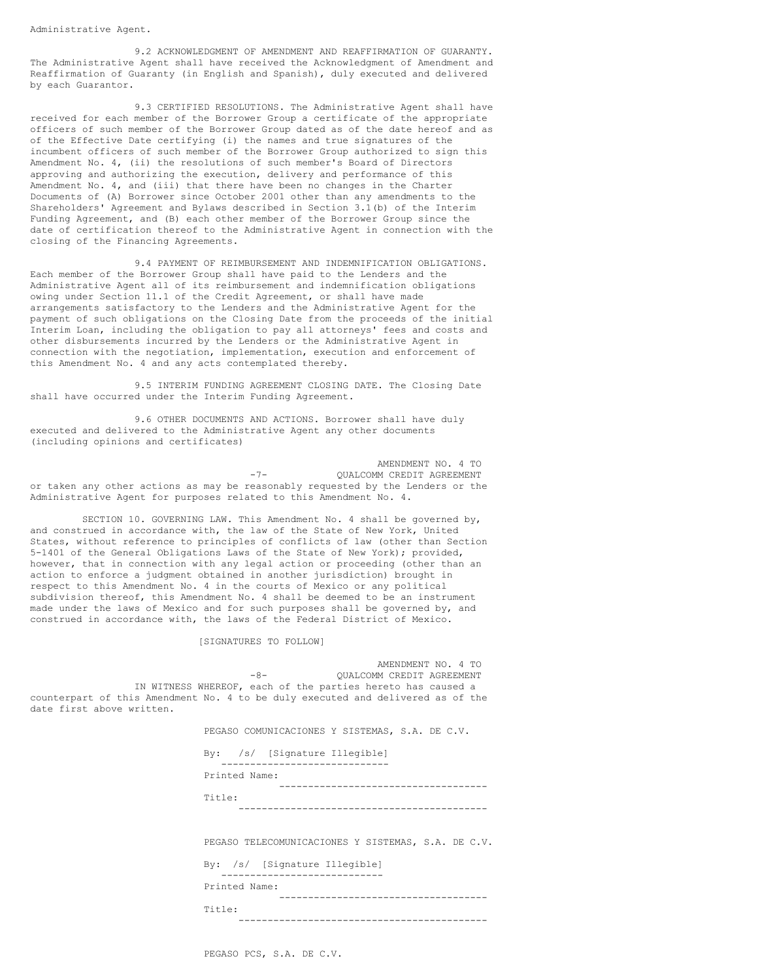## Administrative Agent.

9.2 ACKNOWLEDGMENT OF AMENDMENT AND REAFFIRMATION OF GUARANTY. The Administrative Agent shall have received the Acknowledgment of Amendment and Reaffirmation of Guaranty (in English and Spanish), duly executed and delivered by each Guarantor.

9.3 CERTIFIED RESOLUTIONS. The Administrative Agent shall have received for each member of the Borrower Group a certificate of the appropriate officers of such member of the Borrower Group dated as of the date hereof and as of the Effective Date certifying (i) the names and true signatures of the incumbent officers of such member of the Borrower Group authorized to sign this Amendment No. 4, (ii) the resolutions of such member's Board of Directors approving and authorizing the execution, delivery and performance of this Amendment No. 4, and (iii) that there have been no changes in the Charter Documents of (A) Borrower since October 2001 other than any amendments to the Shareholders' Agreement and Bylaws described in Section 3.1(b) of the Interim Funding Agreement, and (B) each other member of the Borrower Group since the date of certification thereof to the Administrative Agent in connection with the closing of the Financing Agreements.

9.4 PAYMENT OF REIMBURSEMENT AND INDEMNIFICATION OBLIGATIONS. Each member of the Borrower Group shall have paid to the Lenders and the Administrative Agent all of its reimbursement and indemnification obligations owing under Section 11.1 of the Credit Agreement, or shall have made arrangements satisfactory to the Lenders and the Administrative Agent for the payment of such obligations on the Closing Date from the proceeds of the initial Interim Loan, including the obligation to pay all attorneys' fees and costs and other disbursements incurred by the Lenders or the Administrative Agent in connection with the negotiation, implementation, execution and enforcement of this Amendment No. 4 and any acts contemplated thereby.

9.5 INTERIM FUNDING AGREEMENT CLOSING DATE. The Closing Date shall have occurred under the Interim Funding Agreement.

9.6 OTHER DOCUMENTS AND ACTIONS. Borrower shall have duly executed and delivered to the Administrative Agent any other documents (including opinions and certificates)

AMENDMENT NO. 4 TO -7- QUALCOMM CREDIT AGREEMENT or taken any other actions as may be reasonably requested by the Lenders or the Administrative Agent for purposes related to this Amendment No. 4.

SECTION 10. GOVERNING LAW. This Amendment No. 4 shall be governed by, and construed in accordance with, the law of the State of New York, United States, without reference to principles of conflicts of law (other than Section 5-1401 of the General Obligations Laws of the State of New York); provided, however, that in connection with any legal action or proceeding (other than an action to enforce a judgment obtained in another jurisdiction) brought in respect to this Amendment No. 4 in the courts of Mexico or any political subdivision thereof, this Amendment No. 4 shall be deemed to be an instrument made under the laws of Mexico and for such purposes shall be governed by, and construed in accordance with, the laws of the Federal District of Mexico.

[SIGNATURES TO FOLLOW]

AMENDMENT NO. 4 TO -8- QUALCOMM CREDIT AGREEMENT IN WITNESS WHEREOF, each of the parties hereto has caused a counterpart of this Amendment No. 4 to be duly executed and delivered as of the date first above written.

PEGASO COMUNICACIONES Y SISTEMAS, S.A. DE C.V.

By: /s/ [Signature Illegible] -----------------------------

Printed Name:

------------------------------------ Title:

-------------------------------------------

PEGASO TELECOMUNICACIONES Y SISTEMAS, S.A. DE C.V.

By: /s/ [Signature Illegible] ---------------------------- Printed Name: ------------------------------------ Title:

-------------------------------------------

PEGASO PCS, S.A. DE C.V.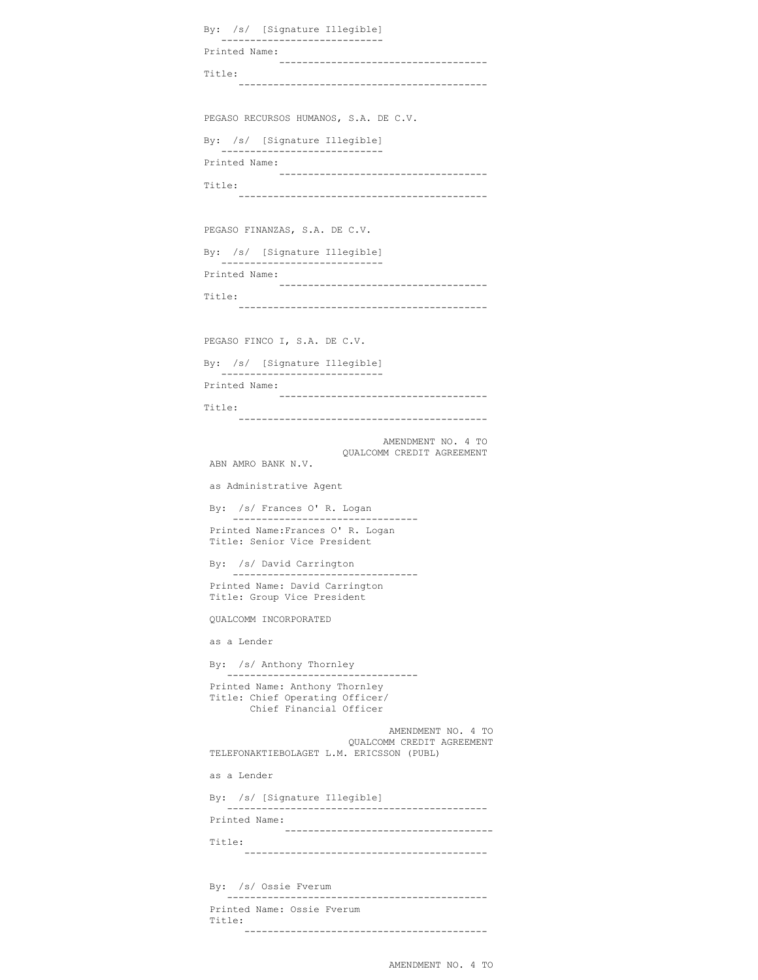```
By: /s/ [Signature Illegible]
     ----------------------------
Printed Name:
             ------------------------------------
Title:
        -------------------------------------------
PEGASO RECURSOS HUMANOS, S.A. DE C.V.
By: /s/ [Signature Illegible]
    ----------------------------
Printed Name:
             ------------------------------------
Title:
        -------------------------------------------
PEGASO FINANZAS, S.A. DE C.V.
By: /s/ [Signature Illegible]
            ----------------------------
Printed Name:
             ------------------------------------
Title:
        -------------------------------------------
PEGASO FINCO I, S.A. DE C.V.
By: /s/ [Signature Illegible]
    ----------------------------
Printed Name:
             ------------------------------------
Title:
      -------------------------------------------
                               AMENDMENT NO. 4 TO
                       QUALCOMM CREDIT AGREEMENT
 ABN AMRO BANK N.V.
 as Administrative Agent
 By: /s/ Frances O' R. Logan
       --------------------------------
 Printed Name:Frances O' R. Logan
 Title: Senior Vice President
 By: /s/ David Carrington
                           --------------------------------
 Printed Name: David Carrington
 Title: Group Vice President
 QUALCOMM INCORPORATED
 as a Lender
 By: /s/ Anthony Thornley
    ---------------------------------
 Printed Name: Anthony Thornley
 Title: Chief Operating Officer/
       Chief Financial Officer
                                AMENDMENT NO. 4 TO
                         QUALCOMM CREDIT AGREEMENT
 TELEFONAKTIEBOLAGET L.M. ERICSSON (PUBL)
 as a Lender
 By: /s/ [Signature Illegible]
     ---------------------------------------------
 Printed Name:
              ------------------------------------
 Title:
       ------------------------------------------
 By: /s/ Ossie Fverum
    ---------------------------------------------
 Printed Name: Ossie Fverum
 Title:
        ------------------------------------------
```